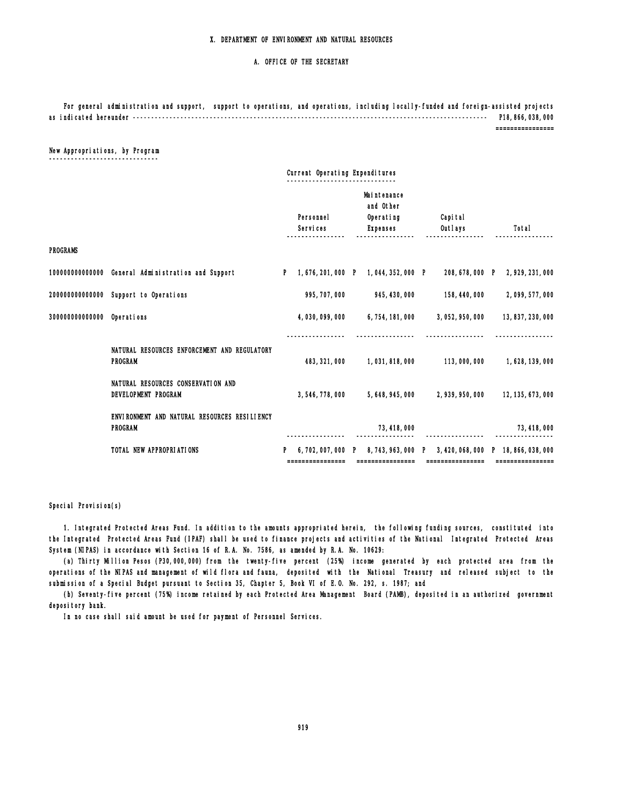#### A. OFFICE OF THE SECRETARY

 For general administration and support, support to operations, and operations, including locally-funded and foreign-assisted projects as indicated hereunder ------------------------------------------------------------------------------------------------- P18,866,038,000

================

### New Appropriations, by Program

\_\_\_\_\_\_\_\_\_\_\_\_\_\_\_\_\_\_\_\_

|                            | Current Operating Expenditures                                 |    |                       |    |                                                          |                     |                                                          |
|----------------------------|----------------------------------------------------------------|----|-----------------------|----|----------------------------------------------------------|---------------------|----------------------------------------------------------|
|                            |                                                                |    | Personnel<br>Services |    | Maintenance<br>and Other<br>Operating<br><b>Expenses</b> | Capi tal<br>Outlays | Total                                                    |
| <b>PROGRAMS</b>            |                                                                |    |                       |    |                                                          |                     |                                                          |
|                            | 100000000000000 General Administration and Support             | P. | 1,676,201,000 P       |    | 1.044.352.000 P                                          | 208, 678, 000 P     | 2, 929, 231, 000                                         |
|                            | 200000000000000 Support to Operations                          |    | 995, 707, 000         |    | 945, 430, 000                                            | 158, 440, 000       | 2,099,577,000                                            |
| 300000000000000 0perations |                                                                |    | 4,030,099,000         |    | 6, 754, 181, 000                                         | 3,052,950,000       | 13, 837, 230, 000                                        |
|                            |                                                                |    |                       |    |                                                          |                     |                                                          |
|                            | NATURAL RESOURCES ENFORCEMENT AND REGULATORY<br><b>PROGRAM</b> |    | 483, 321, 000         |    | 1,031,818,000                                            | 113,000,000         | 1,628,139,000                                            |
|                            | NATURAL RESOURCES CONSERVATION AND<br>DEVELOPMENT PROGRAM      |    | 3,546,778,000         |    | 5, 648, 945, 000                                         | 2, 939, 950, 000    | 12, 135, 673, 000                                        |
|                            | ENVIRONMENT AND NATURAL RESOURCES RESILIENCY<br><b>PROGRAM</b> |    |                       |    | 73, 418, 000                                             |                     | 73, 418, 000                                             |
|                            | TOTAL NEW APPROPRIATIONS                                       |    | 6, 702, 007, 000      | P. | 8, 743, 963, 000 P                                       |                     | 3, 420, 068, 000 P 18, 866, 038, 000<br>================ |
|                            |                                                                |    |                       |    |                                                          |                     |                                                          |

#### Special Provision(s)

 1. Integrated Protected Areas Fund. In addition to the amounts appropriated herein, the following funding sources, constituted into the Integrated Protected Areas Fund (IPAF) shall be used to finance projects and activities of the National Integrated Protected Areas System (NIPAS) in accordance with Section 16 of R.A. No. 7586, as amended by R.A. No. 10629:

 (a) Thirty Million Pesos (P30,000,000) from the twenty-five percent (25%) income generated by each protected area from the operations of the NIPAS and management of wild flora and fauna, deposited with the National Treasury and released subject to the submission of a Special Budget pursuant to Section 35, Chapter 5, Book VI of E.O. No. 292, s. 1987; and

 (b) Seventy-five percent (75%) income retained by each Protected Area Management Board (PAMB), deposited in an authorized government depository bank.

In no case shall said amount be used for payment of Personnel Services.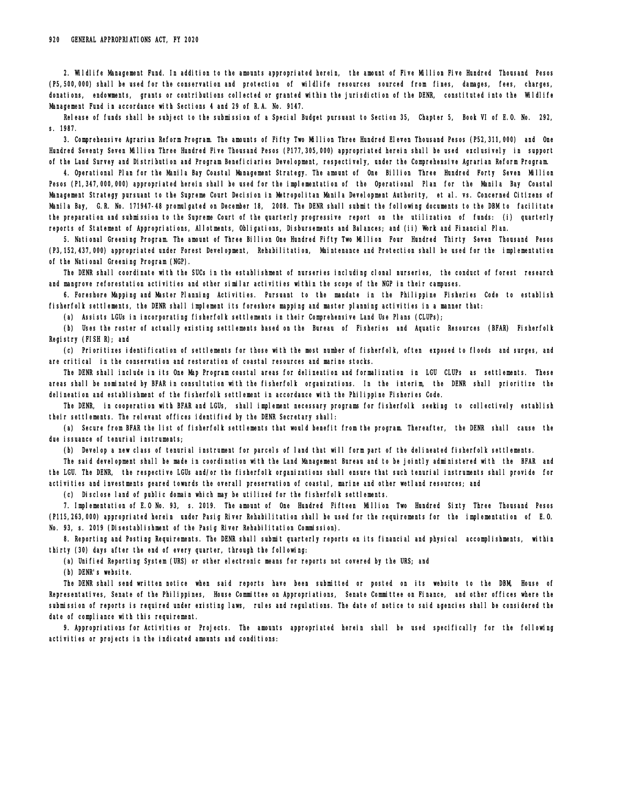2. Wildlife Management Fund. In addition to the amounts appropriated herein, the amount of Five Million Five Hundred Thousand Pesos (P5,500,000) shall be used for the conservation and protection of wildlife resources sourced from fines, damages, fees, charges, donations, endowments, grants or contributions collected or granted within the jurisdiction of the DENR, constituted into the Wildlife Management Fund in accordance with Sections 4 and 29 of R.A. No. 9147.

 Release of funds shall be subject to the submission of a Special Budget pursuant to Section 35, Chapter 5, Book VI of E.O. No. 292, s. 1987.

 3. Comprehensive Agrarian Reform Program. The amounts of Fifty Two Million Three Hundred Eleven Thousand Pesos (P52,311,000) and One Hundred Seventy Seven Million Three Hundred Five Thousand Pesos (P177,305,000) appropriated herein shall be used exclusively in support of the Land Survey and Distribution and Program Beneficiaries Development, respectively, under the Comprehensive Agrarian Reform Program.

 4. Operational Plan for the Manila Bay Coastal Management Strategy. The amount of One Billion Three Hundred Forty Seven Million Pesos (P1,347,000,000) appropriated herein shall be used for the implementation of the Operational Plan for the Manila Bay Coastal Management Strategy pursuant to the Supreme Court Decision in Metropolitan Manila Development Authority, et al. vs. Concerned Citizens of Manila Bay, G.R. No. 171947-48 promulgated on December 18, 2008. The DENR shall submit the following documents to the DBM to facilitate the preparation and submission to the Supreme Court of the quarterly progressive report on the utilization of funds: (i) quarterly reports of Statement of Appropriations, Allotments, Obligations, Disbursements and Balances; and (ii) Work and Financial Plan.

 5. National Greening Program. The amount of Three Billion One Hundred Fifty Two Million Four Hundred Thirty Seven Thousand Pesos (P3,152,437,000) appropriated under Forest Development, Rehabilitation, Maintenance and Protection shall be used for the implementation of the National Greening Program (NGP).

 The DENR shall coordinate with the SUCs in the establishment of nurseries including clonal nurseries, the conduct of forest research and mangrove reforestation activities and other similar activities within the scope of the NGP in their campuses.

 6. Foreshore Mapping and Master Planning Activities. Pursuant to the mandate in the Philippine Fisheries Code to establish fisherfolk settlements, the DENR shall implement its foreshore mapping and master planning activities in a manner that:

(a) Assists LGUs in incorporating fisherfolk settlements in their Comprehensive Land Use Plans (CLUPs);

 (b) Uses the roster of actually existing settlements based on the Bureau of Fisheries and Aquatic Resources (BFAR) Fisherfolk Registry (FISH R); and

 (c) Prioritizes identification of settlements for those with the most number of fisherfolk, often exposed to floods and surges, and are critical in the conservation and restoration of coastal resources and marine stocks.

 The DENR shall include in its One Map Program coastal areas for delineation and formalization in LGU CLUPs as settlements. These areas shall be nominated by BFAR in consultation with the fisherfolk organizations. In the interim, the DENR shall prioritize the delineation and establishment of the fisherfolk settlement in accordance with the Philippine Fisheries Code.

 The DENR, in cooperation with BFAR and LGUs, shall implement necessary programs for fisherfolk seeking to collectively establish their settlements. The relevant offices identified by the DENR Secretary shall:

 (a) Secure from BFAR the list of fisherfolk settlements that would benefit from the program. Thereafter, the DENR shall cause the due issuance of tenurial instruments;

(b) Develop a new class of tenurial instrument for parcels of land that will form part of the delineated fisherfolk settlements.

 The said development shall be made in coordination with the Land Management Bureau and to be jointly administered with the BFAR and the LGU. The DENR, the respective LGUs and/or the fisherfolk organizations shall ensure that such tenurial instruments shall provide for activities and investments geared towards the overall preservation of coastal, marine and other wetland resources; and

(c) Disclose land of public domain which may be utilized for the fisherfolk settlements.

 7. Implementation of E.O No. 93, s. 2019. The amount of One Hundred Fifteen Million Two Hundred Sixty Three Thousand Pesos (P115,263,000) appropriated herein under Pasig River Rehabilitation shall be used for the requirements for the implementation of E.O. No. 93, s. 2019 (Disestablishment of the Pasig River Rehabilitation Commission).

 8. Reporting and Posting Requirements. The DENR shall submit quarterly reports on its financial and physical accomplishments, within thirty (30) days after the end of every quarter, through the following:

(a) Unified Reporting System (URS) or other electronic means for reports not covered by the URS; and

(b) DENR's website.

 The DENR shall send written notice when said reports have been submitted or posted on its website to the DBM, House of Representatives, Senate of the Philippines, House Committee on Appropriations, Senate Committee on Finance, and other offices where the submission of reports is required under existing laws, rules and regulations. The date of notice to said agencies shall be considered the date of compliance with this requirement.

 9. Appropriations for Activities or Projects. The amounts appropriated herein shall be used specifically for the following activities or projects in the indicated amounts and conditions: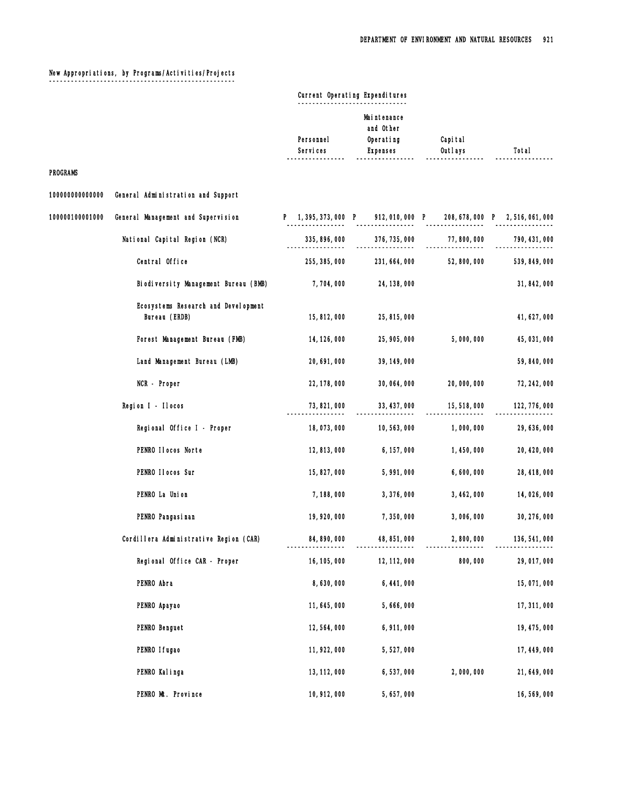## New Appropriations, by Programs/Activities/Projects

¯¯¯¯¯¯¯¯¯¯¯¯¯¯¯¯¯¯¯¯¯¯¯¯¯¯¯¯¯¯¯¯¯¯¯¯¯¯¯¯¯¯¯¯¯¯¯¯¯¯¯

# Current Operating Expenditures

|                 |                                                      | Personnel<br>Services | Mai ntenance<br>and Other<br>Operating<br><b>Expenses</b>             | Capi tal<br>Outlays | Total         |
|-----------------|------------------------------------------------------|-----------------------|-----------------------------------------------------------------------|---------------------|---------------|
| <b>PROGRAMS</b> |                                                      |                       |                                                                       |                     |               |
| 100000000000000 | General Administration and Support                   |                       |                                                                       |                     |               |
| 100000100001000 | General Management and Supervision                   |                       | P 1, 395, 373, 000 P 912, 010, 000 P 208, 678, 000 P 2, 516, 061, 000 |                     |               |
|                 | National Capital Region (NCR)                        | 335, 896, 000         | 376, 735, 000                                                         | 77,800,000          | 790, 431, 000 |
|                 | Central Office                                       | 255, 385, 000         | 231, 664, 000                                                         | 52,800,000          | 539, 849, 000 |
|                 | Biodiversity Management Bureau (BMB)                 | 7,704,000             | 24, 138, 000                                                          |                     | 31, 842, 000  |
|                 | Ecosystems Research and Development<br>Bureau (ERDB) | 15,812,000            | 25, 815, 000                                                          |                     | 41, 627, 000  |
|                 | Forest Management Bureau (FMB)                       | 14, 126, 000          | 25, 905, 000                                                          | 5,000,000           | 45, 031, 000  |
|                 | Land Management Bureau (LMB)                         | 20, 691, 000          | 39, 149, 000                                                          |                     | 59, 840, 000  |
|                 | NCR - Proper                                         | 22, 178, 000          | 30, 064, 000                                                          | 20,000,000          | 72, 242, 000  |
|                 | Region I - Ilocos                                    | 73, 821, 000          | 33, 437, 000                                                          | 15,518,000          | 122, 776, 000 |
|                 | Regional Office I - Proper                           | 18,073,000            | 10, 563, 000                                                          | 1,000,000           | 29, 636, 000  |
|                 | PENRO IIocos Norte                                   | 12,813,000            | 6, 157, 000                                                           | 1,450,000           | 20, 420, 000  |
|                 | PENRO IIocos Sur                                     | 15, 827, 000          | 5,991,000                                                             | 6,600,000           | 28, 418, 000  |
|                 | PENRO La Union                                       | 7,188,000             | 3,376,000                                                             | 3, 462, 000         | 14,026,000    |
|                 | PENRO Pangasi nan                                    | 19, 920, 000          | 7,350,000                                                             | 3,006,000           | 30, 276, 000  |
|                 | Cordillera Administrative Region (CAR)               | 84, 890, 000          | 48, 851, 000                                                          | 2,800,000           | 136, 541, 000 |
|                 | Regional Office CAR - Proper                         | 16, 105, 000          | 12, 112, 000                                                          | 800,000             | 29,017,000    |
|                 | PENRO Abra                                           | 8,630,000             | 6, 441, 000                                                           |                     | 15,071,000    |
|                 | PENRO Apayao                                         | 11, 645, 000          | 5,666,000                                                             |                     | 17, 311, 000  |
|                 | PENRO Benguet                                        | 12, 564, 000          | 6,911,000                                                             |                     | 19, 475, 000  |
|                 | PENRO I fugao                                        | 11, 922, 000          | 5,527,000                                                             |                     | 17, 449, 000  |
|                 | PENRO Kalinga                                        | 13, 112, 000          | 6,537,000                                                             | 2,000,000           | 21, 649, 000  |
|                 | PENRO Mt. Province                                   | 10, 912, 000          | 5,657,000                                                             |                     | 16,569,000    |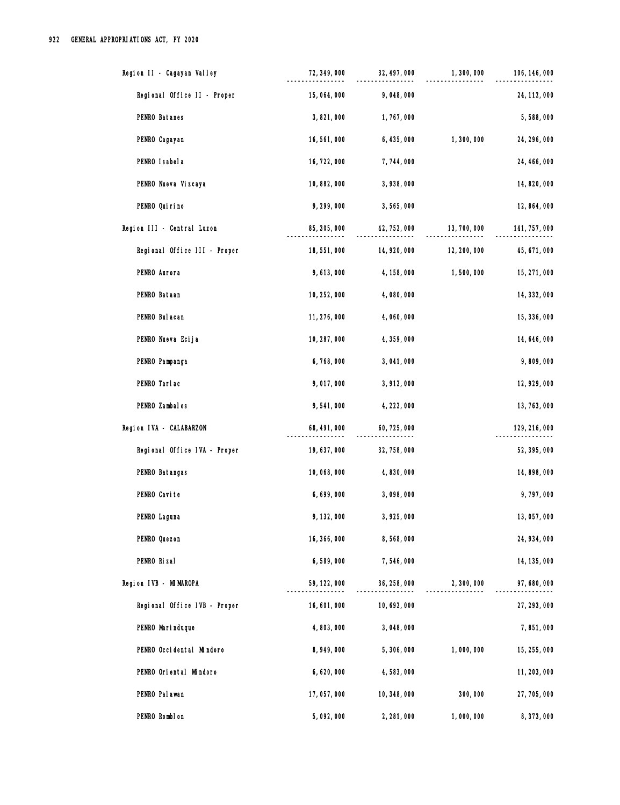| Region II - Cagayan Valley   | 72, 349, 000 | 32, 497, 000 | 1,300,000    | 106, 146, 000 |
|------------------------------|--------------|--------------|--------------|---------------|
| Regional Office II - Proper  | 15,064,000   | 9,048,000    |              | 24, 112, 000  |
| PENRO Batanes                | 3,821,000    | 1,767,000    |              | 5,588,000     |
| PENRO Cagayan                | 16,561,000   | 6, 435, 000  | 1,300,000    | 24, 296, 000  |
| PENRO I sabel a              | 16, 722, 000 | 7,744,000    |              | 24, 466, 000  |
| PENRO Nueva Vizcaya          | 10,882,000   | 3,938,000    |              | 14,820,000    |
| PENRO Qui ri no              | 9,299,000    | 3,565,000    |              | 12, 864, 000  |
| Region III - Central Luzon   | 85, 305, 000 | 42, 752, 000 | 13, 700, 000 | 141, 757, 000 |
| Regional Office III - Proper | 18,551,000   | 14, 920, 000 | 12, 200, 000 | 45, 671, 000  |
| PENRO Aurora                 | 9,613,000    | 4, 158, 000  | 1,500,000    | 15, 271, 000  |
| PENRO Bataan                 | 10, 252, 000 | 4,080,000    |              | 14, 332, 000  |
| PENRO Bul acan               | 11, 276, 000 | 4,060,000    |              | 15, 336, 000  |
| PENRO Nueva Ecija            | 10, 287, 000 | 4,359,000    |              | 14, 646, 000  |
| PENRO Pampanga               | 6,768,000    | 3,041,000    |              | 9,809,000     |
| PENRO Tarlac                 | 9,017,000    | 3, 912, 000  |              | 12, 929, 000  |
| PENRO Zambales               | 9,541,000    | 4, 222, 000  |              | 13, 763, 000  |
| Region IVA - CALABARZON      | 68, 491, 000 | 60, 725, 000 |              | 129, 216, 000 |
| Regional Office IVA - Proper | 19, 637, 000 | 32, 758, 000 |              | 52, 395, 000  |
| PENRO Batangas               | 10,068,000   | 4,830,000    |              | 14,898,000    |
| PENRO Cavite                 | 6,699,000    | 3,098,000    |              | 9,797,000     |
| PENRO Laguna                 | 9, 132, 000  | 3,925,000    |              | 13,057,000    |
| PENRO Quezon                 | 16, 366, 000 | 8,568,000    |              | 24, 934, 000  |
| PENRO Rizal                  | 6,589,000    | 7,546,000    |              | 14, 135, 000  |
| Region IVB - MIMAROPA        | 59, 122, 000 | 36, 258, 000 | 2,300,000    | 97,680,000    |
| Regional Office IVB - Proper | 16,601,000   | 10, 692, 000 |              | 27, 293, 000  |
| PENRO Marinduque             | 4,803,000    | 3,048,000    |              | 7,851,000     |
| PENRO Occidental Mindoro     | 8,949,000    | 5,306,000    | 1,000,000    | 15, 255, 000  |
| PENRO Oriental Mindoro       | 6,620,000    | 4,583,000    |              | 11, 203, 000  |
| PENRO Pal awan               | 17,057,000   | 10, 348, 000 | 300,000      | 27, 705, 000  |
| PENRO Romblon                | 5,092,000    | 2, 281, 000  | 1,000,000    | 8,373,000     |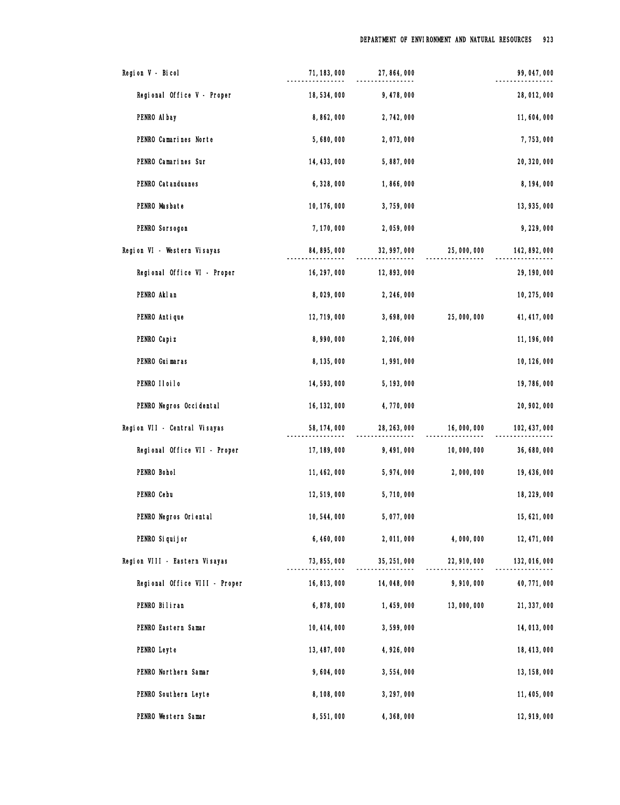| Region V - Bicol              | 71, 183, 000 | 27, 864, 000 |              | 99, 047, 000  |
|-------------------------------|--------------|--------------|--------------|---------------|
| Regional Office V - Proper    | 18,534,000   | 9,478,000    |              | 28, 012, 000  |
| PENRO Al bay                  | 8,862,000    | 2,742,000    |              | 11,604,000    |
| PENRO Camarines Norte         | 5,680,000    | 2,073,000    |              | 7,753,000     |
| PENRO Camarines Sur           | 14, 433, 000 | 5,887,000    |              | 20, 320, 000  |
| PENRO Catanduanes             | 6,328,000    | 1,866,000    |              | 8, 194, 000   |
| PENRO Masbate                 | 10, 176, 000 | 3,759,000    |              | 13, 935, 000  |
| PENRO Sorsogon                | 7, 170, 000  | 2,059,000    |              | 9,229,000     |
| Region VI - Western Visayas   | 84, 895, 000 | 32, 997, 000 | 25,000,000   | 142, 892, 000 |
| Regional Office VI - Proper   | 16, 297, 000 | 12,893,000   |              | 29, 190, 000  |
| PENRO Akl an                  | 8,029,000    | 2, 246, 000  |              | 10, 275, 000  |
| PENRO Antique                 | 12, 719, 000 | 3,698,000    | 25,000,000   | 41, 417, 000  |
| PENRO Capi z                  | 8,990,000    | 2, 206, 000  |              | 11, 196, 000  |
| PENRO Guimaras                | 8, 135, 000  | 1,991,000    |              | 10, 126, 000  |
| PENRO IIoiIo                  | 14,593,000   | 5, 193, 000  |              | 19,786,000    |
| PENRO Negros Occidental       | 16, 132, 000 | 4,770,000    |              | 20, 902, 000  |
| Region VII - Central Visayas  | 58, 174, 000 | 28, 263, 000 | 16,000,000   | 102, 437, 000 |
| Regional Office VII - Proper  | 17, 189, 000 | 9,491,000    | 10,000,000   | 36, 680, 000  |
| PENRO Bohol                   | 11, 462, 000 | 5,974,000    | 2,000,000    | 19, 436, 000  |
| PENRO Cebu                    | 12,519,000   | 5,710,000    |              | 18, 229, 000  |
| PENRO Negros Oriental         | 10, 544, 000 | 5,077,000    |              | 15, 621, 000  |
| PENRO Si qui j or             | 6,460,000    | 2,011,000    | 4,000,000    | 12, 471, 000  |
| Region VIII - Eastern Visayas | 73, 855, 000 | 35, 251, 000 | 22, 910, 000 | 132, 016, 000 |
| Regional Office VIII - Proper | 16, 813, 000 | 14,048,000   | 9,910,000    | 40, 771, 000  |
| PENRO Biliran                 | 6,878,000    | 1,459,000    | 13,000,000   | 21, 337, 000  |
| PENRO Eastern Samar           | 10, 414, 000 | 3,599,000    |              | 14,013,000    |
| PENRO Leyte                   | 13, 487, 000 | 4,926,000    |              | 18, 413, 000  |
| PENRO Northern Samar          | 9,604,000    | 3,554,000    |              | 13, 158, 000  |
| PENRO Southern Leyte          | 8,108,000    | 3, 297, 000  |              | 11, 405, 000  |
| PENRO Western Samar           | 8,551,000    | 4,368,000    |              | 12, 919, 000  |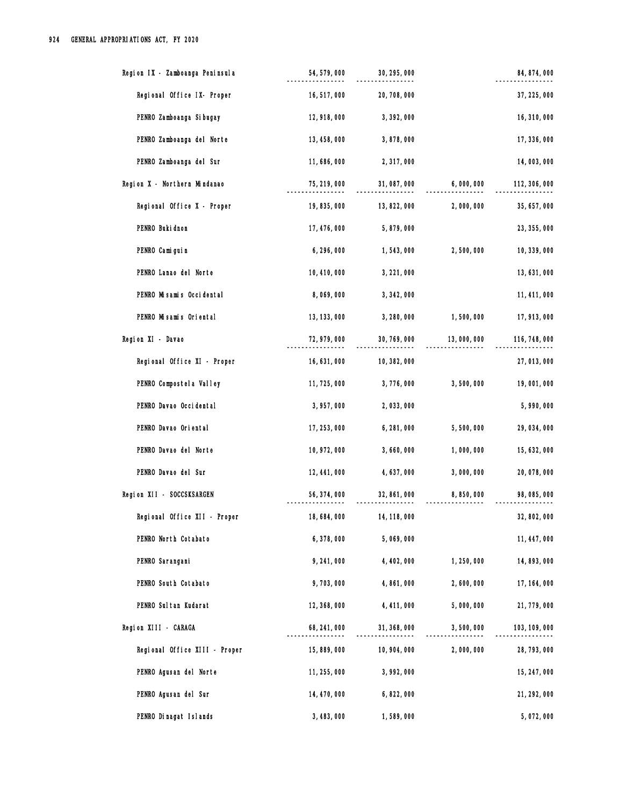| Region IX - Zamboanga Peninsula | 54, 579, 000 | 30, 295, 000 |             | 84, 874, 000  |
|---------------------------------|--------------|--------------|-------------|---------------|
| Regional Office IX- Proper      | 16, 517, 000 | 20, 708, 000 |             | 37, 225, 000  |
| PENRO Zamboanga Si bugay        | 12, 918, 000 | 3, 392, 000  |             | 16, 310, 000  |
| PENRO Zamboanga del Norte       | 13, 458, 000 | 3,878,000    |             | 17, 336, 000  |
| PENRO Zamboanga del Sur         | 11,686,000   | 2, 317, 000  |             | 14,003,000    |
| Region X - Northern Mindanao    | 75, 219, 000 | 31,087,000   | 6,000,000   | 112, 306, 000 |
| Regional Office X - Proper      | 19, 835, 000 | 13, 822, 000 | 2,000,000   | 35, 657, 000  |
| PENRO Buki dnon                 | 17, 476, 000 | 5,879,000    |             | 23, 355, 000  |
| PENRO Camiguin                  | 6,296,000    | 1,543,000    | 2,500,000   | 10, 339, 000  |
| PENRO Lanao del Norte           | 10, 410, 000 | 3, 221, 000  |             | 13, 631, 000  |
| PENRO Misamis Occidental        | 8,069,000    | 3, 342, 000  |             | 11, 411, 000  |
| PENRO Misamis Oriental          | 13, 133, 000 | 3, 280, 000  | 1,500,000   | 17, 913, 000  |
| Region XI - Davao               | 72, 979, 000 | 30, 769, 000 | 13,000,000  | 116, 748, 000 |
| Regional Office XI - Proper     | 16, 631, 000 | 10, 382, 000 |             | 27,013,000    |
| PENRO Compostel a Valley        | 11, 725, 000 | 3,776,000    | 3,500,000   | 19,001,000    |
| PENRO Davao Occi dental         | 3,957,000    | 2,033,000    |             | 5,990,000     |
| PENRO Davao Oriental            | 17, 253, 000 | 6, 281, 000  | 5,500,000   | 29, 034, 000  |
| PENRO Davao del Norte           | 10, 972, 000 | 3,660,000    | 1,000,000   | 15, 632, 000  |
| PENRO Davao del Sur             | 12, 441, 000 | 4, 637, 000  | 3,000,000   | 20,078,000    |
| Region XII - SOCCSKSARGEN       | 56, 374, 000 | 32, 861, 000 | 8,850,000   | 98,085,000    |
| Regional Office XII - Proper    | 18,684,000   | 14, 118, 000 |             | 32, 802, 000  |
| PENRO North Cotabato            | 6,378,000    | 5,069,000    |             | 11, 447, 000  |
| PENRO Sarangani                 | 9,241,000    | 4, 402, 000  | 1, 250, 000 | 14, 893, 000  |
| PENRO South Cotabato            | 9,703,000    | 4,861,000    | 2,600,000   | 17, 164, 000  |
| PENRO Sul tan Kudarat           | 12, 368, 000 | 4, 411, 000  | 5,000,000   | 21, 779, 000  |
| Region XIII - CARAGA            | 68, 241, 000 | 31, 368, 000 | 3,500,000   | 103, 109, 000 |
| Regional Office XIII - Proper   | 15,889,000   | 10, 904, 000 | 2,000,000   | 28, 793, 000  |
| PENRO Agusan del Norte          | 11, 255, 000 | 3,992,000    |             | 15, 247, 000  |
| PENRO Agusan del Sur            | 14, 470, 000 | 6,822,000    |             | 21, 292, 000  |
| PENRO Dinagat Islands           | 3, 483, 000  | 1,589,000    |             | 5,072,000     |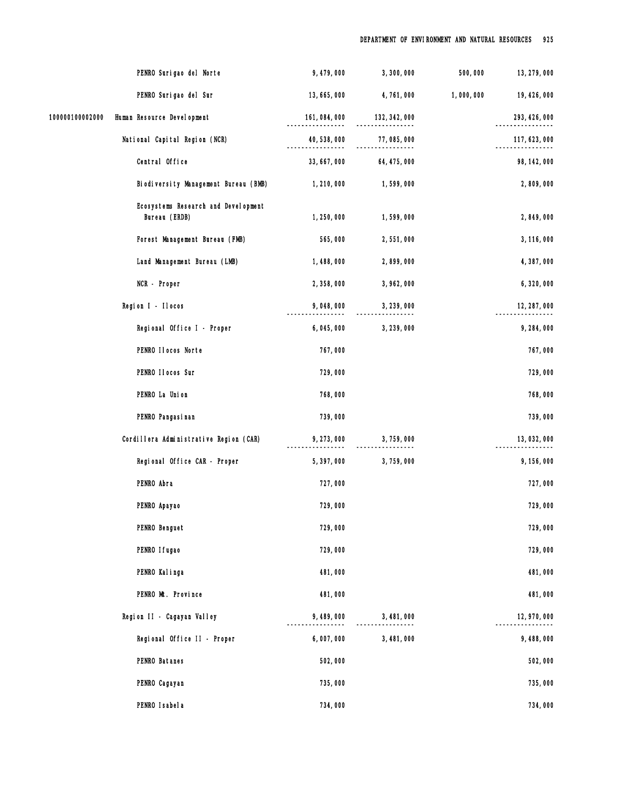|                 | PENRO Surigao del Norte                              | 9,479,000        | 3,300,000     | 500,000   | 13, 279, 000  |
|-----------------|------------------------------------------------------|------------------|---------------|-----------|---------------|
|                 | PENRO Surigao del Sur                                | 13, 665, 000     | 4,761,000     | 1,000,000 | 19, 426, 000  |
| 100000100002000 | Human Resource Development                           | 161,084,000<br>. | 132, 342, 000 |           | 293, 426, 000 |
|                 | National Capital Region (NCR)                        | 40, 538, 000     | 77,085,000    |           | 117, 623, 000 |
|                 | Central Office                                       | 33, 667, 000     | 64, 475, 000  |           | 98, 142, 000  |
|                 | Biodiversity Management Bureau (BMB)                 | 1, 210, 000      | 1,599,000     |           | 2,809,000     |
|                 | Ecosystems Research and Development<br>Bureau (ERDB) | 1, 250, 000      | 1,599,000     |           | 2,849,000     |
|                 | Forest Management Bureau (FMB)                       | 565,000          | 2,551,000     |           | 3, 116, 000   |
|                 | Land Management Bureau (LMB)                         | 1,488,000        | 2,899,000     |           | 4,387,000     |
|                 | NCR - Proper                                         | 2,358,000        | 3, 962, 000   |           | 6,320,000     |
|                 | Region I - Ilocos                                    | 9,048,000        | 3, 239, 000   |           | 12, 287, 000  |
|                 | Regional Office I - Proper                           | 6,045,000        | 3, 239, 000   |           | 9, 284, 000   |
|                 | PENRO IIocos Norte                                   | 767,000          |               |           | 767,000       |
|                 | PENRO II ocos Sur                                    | 729,000          |               |           | 729,000       |
|                 | PENRO La Union                                       | 768,000          |               |           | 768,000       |
|                 | PENRO Pangasi nan                                    | 739,000          |               |           | 739,000       |
|                 | Cordillera Administrative Region (CAR)               | 9, 273, 000      | 3,759,000     |           | 13,032,000    |
|                 | Regional Office CAR - Proper                         | 5,397,000        | 3,759,000     |           | 9, 156, 000   |
|                 | PENRO Abra                                           | 727,000          |               |           | 727,000       |
|                 | PENRO Apayao                                         | 729,000          |               |           | 729,000       |
|                 | PENRO Benguet                                        | 729,000          |               |           | 729,000       |
|                 | PENRO I fugao                                        | 729,000          |               |           | 729,000       |
|                 | PENRO Kalinga                                        | 481,000          |               |           | 481,000       |
|                 | PENRO Mt. Province                                   | 481,000          |               |           | 481,000       |
|                 | Region II - Cagayan Valley                           | 9,489,000        | 3,481,000     |           | 12, 970, 000  |
|                 | Regional Office II - Proper                          | 6,007,000        | 3,481,000     |           | 9,488,000     |
|                 | PENRO Batanes                                        | 502,000          |               |           | 502,000       |
|                 | PENRO Cagayan                                        | 735,000          |               |           | 735,000       |
|                 | PENRO Isabela                                        | 734,000          |               |           | 734,000       |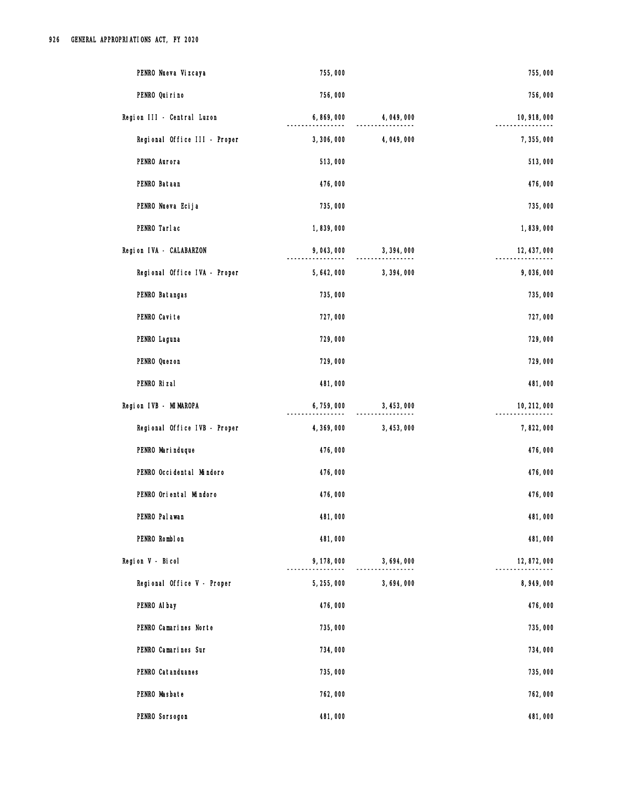| PENRO Nueva Vizcaya          | 755,000     |             | 755,000      |
|------------------------------|-------------|-------------|--------------|
| PENRO Quirino                | 756,000     |             | 756,000      |
| Region III - Central Luzon   | 6,869,000   | 4,049,000   | 10, 918, 000 |
| Regional Office III - Proper | 3,306,000   | 4,049,000   | 7,355,000    |
| PENRO Aurora                 | 513,000     |             | 513,000      |
| PENRO Bataan                 | 476,000     |             | 476,000      |
| PENRO Nueva Ecija            | 735,000     |             | 735,000      |
| PENRO Tarlac                 | 1,839,000   |             | 1,839,000    |
| Region IVA - CALABARZON      | 9,043,000   | 3,394,000   | 12, 437, 000 |
| Regional Office IVA - Proper | 5, 642, 000 | 3, 394, 000 | 9,036,000    |
| PENRO Batangas               | 735,000     |             | 735,000      |
| PENRO Cavite                 | 727,000     |             | 727,000      |
| PENRO Laguna                 | 729,000     |             | 729,000      |
| PENRO Quezon                 | 729,000     |             | 729,000      |
| PENRO Rizal                  | 481,000     |             | 481,000      |
| Region IVB - MIMAROPA        | 6,759,000   | 3, 453, 000 | 10, 212, 000 |
| Regional Office IVB - Proper | 4,369,000   | 3, 453, 000 | 7,822,000    |
| PENRO Marinduque             | 476,000     |             | 476,000      |
| PENRO Occidental Mindoro     | 476,000     |             | 476,000      |
| PENRO Oriental Mindoro       | 476,000     |             | 476,000      |
| PENRO Pal awan               | 481,000     |             | 481,000      |
| PENRO Romblon                | 481,000     |             | 481,000      |
| Region V - Bicol             | 9, 178, 000 | 3,694,000   | 12,872,000   |
| Regional Office V - Proper   | 5, 255, 000 | 3,694,000   | 8,949,000    |
| PENRO AI bay                 | 476,000     |             | 476,000      |
| PENRO Camarines Norte        | 735,000     |             | 735,000      |
| PENRO Camarines Sur          | 734,000     |             | 734,000      |
| PENRO Catanduanes            | 735,000     |             | 735,000      |
| PENRO Masbate                | 762,000     |             | 762,000      |
| PENRO Sorsogon               | 481,000     |             | 481,000      |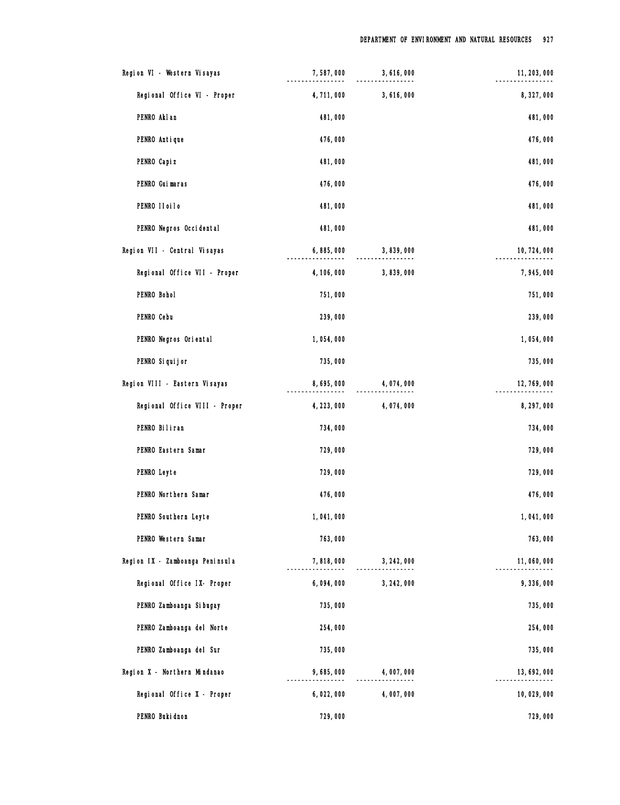| Region VI - Western Visayas     | 7,587,000   | 3,616,000   | 11, 203, 000 |
|---------------------------------|-------------|-------------|--------------|
| Regional Office VI - Proper     | 4,711,000   | 3,616,000   | 8,327,000    |
| PENRO Akl an                    | 481,000     |             | 481,000      |
| PENRO Antique                   | 476,000     |             | 476,000      |
| PENRO Capi z                    | 481,000     |             | 481,000      |
| PENRO Guimaras                  | 476,000     |             | 476,000      |
| PENRO II oi I o                 | 481,000     |             | 481,000      |
| PENRO Negros Occidental         | 481,000     |             | 481,000      |
| Region VII - Central Visayas    | 6,885,000   | 3,839,000   | 10, 724, 000 |
| Regional Office VII - Proper    | 4, 106, 000 | 3,839,000   | 7,945,000    |
| PENRO Bohol                     | 751,000     |             | 751,000      |
| PENRO Cebu                      | 239,000     |             | 239,000      |
| PENRO Negros Oriental           | 1,054,000   |             | 1,054,000    |
| PENRO Si qui j or               | 735,000     |             | 735,000      |
| Region VIII - Eastern Visayas   | 8,695,000   | 4,074,000   | 12, 769, 000 |
| Regional Office VIII - Proper   | 4, 223, 000 | 4,074,000   | 8, 297, 000  |
| PENRO Biliran                   | 734,000     |             | 734,000      |
| PENRO Eastern Samar             | 729,000     |             | 729,000      |
| PENRO Leyte                     | 729,000     |             | 729,000      |
| PENRO Northern Samar            | 476,000     |             | 476,000      |
| PENRO Southern Leyte            | 1,041,000   |             | 1,041,000    |
| PENRO Western Samar             | 763,000     |             | 763,000      |
| Region IX - Zamboanga Peninsula | 7,818,000   | 3, 242, 000 | 11,060,000   |
| Regional Office IX- Proper      | 6,094,000   | 3, 242, 000 | 9,336,000    |
| PENRO Zamboanga Si bugay        | 735,000     |             | 735,000      |
| PENRO Zamboanga del Norte       | 254,000     |             | 254,000      |
| PENRO Zamboanga del Sur         | 735,000     |             | 735,000      |
| Region X - Northern Mindanao    | 9,685,000   | 4,007,000   | 13, 692, 000 |
| Regional Office X - Proper      | 6,022,000   | 4,007,000   | 10,029,000   |
| PENRO Buki dnon                 | 729,000     |             | 729,000      |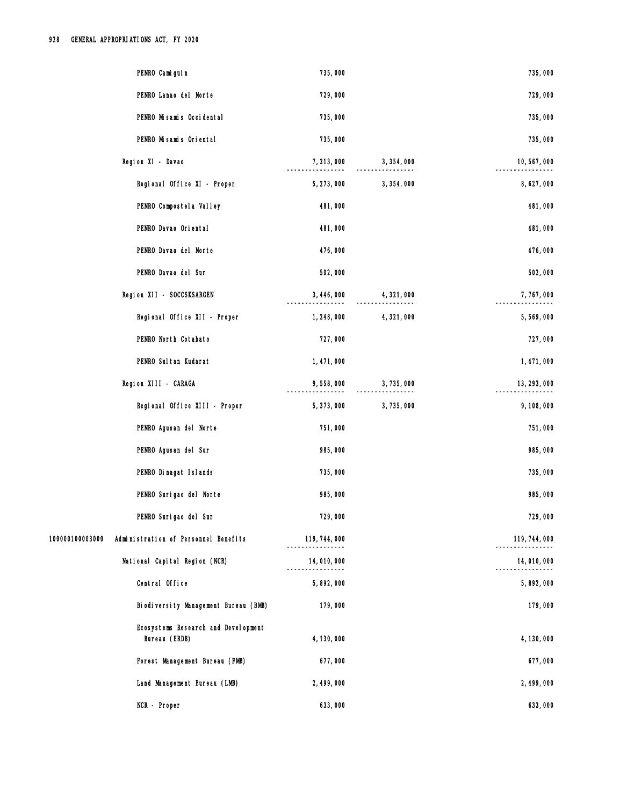| PENRO Cami gui n                                        | 735,000            |             | 735,000       |
|---------------------------------------------------------|--------------------|-------------|---------------|
| PENRO Lanao del Norte                                   | 729,000            |             | 729,000       |
| PENRO Misamis Occidental                                | 735,000            |             | 735,000       |
| PENRO Misamis Oriental                                  | 735,000            |             | 735,000       |
| Region XI - Davao                                       | 7, 213, 000        | 3, 354, 000 | 10,567,000    |
| Regional Office XI - Proper                             | 5, 273, 000        | 3, 354, 000 | 8,627,000     |
| PENRO Compostel a Valley                                | 481,000            |             | 481,000       |
| PENRO Davao Oriental                                    | 481,000            |             | 481,000       |
| PENRO Davao del Norte                                   | 476,000            |             | 476,000       |
| PENRO Davao del Sur                                     | 502,000            |             | 502,000       |
| Region XII - SOCCSKSARGEN                               | 3, 446, 000        | 4, 321, 000 | 7,767,000     |
| Regional Office XII - Proper                            | 1, 248, 000        | 4,321,000   | 5,569,000     |
| PENRO North Cotabato                                    | 727,000            |             | 727,000       |
| PENRO Sul tan Kudarat                                   | 1,471,000          |             | 1,471,000     |
| Region XIII - CARAGA                                    | 9,558,000          | 3,735,000   | 13, 293, 000  |
| Regional Office XIII - Proper                           | 5, 373, 000        | 3,735,000   | 9,108,000     |
| PENRO Agusan del Norte                                  | 751,000            |             | 751,000       |
| PENRO Agusan del Sur                                    | 985,000            |             | 985,000       |
| PENRO Dinagat Islands                                   | 735,000            |             | 735,000       |
| PENRO Surigao del Norte                                 | 985,000            |             | 985,000       |
| PENRO Surigao del Sur                                   | 729,000            |             | 729,000       |
| 100000100003000<br>Administration of Personnel Benefits | 119, 744, 000<br>. |             | 119, 744, 000 |
| National Capital Region (NCR)                           | 14,010,000         |             | 14,010,000    |
| Central Office                                          | 5,892,000          |             | 5,892,000     |
| Biodiversity Management Bureau (BMB)                    | 179,000            |             | 179,000       |
| Ecosystems Research and Development<br>Bureau (ERDB)    | 4, 130, 000        |             | 4, 130, 000   |
| Forest Management Bureau (FMB)                          | 677,000            |             | 677,000       |
| Land Management Bureau (LMB)                            | 2, 499, 000        |             | 2, 499, 000   |
| NCR - Proper                                            | 633,000            |             | 633,000       |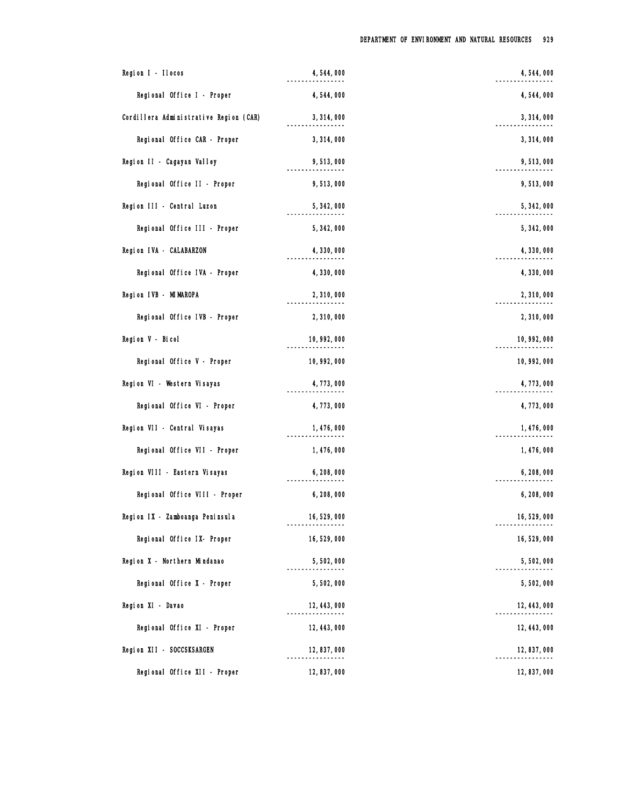| Region I - Ilocos                      | 4,544,000    | 4, 544, 000  |
|----------------------------------------|--------------|--------------|
| Regional Office I - Proper             | 4,544,000    | 4,544,000    |
| Cordillera Administrative Region (CAR) | 3, 314, 000  | 3, 314, 000  |
| Regional Office CAR - Proper           | 3,314,000    | 3,314,000    |
| Region II - Cagayan Valley             | 9,513,000    | 9,513,000    |
| Regional Office II - Proper            | 9,513,000    | 9,513,000    |
| Region III - Central Luzon             | 5, 342, 000  | 5, 342, 000  |
| Regional Office III - Proper           | 5, 342, 000  | 5, 342, 000  |
| Region IVA - CALABARZON                | 4,330,000    | 4,330,000    |
| Regional Office IVA - Proper           | 4, 330, 000  | 4,330,000    |
| Region IVB - MIMAROPA                  | 2,310,000    | 2,310,000    |
| Regional Office IVB - Proper           | 2,310,000    | 2,310,000    |
| Region V - Bicol                       | 10, 992, 000 | 10, 992, 000 |
| Regional Office V - Proper             | 10, 992, 000 | 10, 992, 000 |
| Region VI - Western Visayas            | 4,773,000    | 4,773,000    |
| Regional Office VI - Proper            | 4,773,000    | 4,773,000    |
| Region VII - Central Visayas           | 1, 476, 000  | 1,476,000    |
| Regional Office VII - Proper           | 1, 476, 000  | 1, 476, 000  |
| Region VIII - Eastern Visayas          | 6,208,000    | 6,208,000    |
| Regional Office VIII - Proper          | 6, 208, 000  | 6,208,000    |
| Region IX - Zamboanga Peninsula        | 16, 529, 000 | 16,529,000   |
| Regional Office IX- Proper             | 16,529,000   | 16,529,000   |
| Region X - Northern Mindanao           | 5,502,000    | 5,502,000    |
| Regional Office X - Proper             | 5,502,000    | 5,502,000    |
| Region XI - Davao                      | 12, 443, 000 | 12, 443, 000 |
| Regional Office XI - Proper            | 12, 443, 000 | 12, 443, 000 |
| Region XII - SOCCSKSARGEN              | 12, 837, 000 | 12, 837, 000 |
| Regional Office XII - Proper           | 12, 837, 000 | 12,837,000   |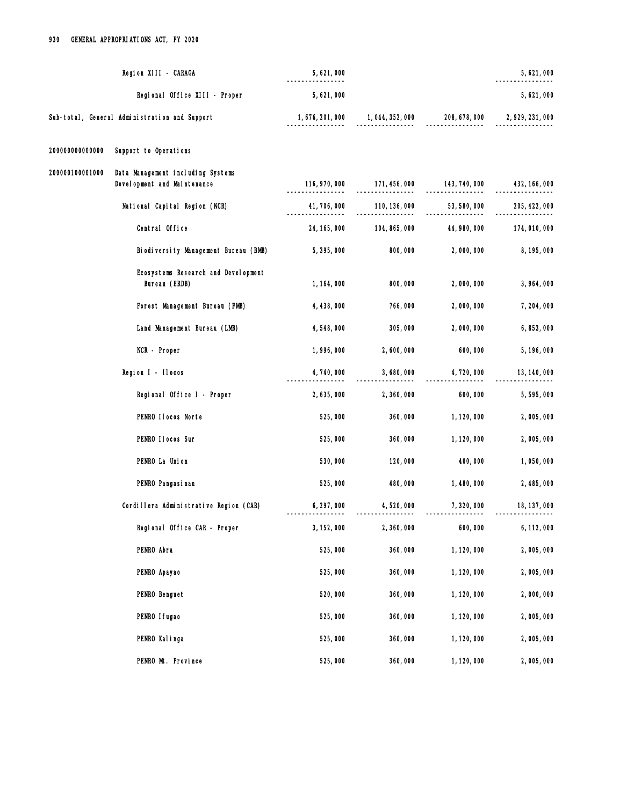|                 | Region XIII - CARAGA                                              | 5, 621, 000      |               |               | 5,621,000        |
|-----------------|-------------------------------------------------------------------|------------------|---------------|---------------|------------------|
|                 | Regional Office XIII - Proper                                     | 5,621,000        |               |               | 5,621,000        |
|                 | Sub-total, General Administration and Support                     | 1, 676, 201, 000 | 1,044,352,000 | 208, 678, 000 | 2, 929, 231, 000 |
| 20000000000000  | Support to Operations                                             |                  |               |               |                  |
| 200000100001000 | Data Management including Systems<br>Devel opment and Maintenance | 116, 970, 000    | 171, 456, 000 | 143, 740, 000 | 432, 166, 000    |
|                 | National Capital Region (NCR)                                     | 41, 706, 000     | 110, 136, 000 | 53, 580, 000  | 205, 422, 000    |
|                 | Central Office                                                    | 24, 165, 000     | 104, 865, 000 | 44, 980, 000  | 174,010,000      |
|                 | Biodiversity Management Bureau (BMB)                              | 5,395,000        | 800,000       | 2,000,000     | 8, 195, 000      |
|                 | Ecosystems Research and Development<br>Bureau (ERDB)              | 1, 164, 000      | 800,000       | 2,000,000     | 3,964,000        |
|                 | Forest Management Bureau (FMB)                                    | 4, 438, 000      | 766,000       | 2,000,000     | 7,204,000        |
|                 | Land Management Bureau (LMB)                                      | 4,548,000        | 305,000       | 2,000,000     | 6,853,000        |
|                 | NCR - Proper                                                      | 1,996,000        | 2,600,000     | 600,000       | 5, 196, 000      |
|                 | Region I - Ilocos                                                 | 4,740,000        | 3,680,000     | 4,720,000     | 13, 140, 000     |
|                 | Regional Office I - Proper                                        | 2,635,000        | 2,360,000     | 600,000       | 5,595,000        |
|                 | PENRO Ilocos Norte                                                | 525,000          | 360,000       | 1, 120, 000   | 2,005,000        |
|                 | PENRO II ocos Sur                                                 | 525,000          | 360,000       | 1, 120, 000   | 2,005,000        |
|                 | PENRO La Union                                                    | 530,000          | 120,000       | 400,000       | 1,050,000        |
|                 | PENRO Pangasi nan                                                 | 525,000          | 480,000       | 1,480,000     | 2,485,000        |
|                 | Cordillera Administrative Region (CAR)                            | 6, 297, 000      | 4,520,000     | 7,320,000     | 18, 137, 000     |
|                 | Regional Office CAR - Proper                                      | 3, 152, 000      | 2,360,000     | 600,000       | 6, 112, 000      |
|                 | PENRO Abra                                                        | 525,000          | 360,000       | 1, 120, 000   | 2,005,000        |
|                 | PENRO Apayao                                                      | 525,000          | 360,000       | 1, 120, 000   | 2,005,000        |
|                 | PENRO Benguet                                                     | 520,000          | 360,000       | 1, 120, 000   | 2,000,000        |
|                 | PENRO I fugao                                                     | 525,000          | 360,000       | 1, 120, 000   | 2,005,000        |
|                 | PENRO Kalinga                                                     | 525,000          | 360,000       | 1, 120, 000   | 2,005,000        |
|                 | PENRO Mt. Province                                                | 525,000          | 360,000       | 1, 120, 000   | 2,005,000        |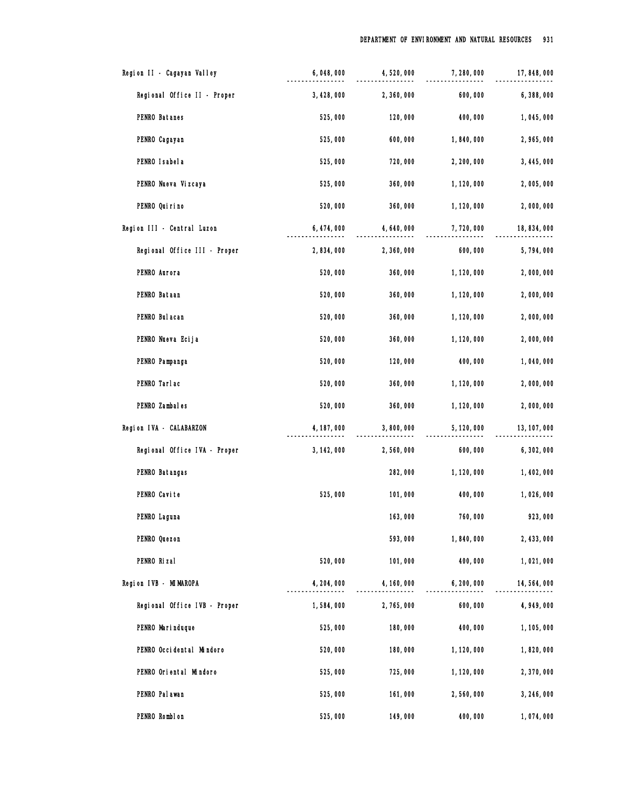| Region II - Cagayan Valley   | 6,048,000   | 4,520,000   | 7,280,000   | 17, 848, 000 |
|------------------------------|-------------|-------------|-------------|--------------|
| Regional Office II - Proper  | 3, 428, 000 | 2,360,000   | 600,000     | 6,388,000    |
| PENRO Batanes                | 525,000     | 120,000     | 400,000     | 1,045,000    |
| PENRO Cagayan                | 525,000     | 600,000     | 1,840,000   | 2,965,000    |
| PENRO I sabel a              | 525,000     | 720,000     | 2, 200, 000 | 3, 445, 000  |
| PENRO Nueva Vizcaya          | 525,000     | 360,000     | 1, 120, 000 | 2,005,000    |
| PENRO Qui ri no              | 520,000     | 360,000     | 1, 120, 000 | 2,000,000    |
| Region III - Central Luzon   | 6, 474, 000 | 4, 640, 000 | 7,720,000   | 18,834,000   |
| Regional Office III - Proper | 2,834,000   | 2,360,000   | 600,000     | 5,794,000    |
| PENRO Aurora                 | 520,000     | 360,000     | 1, 120, 000 | 2,000,000    |
| PENRO Bataan                 | 520,000     | 360,000     | 1, 120, 000 | 2,000,000    |
| PENRO Bul acan               | 520,000     | 360,000     | 1, 120, 000 | 2,000,000    |
| PENRO Nueva Ecija            | 520,000     | 360,000     | 1, 120, 000 | 2,000,000    |
| PENRO Pampanga               | 520,000     | 120,000     | 400,000     | 1,040,000    |
| PENRO Tarlac                 | 520,000     | 360,000     | 1, 120, 000 | 2,000,000    |
| PENRO Zambales               | 520,000     | 360,000     | 1, 120, 000 | 2,000,000    |
| Region IVA - CALABARZON      | 4, 187, 000 | 3,800,000   | 5, 120, 000 | 13, 107, 000 |
| Regional Office IVA - Proper | 3, 142, 000 | 2,560,000   | 600,000     | 6, 302, 000  |
| PENRO Batangas               |             | 282,000     | 1, 120, 000 | 1,402,000    |
| PENRO Cavite                 | 525,000     | 101,000     | 400,000     | 1,026,000    |
| PENRO Laguna                 |             | 163,000     | 760,000     | 923,000      |
| PENRO Quezon                 |             | 593,000     | 1,840,000   | 2, 433, 000  |
| PENRO Rizal                  | 520,000     | 101,000     | 400,000     | 1,021,000    |
| Region IVB - MIMAROPA        | 4, 204, 000 | 4, 160, 000 | 6, 200, 000 | 14, 564, 000 |
| Regional Office IVB - Proper | 1,584,000   | 2,765,000   | 600,000     | 4, 949, 000  |
| PENRO Mari nduque            | 525,000     | 180,000     | 400,000     | 1, 105, 000  |
| PENRO Occidental Mindoro     | 520,000     | 180,000     | 1, 120, 000 | 1,820,000    |
| PENRO Oriental Mindoro       | 525,000     | 725,000     | 1, 120, 000 | 2,370,000    |
| PENRO Pal awan               | 525,000     | 161,000     | 2,560,000   | 3, 246, 000  |
| PENRO Romblon                | 525,000     | 149,000     | 400,000     | 1,074,000    |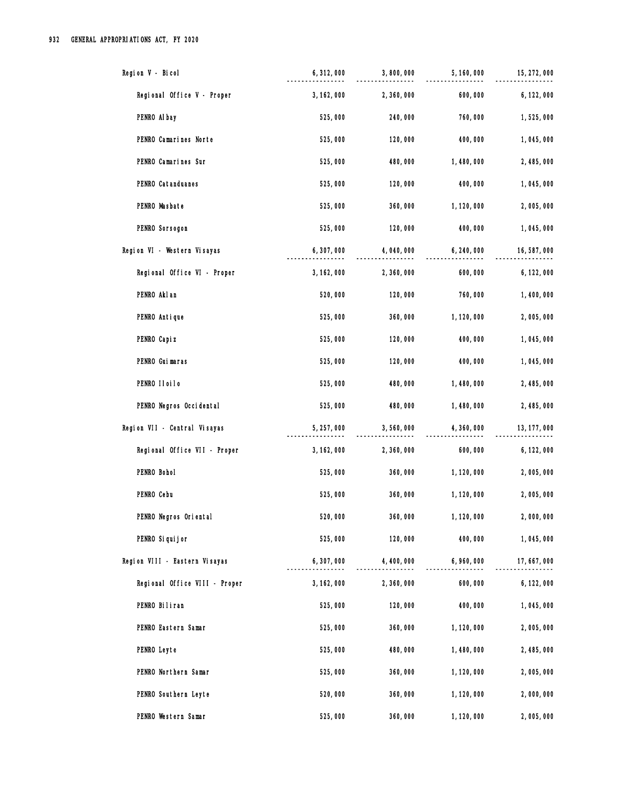| Region V - Bicol              | 6, 312, 000 | 3,800,000   | 5, 160, 000 | 15, 272, 000 |
|-------------------------------|-------------|-------------|-------------|--------------|
| Regional Office V - Proper    | 3, 162, 000 | 2,360,000   | 600,000     | 6, 122, 000  |
| PENRO Al bay                  | 525,000     | 240,000     | 760,000     | 1,525,000    |
| PENRO Camarines Norte         | 525,000     | 120,000     | 400,000     | 1,045,000    |
| PENRO Camarines Sur           | 525,000     | 480,000     | 1,480,000   | 2,485,000    |
| PENRO Catanduanes             | 525,000     | 120,000     | 400,000     | 1,045,000    |
| PENRO Masbate                 | 525,000     | 360,000     | 1, 120, 000 | 2,005,000    |
| PENRO Sorsogon                | 525,000     | 120,000     | 400,000     | 1,045,000    |
| Region VI - Western Visayas   | 6,307,000   | 4,040,000   | 6,240,000   | 16,587,000   |
| Regional Office VI - Proper   | 3, 162, 000 | 2,360,000   | 600,000     | 6, 122, 000  |
| PENRO Akl an                  | 520,000     | 120,000     | 760,000     | 1,400,000    |
| PENRO Antique                 | 525,000     | 360,000     | 1, 120, 000 | 2,005,000    |
| PENRO Capi z                  | 525,000     | 120,000     | 400,000     | 1,045,000    |
| PENRO Guimaras                | 525,000     | 120,000     | 400,000     | 1,045,000    |
| PENRO IIoiIo                  | 525,000     | 480,000     | 1,480,000   | 2,485,000    |
| PENRO Negros Occidental       | 525,000     | 480,000     | 1,480,000   | 2,485,000    |
| Region VII - Central Visayas  | 5, 257, 000 | 3,560,000   | 4,360,000   | 13, 177, 000 |
| Regional Office VII - Proper  | 3, 162, 000 | 2,360,000   | 600,000     | 6, 122, 000  |
| PENRO Bohol                   | 525,000     | 360,000     | 1, 120, 000 | 2,005,000    |
| PENRO Cebu                    | 525,000     | 360,000     | 1, 120, 000 | 2,005,000    |
| PENRO Negros Oriental         | 520,000     | 360,000     | 1, 120, 000 | 2,000,000    |
| PENRO Si qui j or             | 525,000     | 120,000     | 400,000     | 1,045,000    |
| Region VIII - Eastern Visayas | 6, 307, 000 | 4, 400, 000 | 6,960,000   | 17,667,000   |
| Regional Office VIII - Proper | 3, 162, 000 | 2,360,000   | 600,000     | 6, 122, 000  |
| PENRO Biliran                 | 525,000     | 120,000     | 400,000     | 1,045,000    |
| PENRO Eastern Samar           | 525,000     | 360,000     | 1, 120, 000 | 2,005,000    |
| PENRO Leyte                   | 525,000     | 480,000     | 1,480,000   | 2,485,000    |
| PENRO Northern Samar          | 525,000     | 360,000     | 1, 120, 000 | 2,005,000    |
| PENRO Southern Leyte          | 520,000     | 360,000     | 1, 120, 000 | 2,000,000    |
| PENRO Western Samar           | 525,000     | 360,000     | 1, 120, 000 | 2,005,000    |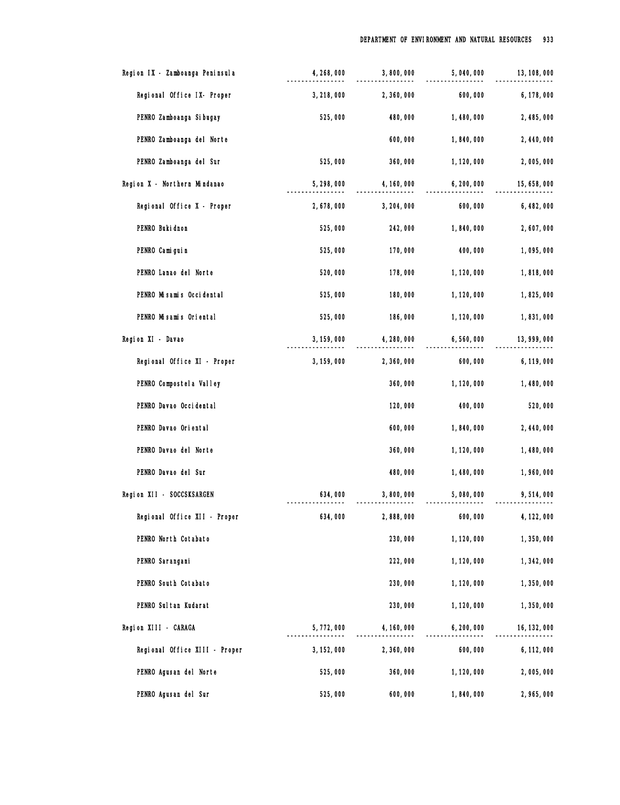| Region IX - Zamboanga Peninsula | 4, 268, 000 | 3,800,000   | 5,040,000   | 13, 108, 000 |
|---------------------------------|-------------|-------------|-------------|--------------|
| Regional Office IX- Proper      | 3, 218, 000 | 2,360,000   | 600,000     | 6, 178, 000  |
| PENRO Zamboanga Si bugay        | 525,000     | 480,000     | 1,480,000   | 2,485,000    |
| PENRO Zamboanga del Norte       |             | 600,000     | 1,840,000   | 2,440,000    |
| PENRO Zamboanga del Sur         | 525,000     | 360,000     | 1, 120, 000 | 2,005,000    |
| Region X - Northern Mindanao    | 5,298,000   | 4, 160, 000 | 6, 200, 000 | 15, 658, 000 |
| Regional Office X - Proper      | 2,678,000   | 3, 204, 000 | 600,000     | 6, 482, 000  |
| PENRO Buki dnon                 | 525,000     | 242,000     | 1,840,000   | 2,607,000    |
| PENRO Camiguin                  | 525,000     | 170,000     | 400,000     | 1,095,000    |
| PENRO Lanao del Norte           | 520,000     | 178,000     | 1, 120, 000 | 1,818,000    |
| PENRO Misamis Occidental        | 525,000     | 180,000     | 1, 120, 000 | 1,825,000    |
| PENRO Misamis Oriental          | 525,000     | 186,000     | 1, 120, 000 | 1,831,000    |
| Region XI - Davao               | 3, 159, 000 | 4, 280, 000 | 6,560,000   | 13, 999, 000 |
| Regional Office XI - Proper     | 3, 159, 000 | 2,360,000   | 600,000     | 6, 119, 000  |
| PENRO Compostel a Valley        |             | 360,000     | 1, 120, 000 | 1,480,000    |
| PENRO Davao Occidental          |             | 120,000     | 400,000     | 520,000      |
| PENRO Davao Oriental            |             | 600,000     | 1,840,000   | 2,440,000    |
| PENRO Davao del Norte           |             | 360,000     | 1, 120, 000 | 1,480,000    |
| PENRO Davao del Sur             |             | 480,000     | 1,480,000   | 1,960,000    |
| Region XII - SOCCSKSARGEN       | 634,000     | 3,800,000   | 5,080,000   | 9,514,000    |
| Regional Office XII - Proper    | 634,000     | 2,888,000   | 600,000     | 4, 122, 000  |
| PENRO North Cotabato            |             | 230,000     | 1, 120, 000 | 1,350,000    |
| PENRO Sarangani                 |             | 222,000     | 1, 120, 000 | 1,342,000    |
| PENRO South Cotabato            |             | 230,000     | 1, 120, 000 | 1,350,000    |
| PENRO Sul tan Kudarat           |             | 230,000     | 1, 120, 000 | 1,350,000    |
| Region XIII - CARAGA            | 5,772,000   | 4, 160, 000 | 6, 200, 000 | 16, 132, 000 |
| Regional Office XIII - Proper   | 3, 152, 000 | 2,360,000   | 600,000     | 6, 112, 000  |
| PENRO Agusan del Norte          | 525,000     | 360,000     | 1, 120, 000 | 2,005,000    |
| PENRO Agusan del Sur            | 525,000     | 600,000     | 1,840,000   | 2,965,000    |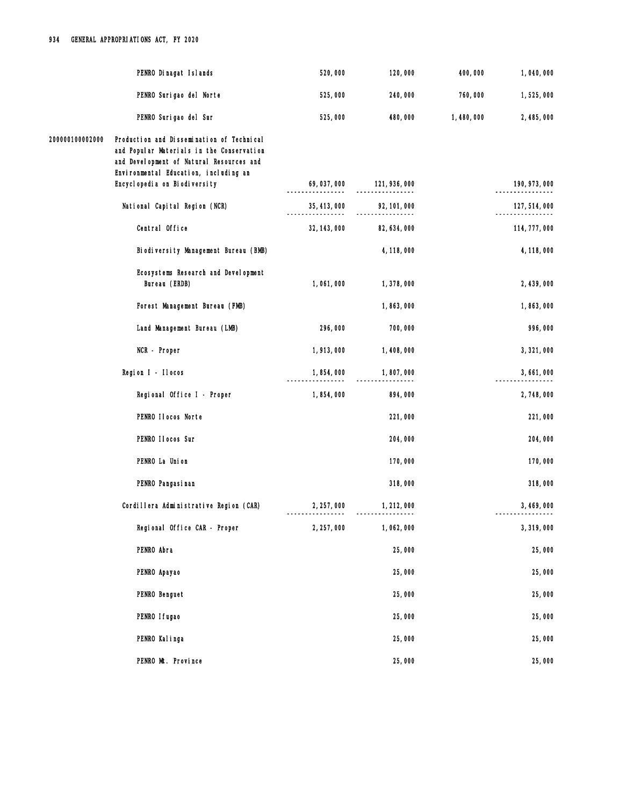|                 | PENRO Dinagat Islands                                                                                                                                                       | 520,000      | 120,000       | 400,000   | 1,040,000     |
|-----------------|-----------------------------------------------------------------------------------------------------------------------------------------------------------------------------|--------------|---------------|-----------|---------------|
|                 | PENRO Surigao del Norte                                                                                                                                                     | 525,000      | 240,000       | 760,000   | 1,525,000     |
|                 | PENRO Surigao del Sur                                                                                                                                                       | 525,000      | 480,000       | 1,480,000 | 2,485,000     |
| 200000100002000 | Production and Dissemination of Technical<br>and Popular Materials in the Conservation<br>and Development of Natural Resources and<br>Environmental Education, including an |              |               |           |               |
|                 | Encyclopedia on Biodiversity                                                                                                                                                | 69,037,000   | 121, 936, 000 |           | 190, 973, 000 |
|                 | National Capital Region (NCR)                                                                                                                                               | 35, 413, 000 | 92, 101, 000  |           | 127, 514, 000 |
|                 | Central Office                                                                                                                                                              | 32, 143, 000 | 82, 634, 000  |           | 114, 777, 000 |
|                 | Biodiversity Management Bureau (BMB)                                                                                                                                        |              | 4, 118, 000   |           | 4, 118, 000   |
|                 | Ecosystems Research and Development<br>Bureau (ERDB)                                                                                                                        | 1,061,000    | 1,378,000     |           | 2, 439, 000   |
|                 | Forest Management Bureau (FMB)                                                                                                                                              |              | 1,863,000     |           | 1,863,000     |
|                 | Land Management Bureau (LMB)                                                                                                                                                | 296,000      | 700,000       |           | 996,000       |
|                 | NCR - Proper                                                                                                                                                                | 1,913,000    | 1,408,000     |           | 3, 321, 000   |
|                 | Region I - Ilocos                                                                                                                                                           | 1,854,000    | 1,807,000     |           | 3,661,000     |
|                 | Regional Office I - Proper                                                                                                                                                  | 1,854,000    | 894,000       |           | 2,748,000     |
|                 | PENRO Ilocos Norte                                                                                                                                                          |              | 221,000       |           | 221,000       |
|                 | PENRO II ocos Sur                                                                                                                                                           |              | 204,000       |           | 204,000       |
|                 | PENRO La Union                                                                                                                                                              |              | 170,000       |           | 170,000       |
|                 | PENRO Pangasi nan                                                                                                                                                           |              | 318,000       |           | 318,000       |
|                 | Cordillera Administrative Region (CAR)                                                                                                                                      | 2, 257, 000  | 1, 212, 000   |           | 3, 469, 000   |
|                 | Regional Office CAR - Proper                                                                                                                                                | 2, 257, 000  | 1,062,000     |           | 3,319,000     |
|                 | PENRO Abra                                                                                                                                                                  |              | 25,000        |           | 25,000        |
|                 | PENRO Apayao                                                                                                                                                                |              | 25,000        |           | 25,000        |
|                 | PENRO Benguet                                                                                                                                                               |              | 25,000        |           | 25,000        |
|                 | PENRO I fugao                                                                                                                                                               |              | 25,000        |           | 25,000        |
|                 | PENRO Kalinga                                                                                                                                                               |              | 25,000        |           | 25,000        |
|                 | PENRO Mt. Province                                                                                                                                                          |              | 25,000        |           | 25,000        |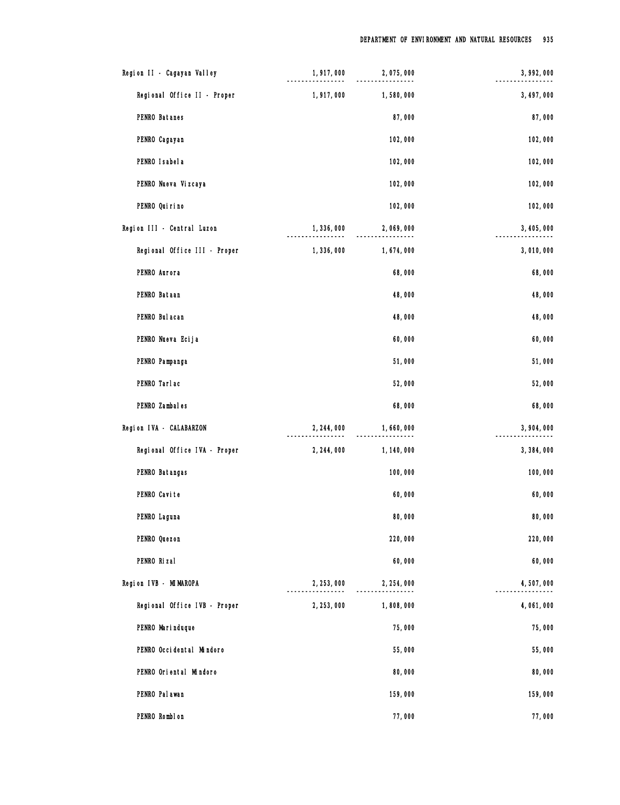| Region II - Cagayan Valley |                              | 1,917,000   | 2,075,000   | 3, 992, 000 |
|----------------------------|------------------------------|-------------|-------------|-------------|
|                            | Regional Office II - Proper  | 1,917,000   | 1,580,000   | 3, 497, 000 |
| PENRO Batanes              |                              |             | 87,000      | 87,000      |
| PENRO Cagayan              |                              |             | 102,000     | 102,000     |
| PENRO Isabela              |                              |             | 102,000     | 102,000     |
| PENRO Nueva Vizcaya        |                              |             | 102,000     | 102,000     |
| PENRO Qui ri no            |                              |             | 102,000     | 102,000     |
| Region III - Central Luzon |                              | 1,336,000   | 2,069,000   | 3, 405, 000 |
|                            | Regional Office III - Proper | 1,336,000   | 1,674,000   | 3,010,000   |
| PENRO Aurora               |                              |             | 68,000      | 68,000      |
| PENRO Bataan               |                              |             | 48,000      | 48,000      |
| PENRO Bul acan             |                              |             | 48,000      | 48,000      |
| PENRO Nueva Ecija          |                              |             | 60,000      | 60,000      |
| PENRO Pampanga             |                              |             | 51,000      | 51,000      |
| PENRO Tarlac               |                              |             | 52,000      | 52,000      |
| PENRO Zambales             |                              |             | 68,000      | 68,000      |
| Region IVA - CALABARZON    |                              | 2, 244, 000 | 1,660,000   | 3,904,000   |
|                            | Regional Office IVA - Proper | 2, 244, 000 | 1, 140, 000 | 3,384,000   |
| PENRO Batangas             |                              |             | 100,000     | 100,000     |
| PENRO Cavite               |                              |             | 60,000      | 60,000      |
| PENRO Laguna               |                              |             | 80,000      | 80,000      |
| PENRO Quezon               |                              |             | 220,000     | 220,000     |
| PENRO Rizal                |                              |             | 60,000      | 60,000      |
| Region IVB - MIMAROPA      |                              | 2, 253, 000 | 2, 254, 000 | 4,507,000   |
|                            | Regional Office IVB - Proper | 2, 253, 000 | 1,808,000   | 4,061,000   |
| PENRO Marinduque           |                              |             | 75,000      | 75,000      |
|                            | PENRO Occidental Mindoro     |             | 55,000      | 55,000      |
|                            | PENRO Oriental Mindoro       |             | 80,000      | 80,000      |
| PENRO Pal awan             |                              |             | 159,000     | 159,000     |
| PENRO Romblon              |                              |             | 77,000      | 77,000      |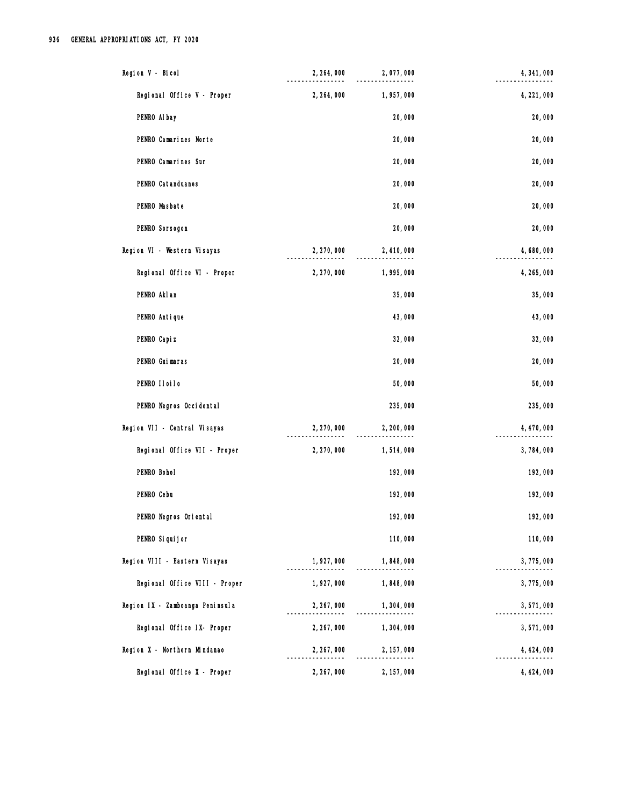| Region V - Bicol                | 2, 264, 000 | 2,077,000   | 4, 341, 000 |
|---------------------------------|-------------|-------------|-------------|
| Regional Office V - Proper      | 2, 264, 000 | 1,957,000   | 4, 221, 000 |
| PENRO Al bay                    |             | 20,000      | 20,000      |
| PENRO Camarines Norte           |             | 20,000      | 20,000      |
| PENRO Camarines Sur             |             | 20,000      | 20,000      |
| PENRO Catanduanes               |             | 20,000      | 20,000      |
| PENRO Masbate                   |             | 20,000      | 20,000      |
| PENRO Sorsogon                  |             | 20,000      | 20,000      |
| Region VI - Western Visayas     | 2, 270, 000 | 2,410,000   | 4,680,000   |
| Regional Office VI - Proper     | 2, 270, 000 | 1,995,000   | 4, 265, 000 |
| PENRO Akl an                    |             | 35,000      | 35,000      |
| PENRO Antique                   |             | 43,000      | 43,000      |
| PENRO Capi z                    |             | 32,000      | 32,000      |
| PENRO Guimaras                  |             | 20,000      | 20,000      |
| PENRO IIoiIo                    |             | 50,000      | 50,000      |
| PENRO Negros Occidental         |             | 235,000     | 235,000     |
| Region VII - Central Visayas    | 2, 270, 000 | 2, 200, 000 | 4, 470, 000 |
| Regional Office VII - Proper    | 2, 270, 000 | 1,514,000   | 3,784,000   |
| PENRO Bohol                     |             | 192,000     | 192,000     |
| PENRO Cebu                      |             | 192,000     | 192,000     |
| PENRO Negros Oriental           |             | 192,000     | 192,000     |
| PENRO Si qui j or               |             | 110,000     | 110,000     |
| Region VIII - Eastern Visayas   | 1,927,000   | 1,848,000   | 3,775,000   |
| Regional Office VIII - Proper   | 1,927,000   | 1,848,000   | 3,775,000   |
| Region IX - Zamboanga Peninsula | 2, 267, 000 | 1,304,000   | 3,571,000   |
| Regional Office IX- Proper      | 2, 267, 000 | 1,304,000   | 3,571,000   |
| Region X - Northern Mindanao    | 2, 267, 000 | 2, 157, 000 | 4, 424, 000 |
| Regional Office X - Proper      | 2, 267, 000 | 2, 157, 000 | 4, 424, 000 |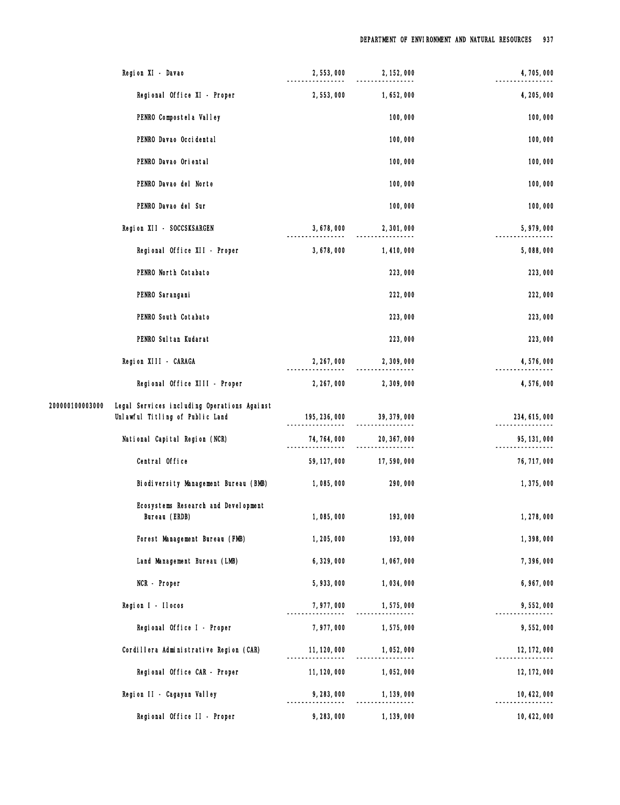|                 | Region XI - Davao                                                              | 2,553,000    | 2, 152, 000                    | 4,705,000     |
|-----------------|--------------------------------------------------------------------------------|--------------|--------------------------------|---------------|
|                 | Regional Office XI - Proper                                                    | 2, 553, 000  | 1,652,000                      | 4, 205, 000   |
|                 | PENRO Compostel a Valley                                                       |              | 100,000                        | 100,000       |
|                 | PENRO Davao Occidental                                                         |              | 100,000                        | 100,000       |
|                 | PENRO Davao Oriental                                                           |              | 100,000                        | 100,000       |
|                 | PENRO Davao del Norte                                                          |              | 100,000                        | 100,000       |
|                 | PENRO Davao del Sur                                                            |              | 100,000                        | 100,000       |
|                 | Region XII - SOCCSKSARGEN                                                      | 3,678,000    | 2,301,000                      | 5,979,000     |
|                 | Regional Office XII - Proper                                                   | 3,678,000    | 1,410,000                      | 5,088,000     |
|                 | PENRO North Cotabato                                                           |              | 223,000                        | 223,000       |
|                 | PENRO Sarangani                                                                |              | 222,000                        | 222,000       |
|                 | PENRO South Cotabato                                                           |              | 223,000                        | 223,000       |
|                 | PENRO Sul tan Kudarat                                                          |              | 223,000                        | 223,000       |
|                 | Region XIII - CARAGA                                                           | 2, 267, 000  | 2,309,000                      | 4,576,000     |
|                 | Regional Office XIII - Proper                                                  | 2, 267, 000  | 2,309,000                      | 4,576,000     |
| 200000100003000 | Legal Services including Operations Against<br>Unlawful Titling of Public Land |              | $195, 236, 000$ $39, 379, 000$ | 234, 615, 000 |
|                 | National Capital Region (NCR)                                                  | 74, 764, 000 | 20, 367, 000                   | 95, 131, 000  |
|                 | Central Office                                                                 | 59, 127, 000 | 17,590,000                     | 76, 717, 000  |
|                 | Biodiversity Management Bureau (BMB)                                           | 1,085,000    | 290,000                        | 1,375,000     |
|                 | Ecosystems Research and Development<br>Bureau (ERDB)                           | 1,085,000    | 193,000                        | 1,278,000     |
|                 | Forest Management Bureau (FMB)                                                 | 1, 205, 000  | 193,000                        | 1,398,000     |
|                 | Land Management Bureau (LMB)                                                   | 6, 329, 000  | 1,067,000                      | 7,396,000     |
|                 | NCR - Proper                                                                   | 5,933,000    | 1,034,000                      | 6,967,000     |
|                 | Region I - Ilocos                                                              | 7,977,000    | 1,575,000                      | 9,552,000     |
|                 | Regional Office I - Proper                                                     | 7,977,000    | 1,575,000                      | 9,552,000     |
|                 | Cordillera Administrative Region (CAR)                                         | 11, 120, 000 | 1,052,000                      | 12, 172, 000  |
|                 | Regional Office CAR - Proper                                                   | 11, 120, 000 | 1,052,000                      | 12, 172, 000  |
|                 | Region II - Cagayan Valley                                                     | 9, 283, 000  | 1, 139, 000                    | 10, 422, 000  |
|                 | Regional Office II - Proper                                                    | 9,283,000    | 1, 139, 000                    | 10, 422, 000  |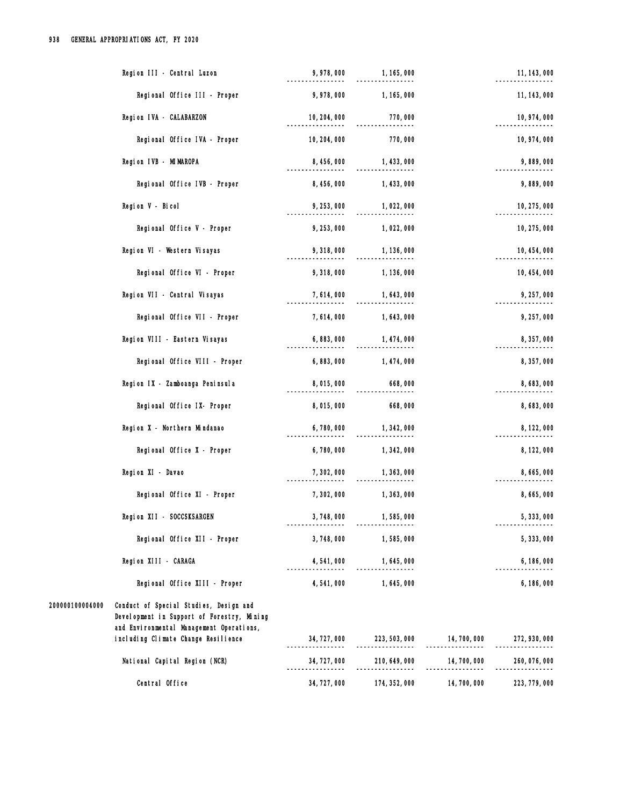| Region III - Central Luzon                                                                                                                                                                 | 9,978,000    | 1, 165, 000                |              | 11, 143, 000  |
|--------------------------------------------------------------------------------------------------------------------------------------------------------------------------------------------|--------------|----------------------------|--------------|---------------|
| Regional Office III - Proper                                                                                                                                                               | 9,978,000    | 1, 165, 000                |              | 11, 143, 000  |
| Region IVA - CALABARZON                                                                                                                                                                    | 10, 204, 000 | 770,000                    |              | 10, 974, 000  |
| Regional Office IVA - Proper                                                                                                                                                               | 10, 204, 000 | 770,000                    |              | 10, 974, 000  |
| Region IVB - MIMAROPA                                                                                                                                                                      | 8, 456, 000  | 1, 433, 000                |              | 9,889,000     |
| Regional Office IVB - Proper                                                                                                                                                               | 8, 456, 000  | 1, 433, 000                |              | 9,889,000     |
| Region V - Bicol                                                                                                                                                                           | 9, 253, 000  | 1,022,000                  |              | 10, 275, 000  |
| Regional Office V - Proper                                                                                                                                                                 | 9, 253, 000  | 1,022,000                  |              | 10, 275, 000  |
| Region VI - Western Visayas                                                                                                                                                                | 9,318,000    | 1, 136, 000                |              | 10, 454, 000  |
| Regional Office VI - Proper                                                                                                                                                                | 9,318,000    | 1, 136, 000                |              | 10, 454, 000  |
| Region VII - Central Visayas                                                                                                                                                               | 7,614,000    | 1, 643, 000                |              | 9, 257, 000   |
| Regional Office VII - Proper                                                                                                                                                               | 7, 614, 000  | 1,643,000                  |              | 9, 257, 000   |
| Region VIII - Eastern Visayas                                                                                                                                                              | 6,883,000    | 1, 474, 000                |              | 8, 357, 000   |
| Regional Office VIII - Proper                                                                                                                                                              | 6,883,000    | 1, 474, 000                |              | 8,357,000     |
| Region IX - Zamboanga Peninsula                                                                                                                                                            | 8,015,000    | 668,000                    |              | 8,683,000     |
| Regional Office IX- Proper                                                                                                                                                                 | 8,015,000    | 668,000                    |              | 8,683,000     |
| Region X - Northern Mindanao                                                                                                                                                               | 6,780,000    | 1, 342, 000                |              | 8, 122, 000   |
| Regional Office X - Proper                                                                                                                                                                 | 6,780,000    | 1,342,000                  |              | 8, 122, 000   |
| Region XI - Davao                                                                                                                                                                          | 7,302,000    | 1, 363, 000                |              | 8,665,000     |
| Regional Office XI - Proper                                                                                                                                                                | 7,302,000    | 1,363,000                  |              | 8,665,000     |
| Region XII - SOCCSKSARGEN                                                                                                                                                                  | 3,748,000    | 1,585,000                  |              | 5, 333, 000   |
| Regional Office XII - Proper                                                                                                                                                               | 3,748,000    | 1,585,000                  |              | 5, 333, 000   |
| Region XIII - CARAGA                                                                                                                                                                       | 4, 541, 000  | 1,645,000                  |              | 6, 186, 000   |
| Regional Office XIII - Proper                                                                                                                                                              | 4, 541, 000  | 1,645,000                  |              | 6,186,000     |
| 200000100004000<br>Conduct of Special Studies, Design and<br>Development in Support of Forestry, Mining<br>and Environmental Management Operations,<br>including Climate Change Resilience | 34, 727, 000 | 223, 503, 000 14, 700, 000 |              | 272, 930, 000 |
| National Capital Region (NCR)                                                                                                                                                              | 34, 727, 000 | 210, 649, 000              | 14, 700, 000 | 260, 076, 000 |
| Central Office                                                                                                                                                                             | 34, 727, 000 | 174, 352, 000              | 14,700,000   | 223, 779, 000 |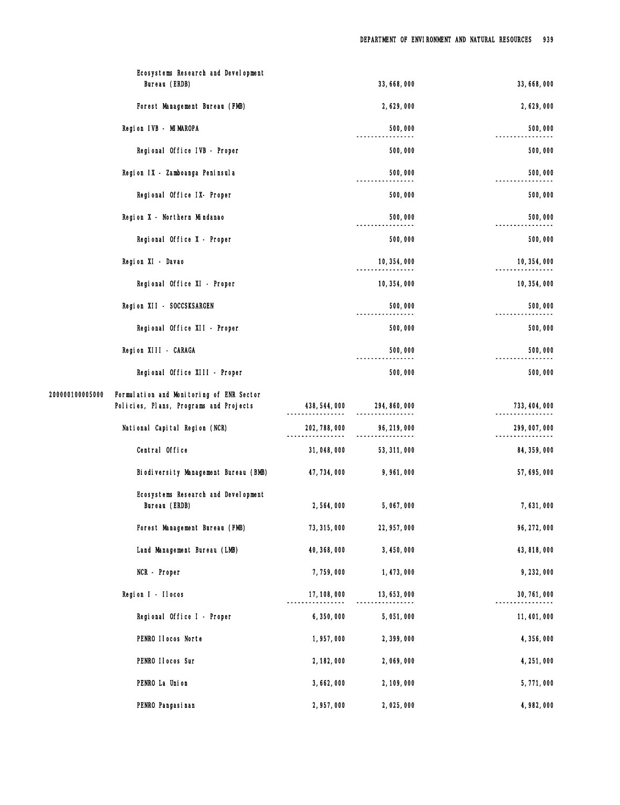|                 | Ecosystems Research and Development<br>Bureau (ERDB)                               |               | 33, 668, 000  | 33, 668, 000  |
|-----------------|------------------------------------------------------------------------------------|---------------|---------------|---------------|
|                 | Forest Management Bureau (FMB)                                                     |               | 2,629,000     | 2,629,000     |
|                 | Region IVB - MIMAROPA                                                              |               | 500,000       | 500,000       |
|                 | Regional Office IVB - Proper                                                       |               | 500,000       | 500,000       |
|                 | Region IX - Zamboanga Peninsula                                                    |               | 500,000       | 500,000       |
|                 | Regional Office IX- Proper                                                         |               | 500,000       | 500,000       |
|                 | Region X - Northern Mindanao                                                       |               | 500,000       | 500,000       |
|                 | Regional Office X - Proper                                                         |               | 500,000       | 500,000       |
|                 | Region XI - Davao                                                                  |               | 10, 354, 000  | 10, 354, 000  |
|                 | Regional Office XI - Proper                                                        |               | 10, 354, 000  | 10, 354, 000  |
|                 | Region XII - SOCCSKSARGEN                                                          |               | 500,000       | 500,000       |
|                 | Regional Office XII - Proper                                                       |               | 500,000       | 500,000       |
|                 | Region XIII - CARAGA                                                               |               | 500,000       | 500,000       |
|                 | Regional Office XIII - Proper                                                      |               | 500,000       | 500,000       |
| 200000100005000 | Formulation and Monitoring of ENR Sector<br>Policies, Plans, Programs and Projects | 438, 544, 000 | 294, 860, 000 | 733, 404, 000 |
|                 | National Capital Region (NCR)                                                      | 202, 788, 000 | 96, 219, 000  | 299, 007, 000 |
|                 | Central Office                                                                     | 31,048,000    | 53, 311, 000  | 84, 359, 000  |
|                 | Biodiversity Management Bureau (BMB)                                               | 47, 734, 000  | 9,961,000     | 57, 695, 000  |
|                 | Ecosystems Research and Development<br>Bureau (ERDB)                               | 2,564,000     | 5,067,000     | 7,631,000     |
|                 | Forest Management Bureau (FMB)                                                     | 73, 315, 000  | 22, 957, 000  | 96, 272, 000  |
|                 | Land Management Bureau (LMB)                                                       | 40, 368, 000  | 3,450,000     | 43, 818, 000  |
|                 | NCR - Proper                                                                       | 7,759,000     | 1, 473, 000   | 9, 232, 000   |
|                 | Region I - Ilocos                                                                  | 17, 108, 000  | 13, 653, 000  | 30, 761, 000  |
|                 | Regional Office I - Proper                                                         | 6,350,000     | 5,051,000     | 11, 401, 000  |
|                 | PENRO Ilocos Norte                                                                 | 1,957,000     | 2,399,000     | 4,356,000     |
|                 | PENRO II ocos Sur                                                                  | 2, 182, 000   | 2,069,000     | 4, 251, 000   |
|                 | PENRO La Union                                                                     | 3,662,000     | 2, 109, 000   | 5,771,000     |
|                 | PENRO Pangasi nan                                                                  | 2,957,000     | 2,025,000     | 4,982,000     |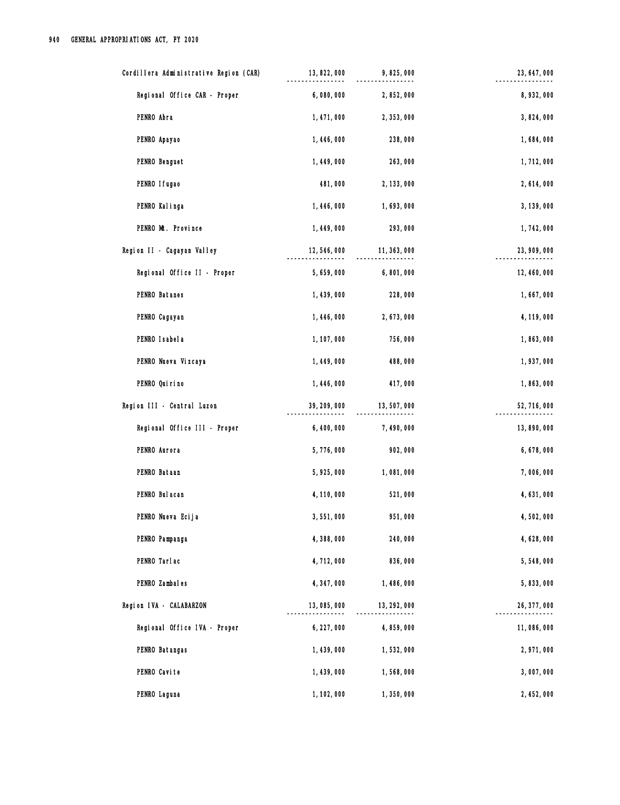| Cordillera Administrative Region (CAR) | 13, 822, 000 | 9,825,000    | 23, 647, 000 |
|----------------------------------------|--------------|--------------|--------------|
| Regional Office CAR - Proper           | 6,080,000    | 2,852,000    | 8,932,000    |
| PENRO Abra                             | 1, 471, 000  | 2,353,000    | 3,824,000    |
| PENRO Apayao                           | 1,446,000    | 238,000      | 1,684,000    |
| PENRO Benguet                          | 1, 449, 000  | 263,000      | 1,712,000    |
| PENRO I fugao                          | 481,000      | 2, 133, 000  | 2, 614, 000  |
| PENRO Kalinga                          | 1, 446, 000  | 1,693,000    | 3, 139, 000  |
| PENRO Mt. Province                     | 1, 449, 000  | 293,000      | 1,742,000    |
| Region II - Cagayan Valley             | 12,546,000   | 11, 363, 000 | 23, 909, 000 |
| Regional Office II - Proper            | 5,659,000    | 6,801,000    | 12, 460, 000 |
| PENRO Batanes                          | 1,439,000    | 228,000      | 1,667,000    |
| PENRO Cagayan                          | 1, 446, 000  | 2,673,000    | 4, 119, 000  |
| PENRO Isabela                          | 1, 107, 000  | 756,000      | 1,863,000    |
| PENRO Nueva Vizcaya                    | 1,449,000    | 488,000      | 1,937,000    |
| PENRO Quirino                          | 1,446,000    | 417,000      | 1,863,000    |
| Region III - Central Luzon             | 39, 209, 000 | 13,507,000   | 52, 716, 000 |
| Regional Office III - Proper           | 6,400,000    | 7,490,000    | 13,890,000   |
| PENRO Aurora                           | 5,776,000    | 902,000      | 6, 678, 000  |
| PENRO Bataan                           | 5,925,000    | 1,081,000    | 7,006,000    |
| PENRO Bul acan                         | 4, 110, 000  | 521,000      | 4,631,000    |
| PENRO Nueva Ecija                      | 3,551,000    | 951,000      | 4,502,000    |
| PENRO Pampanga                         | 4,388,000    | 240,000      | 4, 628, 000  |
| PENRO Tarlac                           | 4,712,000    | 836,000      | 5,548,000    |
| PENRO Zambales                         | 4, 347, 000  | 1,486,000    | 5,833,000    |
| Region IVA - CALABARZON                | 13,085,000   | 13, 292, 000 | 26, 377, 000 |
| Regional Office IVA - Proper           | 6, 227, 000  | 4,859,000    | 11,086,000   |
| PENRO Batangas                         | 1,439,000    | 1,532,000    | 2,971,000    |
| PENRO Cavite                           | 1, 439, 000  | 1,568,000    | 3,007,000    |
| PENRO Laguna                           | 1, 102, 000  | 1,350,000    | 2, 452, 000  |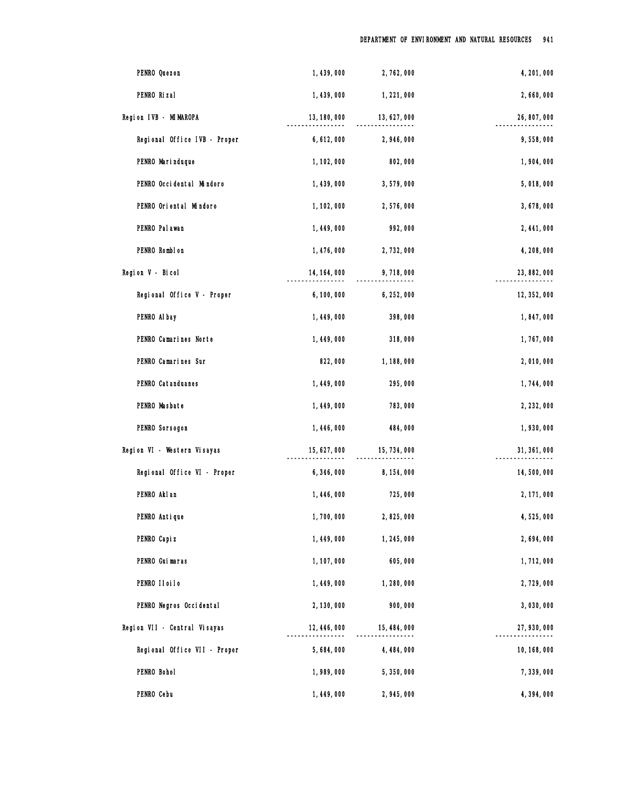| PENRO Quezon                 | 1,439,000    | 2,762,000    | 4, 201, 000  |
|------------------------------|--------------|--------------|--------------|
| PENRO Rizal                  | 1,439,000    | 1,221,000    | 2,660,000    |
| Region IVB - MIMAROPA        | 13, 180, 000 | 13, 627, 000 | 26, 807, 000 |
| Regional Office IVB - Proper | 6, 612, 000  | 2,946,000    | 9,558,000    |
| PENRO Marinduque             | 1, 102, 000  | 802,000      | 1,904,000    |
| PENRO Occidental Mindoro     | 1,439,000    | 3,579,000    | 5,018,000    |
| PENRO Oriental Mindoro       | 1, 102, 000  | 2,576,000    | 3,678,000    |
| PENRO Pal awan               | 1, 449, 000  | 992,000      | 2, 441, 000  |
| PENRO Romblon                | 1,476,000    | 2,732,000    | 4,208,000    |
| Region V - Bicol             | 14, 164, 000 | 9,718,000    | 23, 882, 000 |
| Regional Office V - Proper   | 6,100,000    | 6,252,000    | 12, 352, 000 |
| PENRO Al bay                 | 1,449,000    | 398,000      | 1,847,000    |
| PENRO Camarines Norte        | 1, 449, 000  | 318,000      | 1,767,000    |
| PENRO Camarines Sur          | 822,000      | 1,188,000    | 2,010,000    |
| PENRO Catanduanes            | 1, 449, 000  | 295,000      | 1,744,000    |
| PENRO Masbate                | 1,449,000    | 783,000      | 2, 232, 000  |
| PENRO Sorsogon               | 1,446,000    | 484,000      | 1,930,000    |
| Region VI - Western Visayas  | 15, 627, 000 | 15, 734, 000 | 31, 361, 000 |
| Regional Office VI - Proper  | 6,346,000    | 8, 154, 000  | 14,500,000   |
| PENRO Akl an                 | 1, 446, 000  | 725,000      | 2, 171, 000  |
| PENRO Antique                | 1,700,000    | 2,825,000    | 4,525,000    |
| PENRO Capi z                 | 1, 449, 000  | 1, 245, 000  | 2,694,000    |
| PENRO Guimaras               | 1, 107, 000  | 605,000      | 1,712,000    |
| PENRO IIoiIo                 | 1, 449, 000  | 1,280,000    | 2,729,000    |
| PENRO Negros Occidental      | 2, 130, 000  | 900,000      | 3,030,000    |
| Region VII - Central Visayas | 12, 446, 000 | 15, 484, 000 | 27, 930, 000 |
| Regional Office VII - Proper | 5,684,000    | 4, 484, 000  | 10, 168, 000 |
| PENRO Bohol                  | 1,989,000    | 5,350,000    | 7,339,000    |
| PENRO Cebu                   | 1,449,000    | 2,945,000    | 4,394,000    |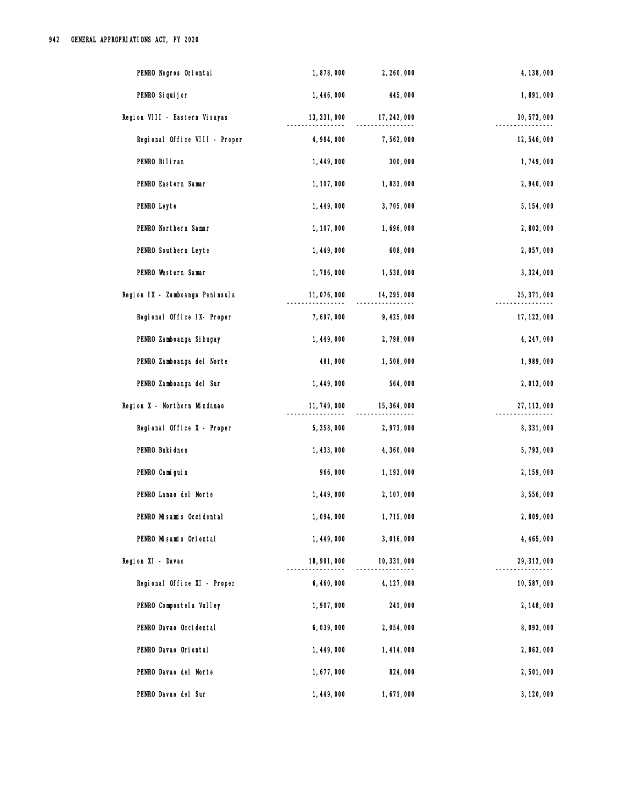| PENRO Negros Oriental           | 1,878,000    | 2, 260, 000  | 4, 138, 000  |
|---------------------------------|--------------|--------------|--------------|
| PENRO Si qui j or               | 1, 446, 000  | 445,000      | 1,891,000    |
| Region VIII - Eastern Visayas   | 13, 331, 000 | 17, 242, 000 | 30, 573, 000 |
| Regional Office VIII - Proper   | 4,984,000    | 7,562,000    | 12,546,000   |
| PENRO Biliran                   | 1, 449, 000  | 300,000      | 1,749,000    |
| PENRO Eastern Samar             | 1, 107, 000  | 1,833,000    | 2,940,000    |
| PENRO Leyte                     | 1, 449, 000  | 3,705,000    | 5, 154, 000  |
| PENRO Northern Samar            | 1, 107, 000  | 1,696,000    | 2,803,000    |
| PENRO Southern Leyte            | 1,449,000    | 608,000      | 2,057,000    |
| PENRO Western Samar             | 1,786,000    | 1,538,000    | 3, 324, 000  |
| Region IX - Zamboanga Peninsula | 11,076,000   | 14, 295, 000 | 25, 371, 000 |
| Regional Office IX- Proper      | 7,697,000    | 9,425,000    | 17, 122, 000 |
| PENRO Zamboanga Si bugay        | 1, 449, 000  | 2,798,000    | 4, 247, 000  |
| PENRO Zamboanga del Norte       | 481,000      | 1,508,000    | 1,989,000    |
| PENRO Zamboanga del Sur         | 1, 449, 000  | 564,000      | 2,013,000    |
| Region X - Northern Mindanao    | 11, 749, 000 | 15, 364, 000 | 27, 113, 000 |
| Regional Office X - Proper      | 5,358,000    | 2,973,000    | 8,331,000    |
| PENRO Buki dnon                 | 1, 433, 000  | 4, 360, 000  | 5,793,000    |
| PENRO Camiguin                  | 966,000      | 1, 193, 000  | 2, 159, 000  |
| PENRO Lanao del Norte           | 1, 449, 000  | 2, 107, 000  | 3,556,000    |
| PENRO Misamis Occidental        | 1,094,000    | 1,715,000    | 2,809,000    |
| PENRO Misamis Oriental          | 1, 449, 000  | 3,016,000    | 4, 465, 000  |
| Region XI - Davao               | 18, 981, 000 | 10, 331, 000 | 29, 312, 000 |
| Regional Office XI - Proper     | 6,460,000    | 4, 127, 000  | 10,587,000   |
| PENRO Compostel a Valley        | 1,907,000    | 241,000      | 2, 148, 000  |
| PENRO Davao Occi dental         | 6,039,000    | 2,054,000    | 8,093,000    |
| PENRO Davao Oriental            | 1, 449, 000  | 1, 414, 000  | 2,863,000    |
| PENRO Davao del Norte           | 1,677,000    | 824,000      | 2,501,000    |
| PENRO Davao del Sur             | 1,449,000    | 1,671,000    | 3, 120, 000  |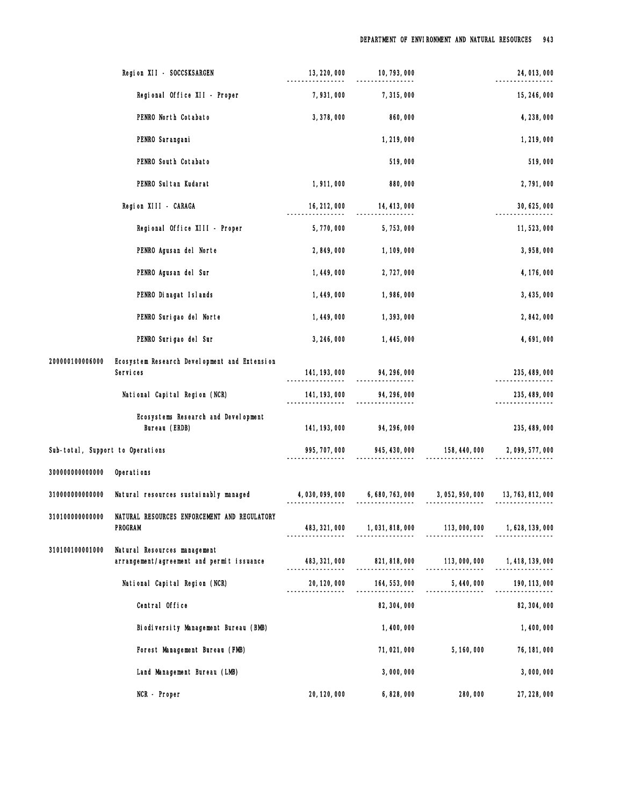|                                  | Region XII - SOCCSKSARGEN                                                 | 13, 220, 000                     | 10, 793, 000                                                         |                                 | 24, 013, 000     |
|----------------------------------|---------------------------------------------------------------------------|----------------------------------|----------------------------------------------------------------------|---------------------------------|------------------|
|                                  | Regional Office XII - Proper                                              | 7,931,000                        | 7,315,000                                                            |                                 | 15, 246, 000     |
|                                  | PENRO North Cotabato                                                      | 3,378,000                        | 860,000                                                              |                                 | 4, 238, 000      |
|                                  | PENRO Sarangani                                                           |                                  | 1,219,000                                                            |                                 | 1,219,000        |
|                                  | PENRO South Cotabato                                                      |                                  | 519,000                                                              |                                 | 519,000          |
|                                  | PENRO Sul tan Kudarat                                                     | 1,911,000                        | 880,000                                                              |                                 | 2,791,000        |
|                                  | Region XIII - CARAGA                                                      | 16, 212, 000                     | 14, 413, 000                                                         |                                 | 30, 625, 000     |
|                                  | Regional Office XIII - Proper                                             | 5,770,000                        | 5,753,000                                                            |                                 | 11,523,000       |
|                                  | PENRO Agusan del Norte                                                    | 2,849,000                        | 1, 109, 000                                                          |                                 | 3,958,000        |
|                                  | PENRO Agusan del Sur                                                      | 1,449,000                        | 2,727,000                                                            |                                 | 4, 176, 000      |
|                                  | PENRO Dinagat Islands                                                     | 1, 449, 000                      | 1,986,000                                                            |                                 | 3, 435, 000      |
|                                  | PENRO Surigao del Norte                                                   | 1, 449, 000                      | 1,393,000                                                            |                                 | 2,842,000        |
|                                  | PENRO Surigao del Sur                                                     | 3, 246, 000                      | 1, 445, 000                                                          |                                 | 4,691,000        |
| 200000100006000                  | Ecosystem Research Development and Extension<br>Services                  |                                  | 141, 193, 000 94, 296, 000                                           |                                 | 235, 489, 000    |
|                                  | National Capital Region (NCR)                                             | 141, 193, 000                    | 94, 296, 000                                                         |                                 | 235, 489, 000    |
|                                  | Ecosystems Research and Development<br>Bureau (ERDB)                      | 141, 193, 000                    | 94, 296, 000                                                         |                                 | 235, 489, 000    |
| Sub-total, Support to Operations |                                                                           | 995, 707, 000                    | 945, 430, 000                                                        | 158, 440, 000                   | 2,099,577,000    |
| 300000000000000                  | Operations                                                                |                                  |                                                                      |                                 |                  |
| 310000000000000                  | Natural resources sustainably managed                                     |                                  | 4, 030, 099, 000 6, 680, 763, 000 3, 052, 950, 000 13, 763, 812, 000 |                                 |                  |
| 310100000000000                  | NATURAL RESOURCES ENFORCEMENT AND REGULATORY<br><b>PROGRAM</b>            | 483, 321, 000                    |                                                                      |                                 |                  |
| 310100100001000                  | Natural Resources management<br>arrangement/agreement and permit issuance | 483, 321, 000                    | 821, 818, 000 113, 000, 000                                          |                                 | 1, 418, 139, 000 |
|                                  | National Capital Region (NCR)                                             | 20, 120, 000<br>________________ | 164,553,000                                                          | 5, 440, 000<br>---------------- | 190, 113, 000    |
|                                  | Central Office                                                            |                                  | 82, 304, 000                                                         |                                 | 82, 304, 000     |
|                                  | Biodiversity Management Bureau (BMB)                                      |                                  | 1,400,000                                                            |                                 | 1,400,000        |
|                                  | Forest Management Bureau (FMB)                                            |                                  | 71, 021, 000                                                         | 5, 160, 000                     | 76, 181, 000     |
|                                  | Land Management Bureau (LMB)                                              |                                  | 3,000,000                                                            |                                 | 3,000,000        |
|                                  | NCR - Proper                                                              | 20, 120, 000                     | 6,828,000                                                            | 280,000                         | 27, 228, 000     |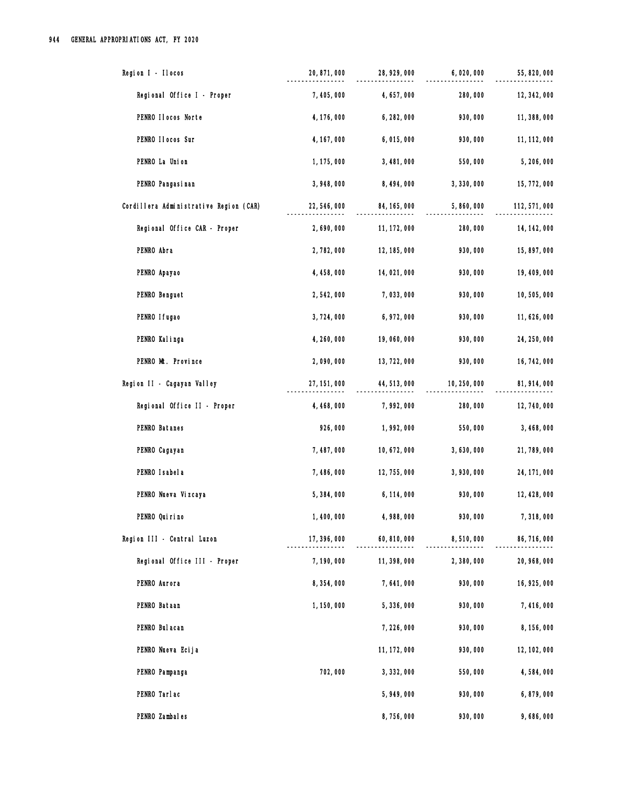| Region I - Ilocos                      | 20, 871, 000 | 28, 929, 000 | 6,020,000    | 55, 820, 000  |
|----------------------------------------|--------------|--------------|--------------|---------------|
| Regional Office I - Proper             | 7,405,000    | 4, 657, 000  | 280,000      | 12, 342, 000  |
| PENRO Ilocos Norte                     | 4, 176, 000  | 6, 282, 000  | 930,000      | 11, 388, 000  |
| PENRO II ocos Sur                      | 4, 167, 000  | 6,015,000    | 930,000      | 11, 112, 000  |
| PENRO La Union                         | 1, 175, 000  | 3,481,000    | 550,000      | 5,206,000     |
| PENRO Pangasi nan                      | 3,948,000    | 8, 494, 000  | 3,330,000    | 15, 772, 000  |
| Cordillera Administrative Region (CAR) | 22, 546, 000 | 84, 165, 000 | 5,860,000    | 112, 571, 000 |
| Regional Office CAR - Proper           | 2,690,000    | 11, 172, 000 | 280,000      | 14, 142, 000  |
| PENRO Abra                             | 2,782,000    | 12, 185, 000 | 930,000      | 15,897,000    |
| PENRO Apayao                           | 4, 458, 000  | 14,021,000   | 930,000      | 19, 409, 000  |
| PENRO Benguet                          | 2,542,000    | 7,033,000    | 930,000      | 10,505,000    |
| PENRO I fugao                          | 3,724,000    | 6, 972, 000  | 930,000      | 11, 626, 000  |
| PENRO Kalinga                          | 4, 260, 000  | 19,060,000   | 930,000      | 24, 250, 000  |
| PENRO Mt. Province                     | 2,090,000    | 13, 722, 000 | 930,000      | 16, 742, 000  |
| Region II - Cagayan Valley             | 27, 151, 000 | 44, 513, 000 | 10, 250, 000 | 81, 914, 000  |
| Regional Office II - Proper            | 4, 468, 000  | 7,992,000    | 280,000      | 12, 740, 000  |
| PENRO Batanes                          | 926,000      | 1,992,000    | 550,000      | 3, 468, 000   |
| PENRO Cagayan                          | 7, 487, 000  | 10, 672, 000 | 3,630,000    | 21,789,000    |
| PENRO I sabel a                        | 7,486,000    | 12, 755, 000 | 3,930,000    | 24, 171, 000  |
| PENRO Nueva Vizcaya                    | 5,384,000    | 6, 114, 000  | 930,000      | 12, 428, 000  |
| PENRO Qui ri no                        | 1,400,000    | 4,988,000    | 930,000      | 7,318,000     |
| Region III - Central Luzon             | 17, 396, 000 | 60, 810, 000 | 8,510,000    | 86, 716, 000  |
| Regional Office III - Proper           | 7,190,000    | 11, 398, 000 | 2,380,000    | 20, 968, 000  |
| PENRO Aurora                           | 8,354,000    | 7,641,000    | 930,000      | 16, 925, 000  |
| PENRO Bataan                           | 1, 150, 000  | 5,336,000    | 930,000      | 7,416,000     |
| PENRO Bul acan                         |              | 7,226,000    | 930,000      | 8, 156, 000   |
| PENRO Nueva Ecija                      |              | 11, 172, 000 | 930,000      | 12, 102, 000  |
| PENRO Pampanga                         | 702,000      | 3, 332, 000  | 550,000      | 4,584,000     |
| PENRO Tarlac                           |              | 5,949,000    | 930,000      | 6,879,000     |
| PENRO Zambales                         |              | 8,756,000    | 930,000      | 9,686,000     |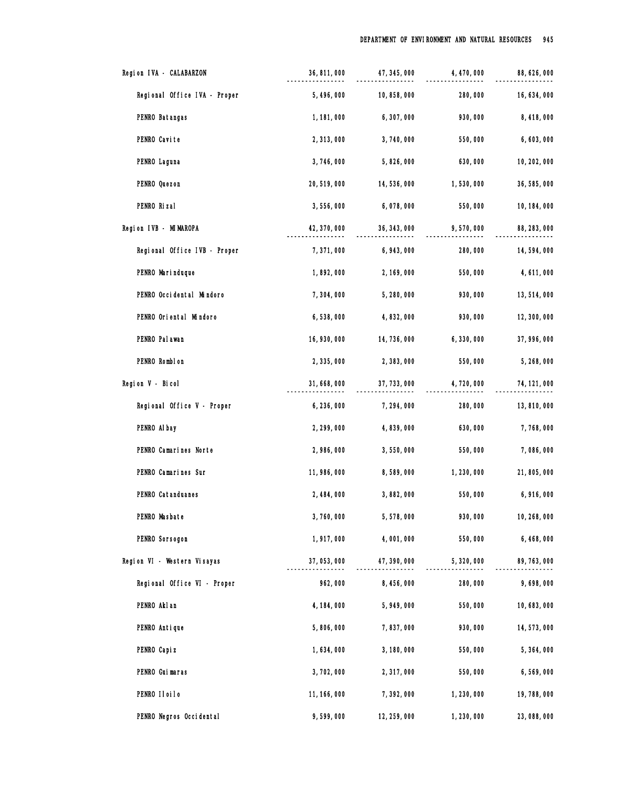| Region IVA - CALABARZON      | 36, 811, 000 | 47, 345, 000 | 4, 470, 000 | 88, 626, 000 |
|------------------------------|--------------|--------------|-------------|--------------|
| Regional Office IVA - Proper | 5, 496, 000  | 10,858,000   | 280,000     | 16, 634, 000 |
| PENRO Batangas               | 1, 181, 000  | 6,307,000    | 930,000     | 8,418,000    |
| PENRO Cavite                 | 2,313,000    | 3,740,000    | 550,000     | 6,603,000    |
| PENRO Laguna                 | 3,746,000    | 5,826,000    | 630,000     | 10, 202, 000 |
| PENRO Quezon                 | 20, 519, 000 | 14,536,000   | 1,530,000   | 36, 585, 000 |
| PENRO Rizal                  | 3,556,000    | 6,078,000    | 550,000     | 10, 184, 000 |
| Region IVB - MIMAROPA        | 42, 370, 000 | 36, 343, 000 | 9,570,000   | 88, 283, 000 |
| Regional Office IVB - Proper | 7,371,000    | 6,943,000    | 280,000     | 14,594,000   |
| PENRO Marinduque             | 1,892,000    | 2, 169, 000  | 550,000     | 4, 611, 000  |
| PENRO Occidental Mindoro     | 7,304,000    | 5,280,000    | 930,000     | 13, 514, 000 |
| PENRO Oriental Mindoro       | 6,538,000    | 4,832,000    | 930,000     | 12, 300, 000 |
| PENRO Pal awan               | 16, 930, 000 | 14, 736, 000 | 6,330,000   | 37, 996, 000 |
| PENRO Romblon                | 2,335,000    | 2,383,000    | 550,000     | 5,268,000    |
| Region V - Bicol             | 31, 668, 000 | 37, 733, 000 | 4,720,000   | 74, 121, 000 |
| Regional Office V - Proper   | 6,236,000    | 7,294,000    | 280,000     | 13,810,000   |
| PENRO Al bay                 | 2, 299, 000  | 4,839,000    | 630,000     | 7,768,000    |
| PENRO Camarines Norte        | 2,986,000    | 3,550,000    | 550,000     | 7,086,000    |
| PENRO Camarines Sur          | 11, 986, 000 | 8,589,000    | 1,230,000   | 21,805,000   |
| PENRO Catanduanes            | 2, 484, 000  | 3,882,000    | 550,000     | 6,916,000    |
| PENRO Masbate                | 3,760,000    | 5,578,000    | 930,000     | 10, 268, 000 |
| PENRO Sorsogon               | 1,917,000    | 4,001,000    | 550,000     | 6, 468, 000  |
| Region VI - Western Visayas  | 37, 053, 000 | 47, 390, 000 | 5,320,000   | 89, 763, 000 |
| Regional Office VI - Proper  | 962,000      | 8,456,000    | 280,000     | 9,698,000    |
| PENRO Akl an                 | 4, 184, 000  | 5,949,000    | 550,000     | 10,683,000   |
| PENRO Antique                | 5,806,000    | 7,837,000    | 930,000     | 14, 573, 000 |
| PENRO Capi z                 | 1,634,000    | 3, 180, 000  | 550,000     | 5,364,000    |
| PENRO Guimaras               | 3,702,000    | 2,317,000    | 550,000     | 6,569,000    |
| PENRO IIoiIo                 | 11, 166, 000 | 7,392,000    | 1,230,000   | 19,788,000   |
| PENRO Negros Occidental      | 9,599,000    | 12, 259, 000 | 1,230,000   | 23,088,000   |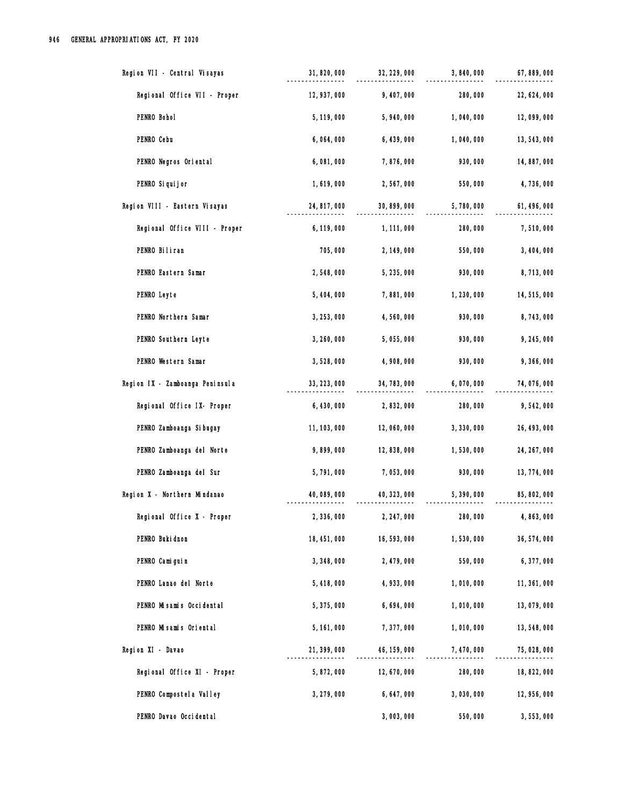| Region VII - Central Visayas    | 31, 820, 000 | 32, 229, 000 | 3,840,000   | 67, 889, 000 |
|---------------------------------|--------------|--------------|-------------|--------------|
| Regional Office VII - Proper    | 12, 937, 000 | 9,407,000    | 280,000     | 22, 624, 000 |
| PENRO Bohol                     | 5, 119, 000  | 5,940,000    | 1,040,000   | 12,099,000   |
| PENRO Cebu                      | 6,064,000    | 6, 439, 000  | 1,040,000   | 13, 543, 000 |
| PENRO Negros Oriental           | 6,081,000    | 7,876,000    | 930,000     | 14,887,000   |
| PENRO Si qui j or               | 1,619,000    | 2,567,000    | 550,000     | 4,736,000    |
| Region VIII - Eastern Visayas   | 24, 817, 000 | 30, 899, 000 | 5,780,000   | 61, 496, 000 |
| Regional Office VIII - Proper   | 6, 119, 000  | 1, 111, 000  | 280,000     | 7,510,000    |
| PENRO Biliran                   | 705,000      | 2, 149, 000  | 550,000     | 3, 404, 000  |
| PENRO Eastern Samar             | 2,548,000    | 5,235,000    | 930,000     | 8,713,000    |
| PENRO Leyte                     | 5, 404, 000  | 7,881,000    | 1,230,000   | 14,515,000   |
| PENRO Northern Samar            | 3, 253, 000  | 4,560,000    | 930,000     | 8,743,000    |
| PENRO Southern Leyte            | 3, 260, 000  | 5,055,000    | 930,000     | 9,245,000    |
| PENRO Western Samar             | 3,528,000    | 4,908,000    | 930,000     | 9,366,000    |
| Region IX - Zamboanga Peninsula | 33, 223, 000 | 34, 783, 000 | 6,070,000   | 74,076,000   |
| Regional Office IX- Proper      | 6,430,000    | 2,832,000    | 280,000     | 9,542,000    |
| PENRO Zamboanga Si bugay        | 11, 103, 000 | 12,060,000   | 3, 330, 000 | 26, 493, 000 |
| PENRO Zamboanga del Norte       | 9,899,000    | 12,838,000   | 1,530,000   | 24, 267, 000 |
| PENRO Zamboanga del Sur         | 5,791,000    | 7,053,000    | 930,000     | 13, 774, 000 |
| Region X - Northern Mindanao    | 40,089,000   | 40, 323, 000 | 5,390,000   | 85, 802, 000 |
| Regional Office X - Proper      | 2,336,000    | 2, 247, 000  | 280,000     | 4,863,000    |
| PENRO Buki dnon                 | 18, 451, 000 | 16,593,000   | 1,530,000   | 36, 574, 000 |
| PENRO Camiguin                  | 3, 348, 000  | 2, 479, 000  | 550,000     | 6,377,000    |
| PENRO Lanao del Norte           | 5,418,000    | 4, 933, 000  | 1,010,000   | 11, 361, 000 |
| PENRO Misamis Occidental        | 5,375,000    | 6,694,000    | 1,010,000   | 13,079,000   |
| PENRO Misamis Oriental          | 5, 161, 000  | 7,377,000    | 1,010,000   | 13,548,000   |
| Region XI - Davao               | 21, 399, 000 | 46, 159, 000 | 7,470,000   | 75,028,000   |
| Regional Office XI - Proper     | 5,872,000    | 12,670,000   | 280,000     | 18, 822, 000 |
| PENRO Compostel a Valley        | 3, 279, 000  | 6, 647, 000  | 3,030,000   | 12, 956, 000 |
| PENRO Davao Occidental          |              | 3,003,000    | 550,000     | 3,553,000    |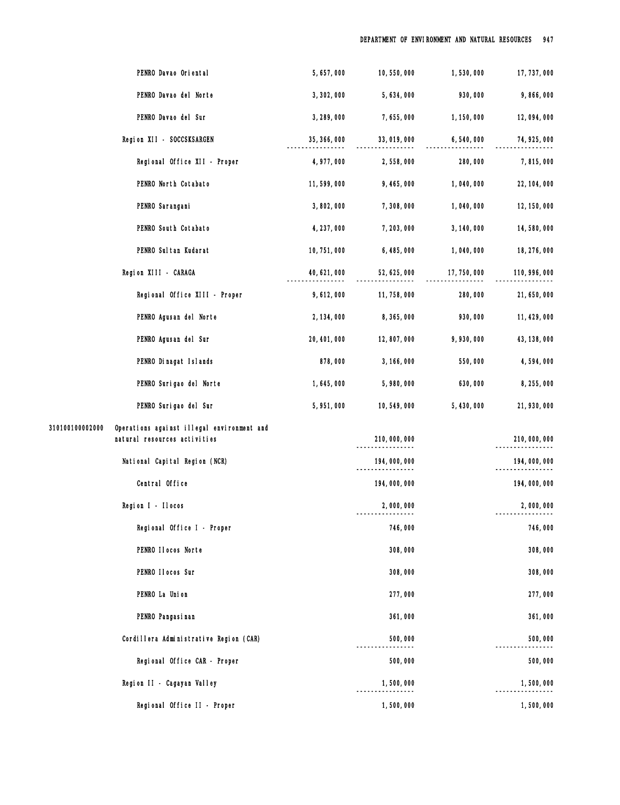|                 | PENRO Davao Oriental                                                       | 5,657,000    | 10,550,000   | 1,530,000    | 17, 737, 000  |
|-----------------|----------------------------------------------------------------------------|--------------|--------------|--------------|---------------|
|                 | PENRO Davao del Norte                                                      | 3, 302, 000  | 5,634,000    | 930,000      | 9,866,000     |
|                 | PENRO Davao del Sur                                                        | 3, 289, 000  | 7,655,000    | 1, 150, 000  | 12,094,000    |
|                 | Region XII - SOCCSKSARGEN                                                  | 35, 366, 000 | 33,019,000   | 6,540,000    | 74, 925, 000  |
|                 | Regional Office XII - Proper                                               | 4, 977, 000  | 2,558,000    | 280,000      | 7,815,000     |
|                 | PENRO North Cotabato                                                       | 11,599,000   | 9,465,000    | 1,040,000    | 22, 104, 000  |
|                 | PENRO Sarangani                                                            | 3,802,000    | 7,308,000    | 1,040,000    | 12, 150, 000  |
|                 | PENRO South Cotabato                                                       | 4, 237, 000  | 7, 203, 000  | 3, 140, 000  | 14,580,000    |
|                 | PENRO Sul tan Kudarat                                                      | 10, 751, 000 | 6,485,000    | 1,040,000    | 18, 276, 000  |
|                 | Region XIII - CARAGA                                                       | 40, 621, 000 | 52, 625, 000 | 17, 750, 000 | 110, 996, 000 |
|                 | Regional Office XIII - Proper                                              | 9,612,000    | 11, 758, 000 | 280,000      | 21, 650, 000  |
|                 | PENRO Agusan del Norte                                                     | 2, 134, 000  | 8,365,000    | 930,000      | 11, 429, 000  |
|                 | PENRO Agusan del Sur                                                       | 20, 401, 000 | 12,807,000   | 9,930,000    | 43, 138, 000  |
|                 | PENRO Dinagat Islands                                                      | 878,000      | 3, 166, 000  | 550,000      | 4,594,000     |
|                 | PENRO Surigao del Norte                                                    | 1,645,000    | 5,980,000    | 630,000      | 8, 255, 000   |
|                 | PENRO Surigao del Sur                                                      | 5,951,000    | 10,549,000   | 5,430,000    | 21, 930, 000  |
| 310100100002000 | Operations against illegal environment and<br>natural resources activities |              | 210,000,000  |              | 210,000,000   |
|                 | National Capital Region (NCR)                                              |              | 194,000,000  |              | 194,000,000   |
|                 | Central Office                                                             |              | 194,000,000  |              | 194,000,000   |
|                 | Region I - Ilocos                                                          |              | 2,000,000    |              | 2,000,000     |
|                 | Regional Office I - Proper                                                 |              | 746,000      |              | 746,000       |
|                 | PENRO IIocos Norte                                                         |              | 308,000      |              | 308,000       |
|                 | PENRO II ocos Sur                                                          |              | 308,000      |              | 308,000       |
|                 | PENRO La Union                                                             |              | 277,000      |              | 277,000       |
|                 | PENRO Pangasi nan                                                          |              | 361,000      |              | 361,000       |
|                 | Cordillera Administrative Region (CAR)                                     |              | 500,000      |              | 500,000       |
|                 | Regional Office CAR - Proper                                               |              | 500,000      |              | 500,000       |
|                 | Region II - Cagayan Valley                                                 |              | 1,500,000    |              | 1,500,000     |
|                 | Regional Office II - Proper                                                |              | 1,500,000    |              | 1,500,000     |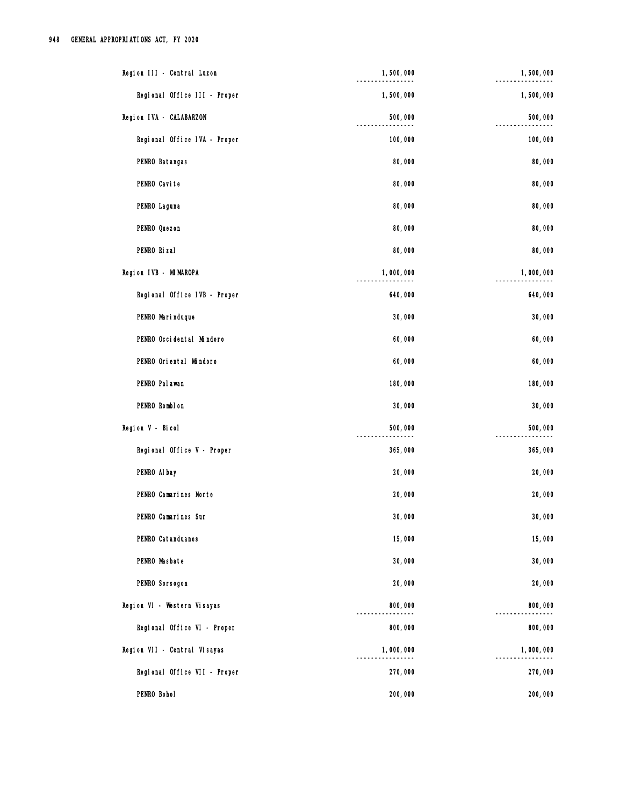| Region III - Central Luzon   | 1,500,000 | 1,500,000 |
|------------------------------|-----------|-----------|
| Regional Office III - Proper | 1,500,000 | 1,500,000 |
| Region IVA - CALABARZON      | 500,000   | 500,000   |
| Regional Office IVA - Proper | 100,000   | 100,000   |
| PENRO Batangas               | 80,000    | 80,000    |
| PENRO Cavite                 | 80,000    | 80,000    |
| PENRO Laguna                 | 80,000    | 80,000    |
| PENRO Quezon                 | 80,000    | 80,000    |
| PENRO Rizal                  | 80,000    | 80,000    |
| Region IVB - MIMAROPA        | 1,000,000 | 1,000,000 |
| Regional Office IVB - Proper | 640,000   | 640,000   |
| PENRO Marinduque             | 30,000    | 30,000    |
| PENRO Occidental Mindoro     | 60,000    | 60,000    |
| PENRO Oriental Mindoro       | 60,000    | 60,000    |
| PENRO Pal awan               | 180,000   | 180,000   |
| PENRO Romblon                | 30,000    | 30,000    |
| Region V - Bicol             | 500,000   | 500,000   |
| Regional Office V - Proper   | 365,000   | 365,000   |
| PENRO Al bay                 | 20,000    | 20,000    |
| PENRO Camarines Norte        | 20,000    | 20,000    |
| PENRO Camarines Sur          | 30,000    | 30,000    |
| PENRO Catanduanes            | 15,000    | 15,000    |
| PENRO Masbate                | 30,000    | 30,000    |
| PENRO Sorsogon               | 20,000    | 20,000    |
| Region VI - Western Visayas  | 800,000   | 800,000   |
| Regional Office VI - Proper  | 800,000   | 800,000   |
| Region VII - Central Visayas | 1,000,000 | 1,000,000 |
| Regional Office VII - Proper | 270,000   | 270,000   |
| PENRO Bohol                  | 200,000   | 200,000   |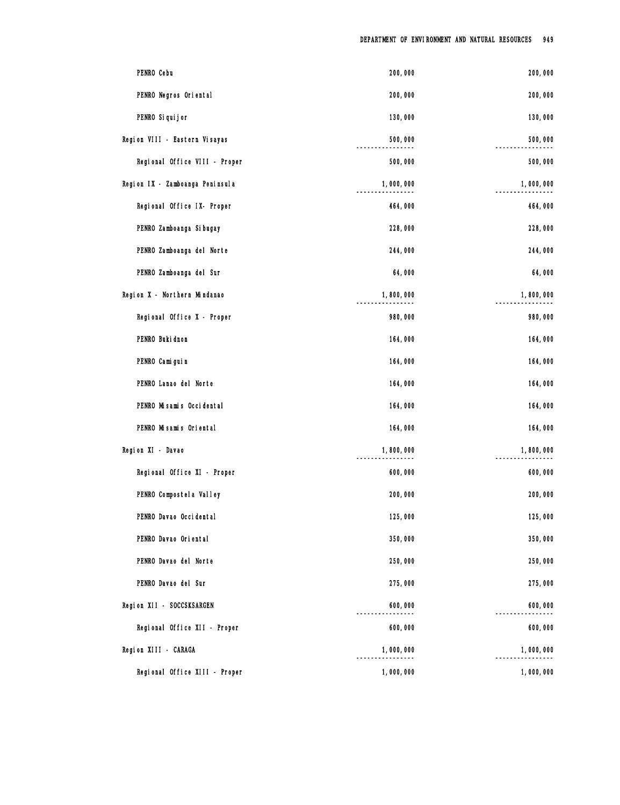| PENRO Cebu                      | 200,000   | 200,000   |
|---------------------------------|-----------|-----------|
| PENRO Negros Oriental           | 200,000   | 200,000   |
| PENRO Si qui j or               | 130,000   | 130,000   |
| Region VIII - Eastern Visayas   | 500,000   | 500,000   |
| Regional Office VIII - Proper   | 500,000   | 500,000   |
| Region IX - Zamboanga Peninsula | 1,000,000 | 1,000,000 |
| Regional Office IX- Proper      | 464,000   | 464,000   |
| PENRO Zamboanga Si bugay        | 228,000   | 228,000   |
| PENRO Zamboanga del Norte       | 244,000   | 244,000   |
| PENRO Zamboanga del Sur         | 64,000    | 64,000    |
| Region X - Northern Mindanao    | 1,800,000 | 1,800,000 |
| Regional Office X - Proper      | 980,000   | 980,000   |
| PENRO Buki dnon                 | 164,000   | 164,000   |
| PENRO Cami gui n                | 164,000   | 164,000   |
| PENRO Lanao del Norte           | 164,000   | 164,000   |
| PENRO Misamis Occidental        | 164,000   | 164,000   |
| PENRO Misamis Oriental          | 164,000   | 164,000   |
| Region XI - Davao               | 1,800,000 | 1,800,000 |
| Regional Office XI - Proper     | 600,000   | 600,000   |
| PENRO Compostel a Valley        | 200,000   | 200,000   |
| PENRO Davao Occidental          | 125,000   | 125,000   |
| PENRO Davao Oriental            | 350,000   | 350,000   |
| PENRO Davao del Norte           | 250,000   | 250,000   |
| PENRO Davao del Sur             | 275,000   | 275,000   |
| Region XII - SOCCSKSARGEN       | 600,000   | 600,000   |
| Regional Office XII - Proper    | 600,000   | 600,000   |
| Region XIII - CARAGA            | 1,000,000 | 1,000,000 |
| Regional Office XIII - Proper   | 1,000,000 | 1,000,000 |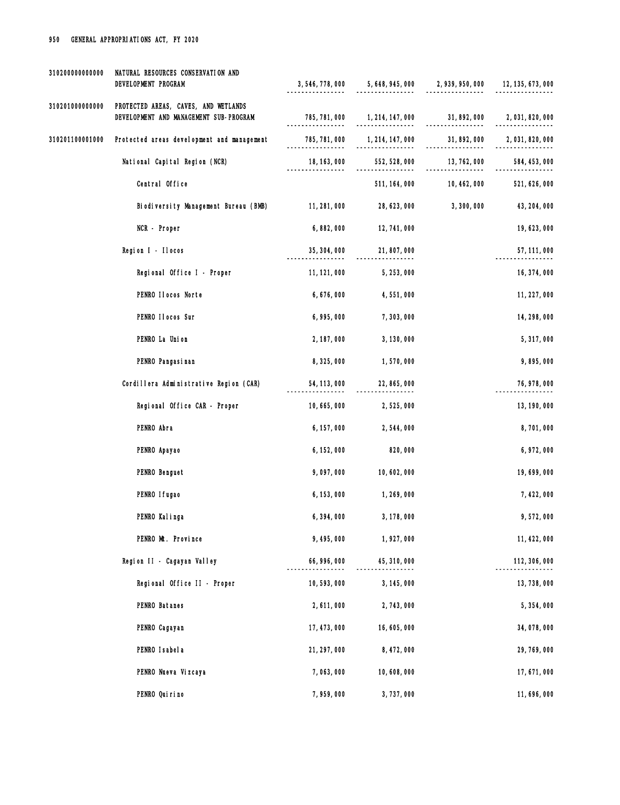| 310200000000000 | NATURAL RESOURCES CONSERVATION AND<br>DEVELOPMENT PROGRAM                      |               | $3,546,778,000$ $5,648,945,000$ $2,939,950,000$ $12,135,673,000$ |              |                  |
|-----------------|--------------------------------------------------------------------------------|---------------|------------------------------------------------------------------|--------------|------------------|
| 310201000000000 | PROTECTED AREAS, CAVES, AND WETLANDS<br>DEVELOPMENT AND MANAGEMENT SUB-PROGRAM | 785, 781, 000 | 1, 214, 147, 000 31, 892, 000                                    | -------      | 2, 031, 820, 000 |
| 310201100001000 | Protected areas development and management                                     | 785, 781, 000 | 1, 214, 147, 000                                                 | 31, 892, 000 | 2,031,820,000    |
|                 | National Capital Region (NCR)                                                  | 18, 163, 000  | 552, 528, 000                                                    | 13, 762, 000 | 584, 453, 000    |
|                 | Central Office                                                                 |               | 511, 164, 000                                                    | 10, 462, 000 | 521, 626, 000    |
|                 | Biodiversity Management Bureau (BMB)                                           | 11, 281, 000  | 28, 623, 000                                                     | 3,300,000    | 43, 204, 000     |
|                 | NCR - Proper                                                                   | 6,882,000     | 12, 741, 000                                                     |              | 19, 623, 000     |
|                 | Region I - Ilocos                                                              | 35, 304, 000  | 21,807,000                                                       |              | 57, 111, 000     |
|                 | Regional Office I - Proper                                                     | 11, 121, 000  | 5, 253, 000                                                      |              | 16, 374, 000     |
|                 | PENRO Ilocos Norte                                                             | 6, 676, 000   | 4,551,000                                                        |              | 11, 227, 000     |
|                 | PENRO II ocos Sur                                                              | 6,995,000     | 7, 303, 000                                                      |              | 14, 298, 000     |
|                 | PENRO La Union                                                                 | 2, 187, 000   | 3, 130, 000                                                      |              | 5, 317, 000      |
|                 | PENRO Pangasi nan                                                              | 8,325,000     | 1,570,000                                                        |              | 9,895,000        |
|                 | Cordillera Administrative Region (CAR)                                         | 54, 113, 000  | 22, 865, 000                                                     |              | 76, 978, 000     |
|                 | Regional Office CAR - Proper                                                   | 10, 665, 000  | 2,525,000                                                        |              | 13, 190, 000     |
|                 | PENRO Abra                                                                     | 6, 157, 000   | 2,544,000                                                        |              | 8,701,000        |
|                 | PENRO Apayao                                                                   | 6, 152, 000   | 820,000                                                          |              | 6, 972, 000      |
|                 | PENRO Benguet                                                                  | 9,097,000     | 10,602,000                                                       |              | 19,699,000       |
|                 | PENRO I fugao                                                                  | 6, 153, 000   | 1, 269, 000                                                      |              | 7, 422, 000      |
|                 | PENRO Kalinga                                                                  | 6,394,000     | 3, 178, 000                                                      |              | 9,572,000        |
|                 | PENRO Mt. Province                                                             | 9,495,000     | 1,927,000                                                        |              | 11, 422, 000     |
|                 | Region II - Cagayan Valley                                                     | 66, 996, 000  | 45, 310, 000                                                     |              | 112, 306, 000    |
|                 | Regional Office II - Proper                                                    | 10,593,000    | 3, 145, 000                                                      |              | 13, 738, 000     |
|                 | PENRO Batanes                                                                  | 2,611,000     | 2,743,000                                                        |              | 5,354,000        |
|                 | PENRO Cagayan                                                                  | 17, 473, 000  | 16, 605, 000                                                     |              | 34,078,000       |
|                 | PENRO I sabel a                                                                | 21, 297, 000  | 8, 472, 000                                                      |              | 29, 769, 000     |
|                 | PENRO Nueva Vizcaya                                                            | 7,063,000     | 10,608,000                                                       |              | 17,671,000       |
|                 | PENRO Quirino                                                                  | 7,959,000     | 3,737,000                                                        |              | 11,696,000       |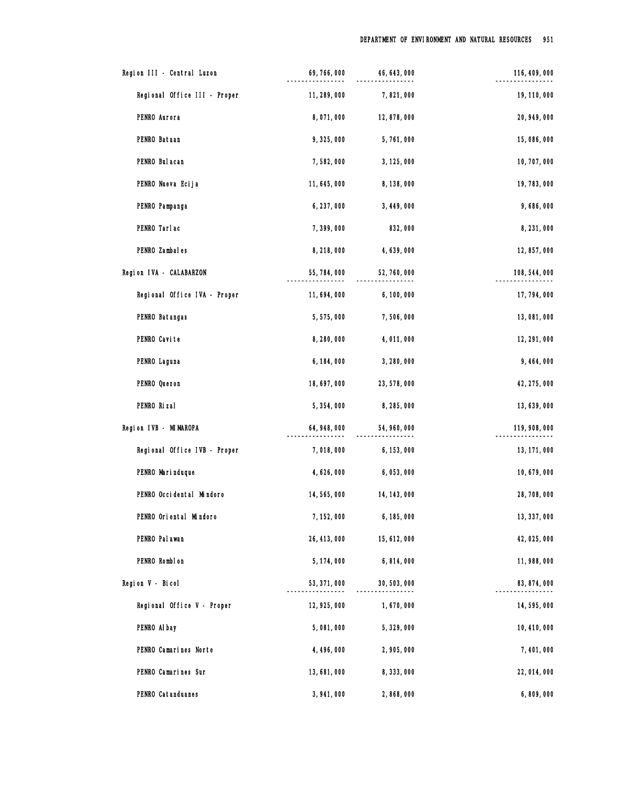| Region III - Central Luzon   | 69, 766, 000 | 46, 643, 000 | 116, 409, 000 |
|------------------------------|--------------|--------------|---------------|
| Regional Office III - Proper | 11, 289, 000 | 7,821,000    | 19, 110, 000  |
| PENRO Aurora                 | 8,071,000    | 12,878,000   | 20, 949, 000  |
| PENRO Bataan                 | 9,325,000    | 5,761,000    | 15,086,000    |
| PENRO Bul acan               | 7,582,000    | 3, 125, 000  | 10, 707, 000  |
| PENRO Nueva Ecija            | 11, 645, 000 | 8, 138, 000  | 19, 783, 000  |
| PENRO Pampanga               | 6, 237, 000  | 3, 449, 000  | 9,686,000     |
| PENRO Tarlac                 | 7,399,000    | 832,000      | 8,231,000     |
| PENRO Zambales               | 8,218,000    | 4,639,000    | 12, 857, 000  |
| Region IVA - CALABARZON      | 55, 784, 000 | 52, 760, 000 | 108, 544, 000 |
| Regional Office IVA - Proper | 11,694,000   | 6,100,000    | 17, 794, 000  |
| PENRO Batangas               | 5,575,000    | 7,506,000    | 13,081,000    |
| PENRO Cavite                 | 8,280,000    | 4,011,000    | 12, 291, 000  |
| PENRO Laguna                 | 6, 184, 000  | 3,280,000    | 9,464,000     |
| PENRO Quezon                 | 18,697,000   | 23, 578, 000 | 42, 275, 000  |
| PENRO Rizal                  | 5, 354, 000  | 8, 285, 000  | 13, 639, 000  |
| Region IVB - MIMAROPA        | 64, 948, 000 | 54, 960, 000 | 119, 908, 000 |
| Regional Office IVB - Proper | 7,018,000    | 6, 153, 000  | 13, 171, 000  |
| PENRO Marinduque             | 4,626,000    | 6,053,000    | 10,679,000    |
| PENRO Occidental Mindoro     | 14, 565, 000 | 14, 143, 000 | 28,708,000    |
| PENRO Oriental Mindoro       | 7, 152, 000  | 6, 185, 000  | 13, 337, 000  |
| PENRO Pal awan               | 26, 413, 000 | 15, 612, 000 | 42, 025, 000  |
| PENRO Romblon                | 5, 174, 000  | 6,814,000    | 11, 988, 000  |
| Region V - Bicol             | 53, 371, 000 | 30, 503, 000 | 83, 874, 000  |
| Regional Office V - Proper   | 12, 925, 000 | 1,670,000    | 14,595,000    |
| PENRO Al bay                 | 5,081,000    | 5,329,000    | 10, 410, 000  |
| PENRO Camarines Norte        | 4, 496, 000  | 2,905,000    | 7,401,000     |
| PENRO Camarines Sur          | 13,681,000   | 8, 333, 000  | 22, 014, 000  |
| PENRO Catanduanes            | 3,941,000    | 2,868,000    | 6,809,000     |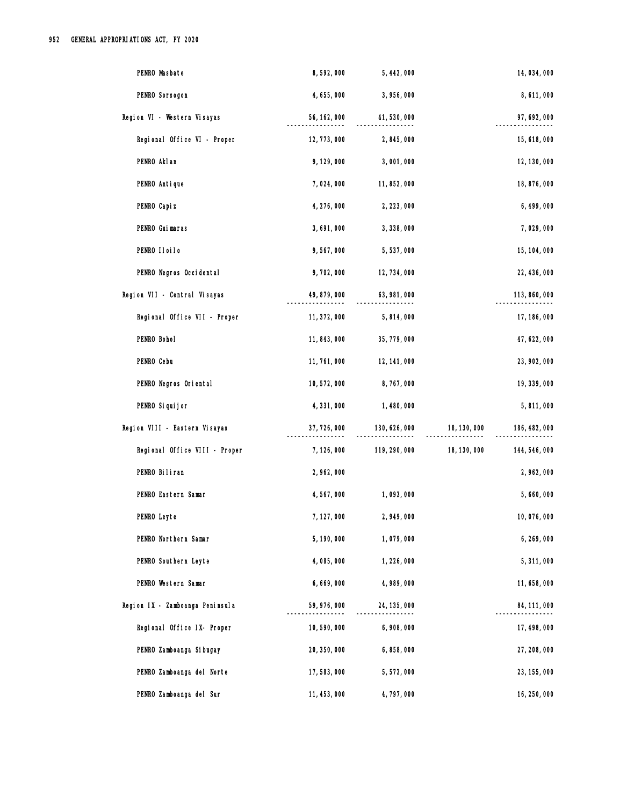| PENRO Masbate                   | 8,592,000    | 5, 442, 000   |              | 14, 034, 000  |
|---------------------------------|--------------|---------------|--------------|---------------|
| PENRO Sorsogon                  | 4,655,000    | 3,956,000     |              | 8,611,000     |
| Region VI - Western Visayas     | 56, 162, 000 | 41,530,000    |              | 97, 692, 000  |
| Regional Office VI - Proper     | 12, 773, 000 | 2,845,000     |              | 15, 618, 000  |
| PENRO Akl an                    | 9, 129, 000  | 3,001,000     |              | 12, 130, 000  |
| PENRO Antique                   | 7,024,000    | 11,852,000    |              | 18,876,000    |
| PENRO Capi z                    | 4, 276, 000  | 2, 223, 000   |              | 6, 499, 000   |
| PENRO Guimaras                  | 3,691,000    | 3, 338, 000   |              | 7,029,000     |
| PENRO IIoiIo                    | 9,567,000    | 5,537,000     |              | 15, 104, 000  |
| PENRO Negros Occidental         | 9,702,000    | 12, 734, 000  |              | 22, 436, 000  |
| Region VII - Central Visayas    | 49, 879, 000 | 63, 981, 000  |              | 113, 860, 000 |
| Regional Office VII - Proper    | 11, 372, 000 | 5,814,000     |              | 17, 186, 000  |
| PENRO Bohol                     | 11, 843, 000 | 35, 779, 000  |              | 47, 622, 000  |
| PENRO Cebu                      | 11, 761, 000 | 12, 141, 000  |              | 23, 902, 000  |
| PENRO Negros Oriental           | 10,572,000   | 8,767,000     |              | 19, 339, 000  |
| PENRO Si qui j or               | 4,331,000    | 1,480,000     |              | 5,811,000     |
| Region VIII - Eastern Visayas   | 37, 726, 000 | 130, 626, 000 | 18, 130, 000 | 186, 482, 000 |
| Regional Office VIII - Proper   | 7, 126, 000  | 119, 290, 000 | 18, 130, 000 | 144, 546, 000 |
| PENRO Biliran                   | 2,962,000    |               |              | 2,962,000     |
| PENRO Eastern Samar             | 4,567,000    | 1,093,000     |              | 5,660,000     |
| PENRO Leyte                     | 7, 127, 000  | 2,949,000     |              | 10,076,000    |
| PENRO Northern Samar            | 5, 190, 000  | 1,079,000     |              | 6, 269, 000   |
| PENRO Southern Leyte            | 4,085,000    | 1,226,000     |              | 5, 311, 000   |
| PENRO Western Samar             | 6,669,000    | 4,989,000     |              | 11,658,000    |
| Region IX - Zamboanga Peninsula | 59, 976, 000 | 24, 135, 000  |              | 84, 111, 000  |
| Regional Office IX- Proper      | 10,590,000   | 6,908,000     |              | 17, 498, 000  |
| PENRO Zamboanga Si bugay        | 20, 350, 000 | 6,858,000     |              | 27, 208, 000  |
| PENRO Zamboanga del Norte       | 17,583,000   | 5,572,000     |              | 23, 155, 000  |
| PENRO Zamboanga del Sur         | 11, 453, 000 | 4,797,000     |              | 16, 250, 000  |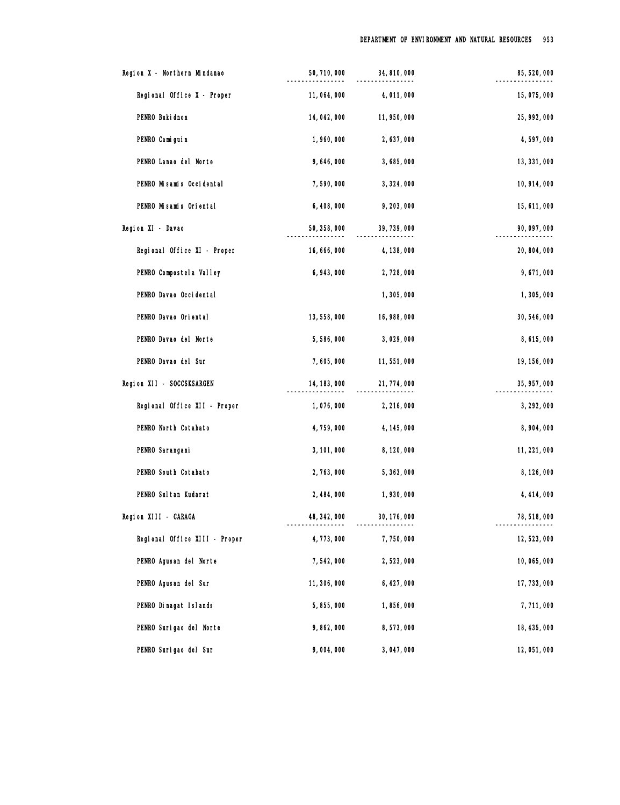| Region X - Northern Mindanao  | 50, 710, 000 | 34, 810, 000 | 85, 520, 000 |
|-------------------------------|--------------|--------------|--------------|
| Regional Office X - Proper    | 11,064,000   | 4,011,000    | 15,075,000   |
| PENRO Buki dnon               | 14, 042, 000 | 11, 950, 000 | 25, 992, 000 |
| PENRO Cami gui n              | 1,960,000    | 2,637,000    | 4,597,000    |
| PENRO Lanao del Norte         | 9,646,000    | 3,685,000    | 13, 331, 000 |
| PENRO Misamis Occidental      | 7,590,000    | 3, 324, 000  | 10, 914, 000 |
| PENRO Misamis Oriental        | 6,408,000    | 9, 203, 000  | 15, 611, 000 |
| Region XI - Davao             | 50, 358, 000 | 39, 739, 000 | 90, 097, 000 |
| Regional Office XI - Proper   | 16, 666, 000 | 4, 138, 000  | 20, 804, 000 |
| PENRO Compostel a Valley      | 6, 943, 000  | 2,728,000    | 9,671,000    |
| PENRO Davao Occidental        |              | 1,305,000    | 1,305,000    |
| PENRO Davao Oriental          | 13, 558, 000 | 16, 988, 000 | 30, 546, 000 |
| PENRO Davao del Norte         | 5,586,000    | 3,029,000    | 8,615,000    |
| PENRO Davao del Sur           | 7,605,000    | 11,551,000   | 19, 156, 000 |
| Region XII - SOCCSKSARGEN     | 14, 183, 000 | 21, 774, 000 | 35, 957, 000 |
| Regional Office XII - Proper  | 1,076,000    | 2, 216, 000  | 3, 292, 000  |
| PENRO North Cotabato          | 4,759,000    | 4, 145, 000  | 8,904,000    |
| PENRO Sarangani               | 3, 101, 000  | 8, 120, 000  | 11, 221, 000 |
| PENRO South Cotabato          | 2,763,000    | 5,363,000    | 8, 126, 000  |
| PENRO Sul tan Kudarat         | 2, 484, 000  | 1,930,000    | 4, 414, 000  |
| Region XIII - CARAGA          | 48, 342, 000 | 30, 176, 000 | 78, 518, 000 |
| Regional Office XIII - Proper | 4,773,000    | 7,750,000    | 12, 523, 000 |
| PENRO Agusan del Norte        | 7,542,000    | 2,523,000    | 10,065,000   |
| PENRO Agusan del Sur          | 11, 306, 000 | 6, 427, 000  | 17, 733, 000 |
| PENRO Dinagat Islands         | 5,855,000    | 1,856,000    | 7,711,000    |
| PENRO Surigao del Norte       | 9,862,000    | 8,573,000    | 18, 435, 000 |
| PENRO Surigao del Sur         | 9,004,000    | 3,047,000    | 12,051,000   |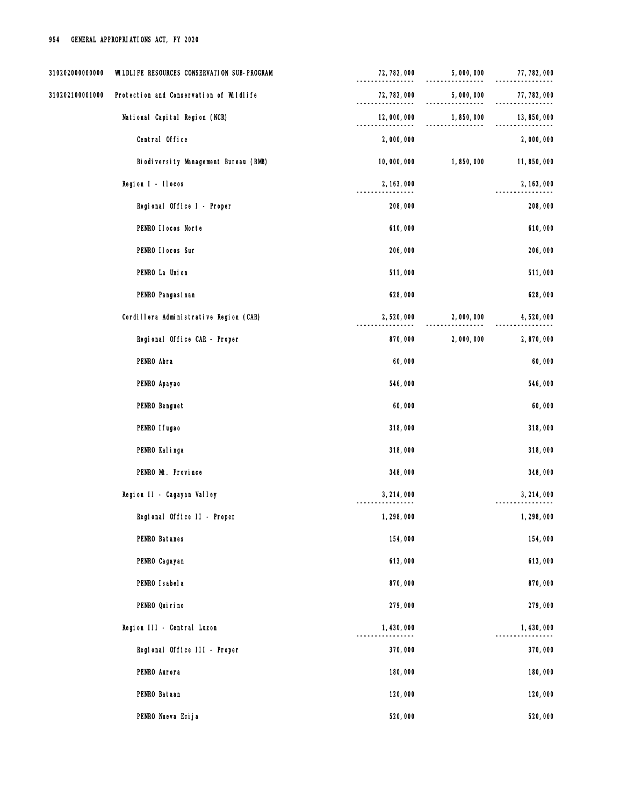| 310202000000000 | WILDLIFE RESOURCES CONSERVATION SUB-PROGRAM | 72, 782, 000                      | 5,000,000 | 77, 782, 000 |
|-----------------|---------------------------------------------|-----------------------------------|-----------|--------------|
| 310202100001000 | Protection and Conservation of Wildlife     | 72, 782, 000<br>----------------- | 5,000,000 | 77, 782, 000 |
|                 | National Capital Region (NCR)               | 12,000,000                        | 1,850,000 | 13, 850, 000 |
|                 | Central Office                              | 2,000,000                         |           | 2,000,000    |
|                 | Biodiversity Management Bureau (BMB)        | 10,000,000                        | 1,850,000 | 11,850,000   |
|                 | Region I - Ilocos                           | 2, 163, 000                       |           | 2, 163, 000  |
|                 | Regional Office I - Proper                  | 208,000                           |           | 208,000      |
|                 | PENRO Ilocos Norte                          | 610,000                           |           | 610,000      |
|                 | PENRO II ocos Sur                           | 206,000                           |           | 206,000      |
|                 | PENRO La Union                              | 511,000                           |           | 511,000      |
|                 | PENRO Pangasi nan                           | 628,000                           |           | 628,000      |
|                 | Cordillera Administrative Region (CAR)      | 2,520,000                         | 2,000,000 | 4,520,000    |
|                 | Regional Office CAR - Proper                | 870,000                           | 2,000,000 | 2,870,000    |
|                 | PENRO Abra                                  | 60,000                            |           | 60,000       |
|                 | PENRO Apayao                                | 546,000                           |           | 546,000      |
|                 | PENRO Benguet                               | 60,000                            |           | 60,000       |
|                 | PENRO I fugao                               | 318,000                           |           | 318,000      |
|                 | PENRO Kalinga                               | 318,000                           |           | 318,000      |
|                 | PENRO Mt. Province                          | 348,000                           |           | 348,000      |
|                 | Region II - Cagayan Valley                  | 3, 214, 000                       |           | 3, 214, 000  |
|                 | Regional Office II - Proper                 | 1,298,000                         |           | 1,298,000    |
|                 | PENRO Batanes                               | 154,000                           |           | 154,000      |
|                 | PENRO Cagayan                               | 613,000                           |           | 613,000      |
|                 | PENRO I sabel a                             | 870,000                           |           | 870,000      |
|                 | PENRO Quirino                               | 279,000                           |           | 279,000      |
|                 | Region III - Central Luzon                  | 1,430,000                         |           | 1,430,000    |
|                 | Regional Office III - Proper                | 370,000                           |           | 370,000      |
|                 | PENRO Aurora                                | 180,000                           |           | 180,000      |
|                 | PENRO Bataan                                | 120,000                           |           | 120,000      |
|                 | PENRO Nueva Ecija                           | 520,000                           |           | 520,000      |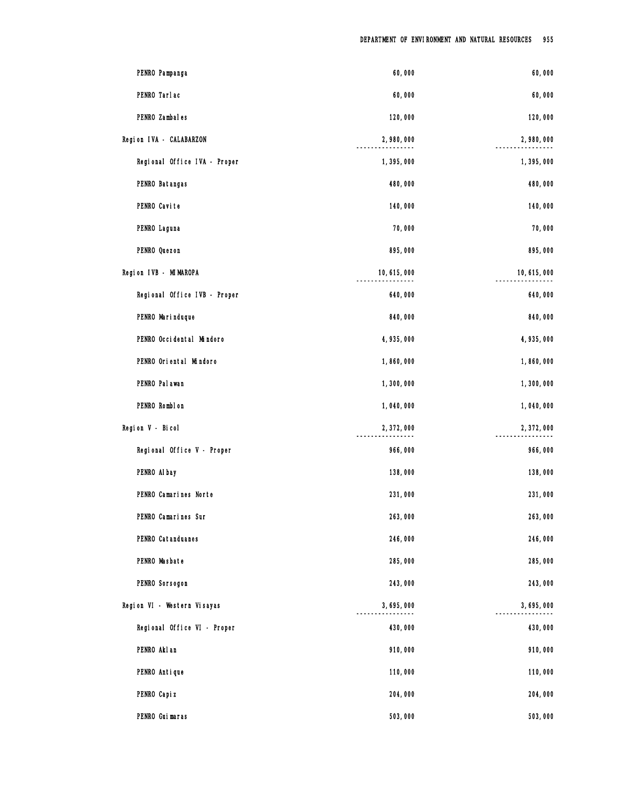| PENRO Pampanga               | 60,000       | 60,000       |
|------------------------------|--------------|--------------|
| PENRO Tarlac                 | 60,000       | 60,000       |
| PENRO Zambales               | 120,000      | 120,000      |
| Region IVA - CALABARZON      | 2,980,000    | 2,980,000    |
| Regional Office IVA - Proper | 1,395,000    | 1,395,000    |
| PENRO Batangas               | 480,000      | 480,000      |
| PENRO Cavite                 | 140,000      | 140,000      |
| PENRO Laguna                 | 70,000       | 70,000       |
| PENRO Quezon                 | 895,000      | 895,000      |
| Region IVB - MIMAROPA        | 10, 615, 000 | 10, 615, 000 |
| Regional Office IVB - Proper | 640,000      | 640,000      |
| PENRO Marinduque             | 840,000      | 840,000      |
| PENRO Occidental Mindoro     | 4,935,000    | 4,935,000    |
| PENRO Oriental Mindoro       | 1,860,000    | 1,860,000    |
| PENRO Pal awan               | 1,300,000    | 1,300,000    |
| PENRO Romblon                | 1,040,000    | 1,040,000    |
| Region V - Bicol             | 2,372,000    | 2,372,000    |
| Regional Office V - Proper   | 966,000      | 966,000      |
| PENRO Al bay                 | 138,000      | 138,000      |
| PENRO Camarines Norte        | 231,000      | 231,000      |
| PENRO Camarines Sur          | 263,000      | 263,000      |
| PENRO Catanduanes            | 246,000      | 246,000      |
| PENRO Masbate                | 285,000      | 285,000      |
| PENRO Sorsogon               | 243,000      | 243,000      |
| Region VI - Western Visayas  | 3,695,000    | 3,695,000    |
| Regional Office VI - Proper  | 430,000      | 430,000      |
| PENRO Akl an                 | 910,000      | 910,000      |
| PENRO Antique                | 110,000      | 110,000      |
| PENRO Capi z                 | 204,000      | 204,000      |
| PENRO Guimaras               | 503,000      | 503,000      |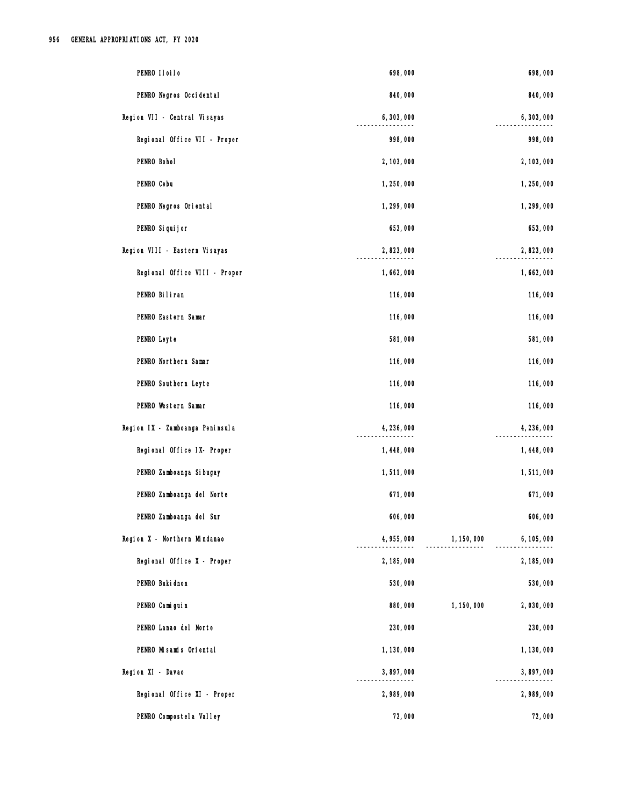| PENRO IIoiIo                    | 698,000     |             | 698,000     |
|---------------------------------|-------------|-------------|-------------|
| PENRO Negros Occidental         | 840,000     |             | 840,000     |
| Region VII - Central Visayas    | 6,303,000   |             | 6,303,000   |
| Regional Office VII - Proper    | 998,000     |             | 998,000     |
| PENRO Bohol                     | 2, 103, 000 |             | 2, 103, 000 |
| PENRO Cebu                      | 1,250,000   |             | 1,250,000   |
| PENRO Negros Oriental           | 1,299,000   |             | 1,299,000   |
| PENRO Si qui j or               | 653,000     |             | 653,000     |
| Region VIII - Eastern Visayas   | 2,823,000   |             | 2,823,000   |
| Regional Office VIII - Proper   | 1,662,000   |             | 1,662,000   |
| PENRO Biliran                   | 116,000     |             | 116,000     |
| PENRO Eastern Samar             | 116,000     |             | 116,000     |
| PENRO Leyte                     | 581,000     |             | 581,000     |
| PENRO Northern Samar            | 116,000     |             | 116,000     |
| PENRO Southern Leyte            | 116,000     |             | 116,000     |
| PENRO Western Samar             | 116,000     |             | 116,000     |
| Region IX - Zamboanga Peninsula | 4,236,000   |             | 4, 236, 000 |
| Regional Office IX- Proper      | 1,448,000   |             | 1,448,000   |
| PENRO Zamboanga Si bugay        | 1,511,000   |             | 1,511,000   |
| PENRO Zamboanga del Norte       | 671,000     |             | 671,000     |
| PENRO Zamboanga del Sur         | 606,000     |             | 606,000     |
| Region X - Northern Mindanao    | 4,955,000   | 1, 150, 000 | 6, 105, 000 |
| Regional Office X - Proper      | 2, 185, 000 |             | 2, 185, 000 |
| PENRO Buki dnon                 | 530,000     |             | 530,000     |
| PENRO Camiguin                  | 880,000     | 1, 150, 000 | 2,030,000   |
| PENRO Lanao del Norte           | 230,000     |             | 230,000     |
| PENRO Misamis Oriental          | 1, 130, 000 |             | 1, 130, 000 |
| Region XI - Davao               | 3,897,000   |             | 3,897,000   |
| Regional Office XI - Proper     | 2,989,000   |             | 2,989,000   |
| PENRO Compostel a Valley        | 72,000      |             | 72,000      |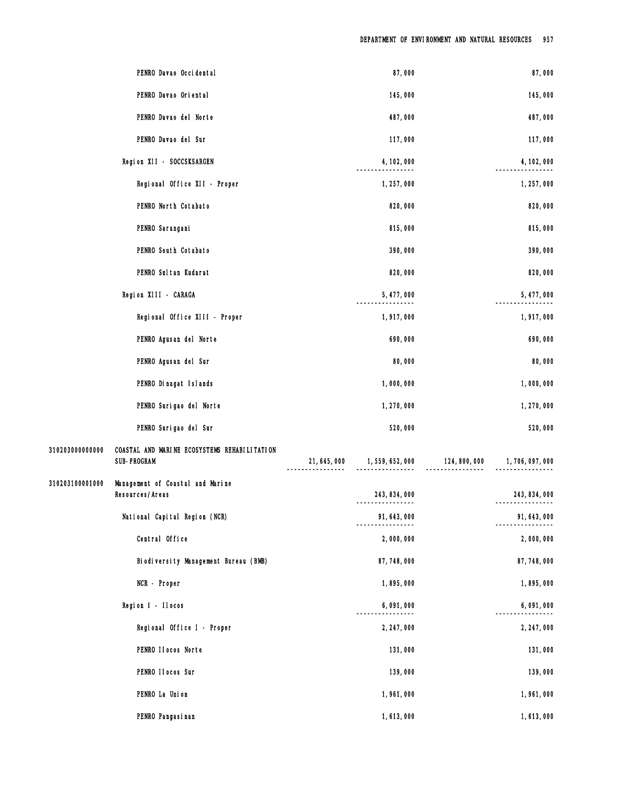|                 | PENRO Davao Occi dental                                            | 87,000                            |                                            | 87,000           |
|-----------------|--------------------------------------------------------------------|-----------------------------------|--------------------------------------------|------------------|
|                 | PENRO Davao Oriental                                               | 145,000                           |                                            | 145,000          |
|                 | PENRO Davao del Norte                                              | 487,000                           |                                            | 487,000          |
|                 | PENRO Davao del Sur                                                | 117,000                           |                                            | 117,000          |
|                 | Region XII - SOCCSKSARGEN                                          | 4, 102, 000                       |                                            | 4, 102, 000      |
|                 | Regional Office XII - Proper                                       | 1, 257, 000                       |                                            | 1, 257, 000      |
|                 | PENRO North Cotabato                                               | 820,000                           |                                            | 820,000          |
|                 | PENRO Sarangani                                                    | 815,000                           |                                            | 815,000          |
|                 | PENRO South Cotabato                                               | 390,000                           |                                            | 390,000          |
|                 | PENRO Sul tan Kudarat                                              | 820,000                           |                                            | 820,000          |
|                 | Region XIII - CARAGA                                               | 5, 477, 000                       |                                            | 5, 477, 000      |
|                 | Regional Office XIII - Proper                                      | 1,917,000                         |                                            | 1,917,000        |
|                 | PENRO Agusan del Norte                                             | 690,000                           |                                            | 690,000          |
|                 | PENRO Agusan del Sur                                               | 80,000                            |                                            | 80,000           |
|                 | PENRO Dinagat Islands                                              | 1,000,000                         |                                            | 1,000,000        |
|                 | PENRO Surigao del Norte                                            | 1,270,000                         |                                            | 1,270,000        |
|                 | PENRO Surigao del Sur                                              | 520,000                           |                                            | 520,000          |
| 310203000000000 | COASTAL AND MARINE ECOSYSTEMS REHABILITATION<br><b>SUB-PROGRAM</b> |                                   | $21,645,000$ $1,559,652,000$ $124,800,000$ | 1, 706, 097, 000 |
| 310203100001000 | Management of Coastal and Marine<br>Resources/Areas                | 243, 834, 000<br>---------------- |                                            | 243, 834, 000    |
|                 | National Capital Region (NCR)                                      | 91, 643, 000                      |                                            | 91, 643, 000     |
|                 | Central Office                                                     | 2,000,000                         |                                            | 2,000,000        |
|                 | Biodiversity Management Bureau (BMB)                               | 87, 748, 000                      |                                            | 87, 748, 000     |
|                 | NCR - Proper                                                       | 1,895,000                         |                                            | 1,895,000        |
|                 | Region I - Ilocos                                                  | 6,091,000                         |                                            | 6,091,000        |
|                 | Regional Office I - Proper                                         | 2, 247, 000                       |                                            | 2, 247, 000      |
|                 | PENRO Ilocos Norte                                                 | 131,000                           |                                            | 131,000          |
|                 | PENRO II ocos Sur                                                  | 139,000                           |                                            | 139,000          |
|                 | PENRO La Union                                                     | 1,961,000                         |                                            | 1,961,000        |
|                 | PENRO Pangasi nan                                                  | 1,613,000                         |                                            | 1,613,000        |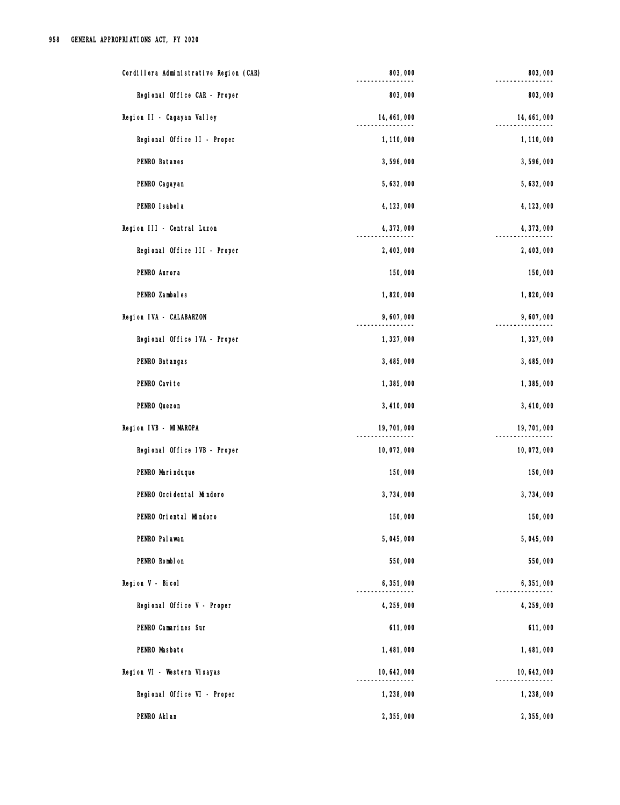| Cordillera Administrative Region (CAR) | 803,000      | 803,000      |
|----------------------------------------|--------------|--------------|
| Regional Office CAR - Proper           | 803,000      | 803,000      |
| Region II - Cagayan Valley             | 14, 461, 000 | 14, 461, 000 |
| Regional Office II - Proper            | 1, 110, 000  | 1,110,000    |
| PENRO Batanes                          | 3,596,000    | 3,596,000    |
| PENRO Cagayan                          | 5,632,000    | 5, 632, 000  |
| PENRO Isabela                          | 4, 123, 000  | 4, 123, 000  |
| Region III - Central Luzon             | 4, 373, 000  | 4, 373, 000  |
| Regional Office III - Proper           | 2, 403, 000  | 2, 403, 000  |
| PENRO Aurora                           | 150,000      | 150,000      |
| PENRO Zambales                         | 1,820,000    | 1,820,000    |
| Region IVA - CALABARZON                | 9,607,000    | 9,607,000    |
| Regional Office IVA - Proper           | 1,327,000    | 1,327,000    |
| PENRO Batangas                         | 3,485,000    | 3,485,000    |
| PENRO Cavite                           | 1,385,000    | 1,385,000    |
| PENRO Quezon                           | 3,410,000    | 3,410,000    |
| Region IVB - MIMAROPA                  | 19, 701, 000 | 19, 701, 000 |
| Regional Office IVB - Proper           | 10,072,000   | 10,072,000   |
| PENRO Marinduque                       | 150,000      | 150,000      |
| PENRO Occidental Mindoro               | 3,734,000    | 3,734,000    |
| PENRO Oriental Mindoro                 | 150,000      | 150,000      |
| PENRO Pal awan                         | 5,045,000    | 5,045,000    |
| PENRO Romblon                          | 550,000      | 550,000      |
| Region V - Bicol                       | 6,351,000    | 6,351,000    |
| Regional Office V - Proper             | 4, 259, 000  | 4, 259, 000  |
| PENRO Camarines Sur                    | 611,000      | 611,000      |
| PENRO Masbate                          | 1,481,000    | 1,481,000    |
| Region VI - Western Visayas            | 10, 642, 000 | 10, 642, 000 |
| Regional Office VI - Proper            | 1,238,000    | 1,238,000    |
| PENRO Akl an                           | 2,355,000    | 2,355,000    |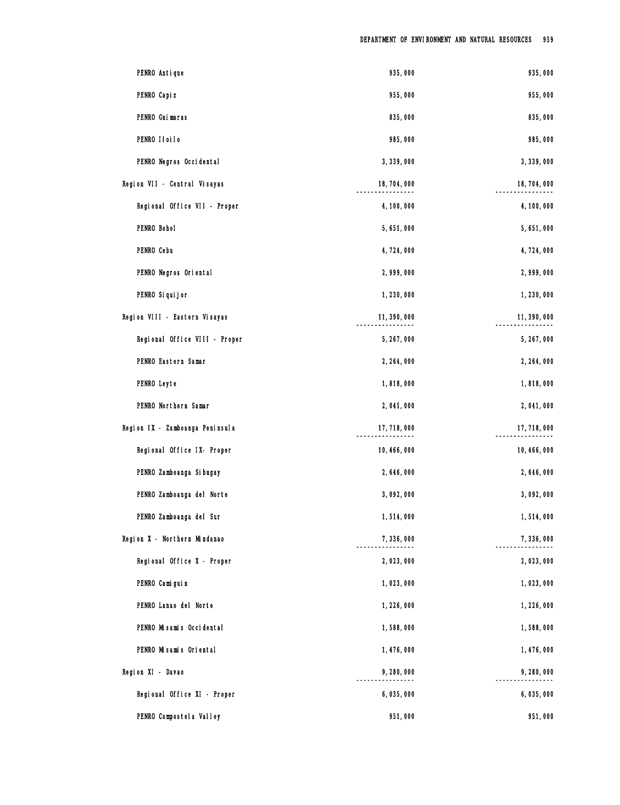| PENRO Antique                   | 935,000      | 935,000      |
|---------------------------------|--------------|--------------|
| PENRO Capi z                    | 955,000      | 955,000      |
| PENRO Guimaras                  | 835,000      | 835,000      |
| PENRO IIoiIo                    | 985,000      | 985,000      |
| PENRO Negros Occidental         | 3, 339, 000  | 3, 339, 000  |
| Region VII - Central Visayas    | 18,704,000   | 18, 704, 000 |
| Regional Office VII - Proper    | 4, 100, 000  | 4, 100, 000  |
| PENRO Bohol                     | 5,651,000    | 5,651,000    |
| PENRO Cebu                      | 4,724,000    | 4,724,000    |
| PENRO Negros Oriental           | 2,999,000    | 2,999,000    |
| PENRO Si qui j or               | 1,230,000    | 1,230,000    |
| Region VIII - Eastern Visayas   | 11, 390, 000 | 11, 390, 000 |
| Regional Office VIII - Proper   | 5, 267, 000  | 5, 267, 000  |
| PENRO Eastern Samar             | 2, 264, 000  | 2, 264, 000  |
| PENRO Leyte                     | 1,818,000    | 1,818,000    |
| PENRO Northern Samar            | 2,041,000    | 2,041,000    |
| Region IX - Zamboanga Peninsula | 17, 718, 000 | 17, 718, 000 |
| Regional Office IX- Proper      | 10, 466, 000 | 10, 466, 000 |
| PENRO Zamboanga Si bugay        | 2,646,000    | 2,646,000    |
| PENRO Zamboanga del Norte       | 3,092,000    | 3,092,000    |
| PENRO Zamboanga del Sur         | 1,514,000    | 1,514,000    |
| Region X - Northern Mindanao    | 7,336,000    | 7,336,000    |
| Regional Office X - Proper      | 2,023,000    | 2,023,000    |
| PENRO Camiguin                  | 1,023,000    | 1,023,000    |
| PENRO Lanao del Norte           | 1,226,000    | 1,226,000    |
| PENRO Misamis Occidental        | 1,588,000    | 1,588,000    |
| PENRO Misamis Oriental          | 1,476,000    | 1,476,000    |
| Region XI - Davao               | 9,280,000    | 9,280,000    |
| Regional Office XI - Proper     | 6,035,000    | 6,035,000    |
| PENRO Compostel a Valley        | 951,000      | 951,000      |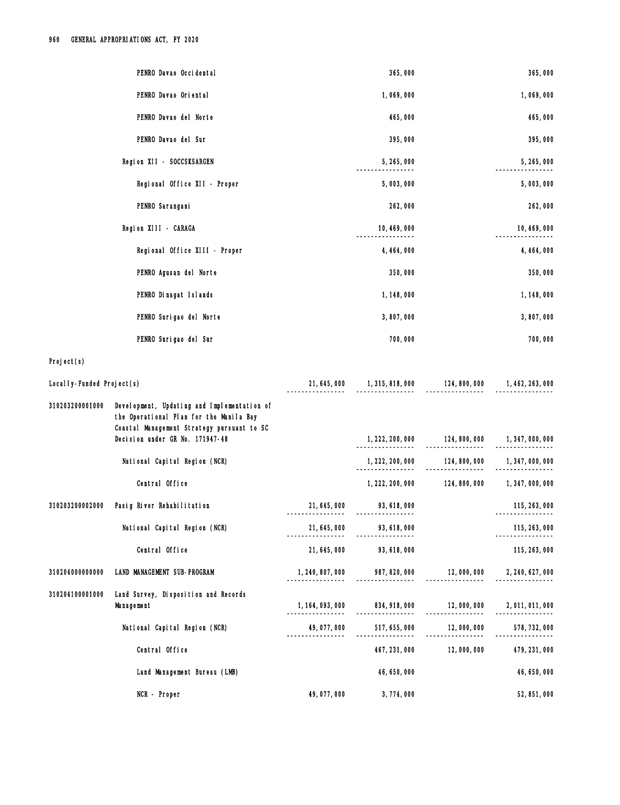|                             | PENRO Davao Occidental                                                                                                               |                                  | 365,000                       |                                                              | 365,000          |
|-----------------------------|--------------------------------------------------------------------------------------------------------------------------------------|----------------------------------|-------------------------------|--------------------------------------------------------------|------------------|
|                             | PENRO Davao Oriental                                                                                                                 |                                  | 1,069,000                     |                                                              | 1,069,000        |
|                             | PENRO Davao del Norte                                                                                                                |                                  | 465,000                       |                                                              | 465,000          |
|                             | PENRO Davao del Sur                                                                                                                  |                                  | 395,000                       |                                                              | 395,000          |
|                             | Region XII - SOCCSKSARGEN                                                                                                            |                                  | 5, 265, 000                   |                                                              | 5, 265, 000      |
|                             | Regional Office XII - Proper                                                                                                         |                                  | 5,003,000                     |                                                              | 5,003,000        |
|                             | PENRO Sarangani                                                                                                                      |                                  | 262,000                       |                                                              | 262,000          |
|                             | Region XIII - CARAGA                                                                                                                 |                                  | 10, 469, 000                  |                                                              | 10, 469, 000     |
|                             | Regional Office XIII - Proper                                                                                                        |                                  | 4, 464, 000                   |                                                              | 4, 464, 000      |
|                             | PENRO Agusan del Norte                                                                                                               |                                  | 350,000                       |                                                              | 350,000          |
|                             | PENRO Dinagat Islands                                                                                                                |                                  | 1, 148, 000                   |                                                              | 1, 148, 000      |
|                             | PENRO Surigao del Norte                                                                                                              |                                  | 3,807,000                     |                                                              | 3,807,000        |
|                             | PENRO Surigao del Sur                                                                                                                |                                  | 700,000                       |                                                              | 700,000          |
| Project(s)                  |                                                                                                                                      |                                  |                               |                                                              |                  |
| Local I y-Funded Project(s) |                                                                                                                                      |                                  |                               | 21, 645, 000 1, 315, 818, 000 124, 800, 000 1, 462, 263, 000 |                  |
| 310203200001000             | Development, Updating and Implementation of<br>the Operational Plan for the Manila Bay<br>Coastal Management Strategy pursuant to SC |                                  |                               |                                                              |                  |
|                             | Decision under GR No. 171947-48                                                                                                      |                                  |                               | 1, 222, 200, 000 124, 800, 000 1, 347, 000, 000              |                  |
|                             | National Capital Region (NCR)                                                                                                        |                                  | 1, 222, 200, 000              | 124,800,000<br>.                                             | 1, 347, 000, 000 |
|                             | Central Office                                                                                                                       |                                  | 1, 222, 200, 000              | 124, 800, 000                                                | 1, 347, 000, 000 |
| 310203200002000             | Pasig River Rehabilitation                                                                                                           | 21, 645, 000                     | 93, 618, 000                  |                                                              | 115, 263, 000    |
|                             | National Capital Region (NCR)                                                                                                        | 21, 645, 000                     | 93, 618, 000                  |                                                              | 115, 263, 000    |
|                             | Central Office                                                                                                                       | 21, 645, 000                     | 93, 618, 000                  |                                                              | 115, 263, 000    |
| 310204000000000             | LAND MANAGEMENT SUB-PROGRAM                                                                                                          | 1, 240, 807, 000                 | 987, 820, 000                 | 12,000,000                                                   | 2, 240, 627, 000 |
| 310204100001000             | Land Survey, Disposition and Records<br>Management                                                                                   | 1, 164, 093, 000<br>. <u>.</u> . | 834, 918, 000<br>. <u>.</u> . | 12,000,000<br>12, 000, 000<br>----------------               | 2,011,011,000    |
|                             | National Capital Region (NCR)                                                                                                        | 49,077,000                       | 517, 655, 000                 | 12,000,000                                                   | 578, 732, 000    |
|                             | Central Office                                                                                                                       |                                  | 467, 231, 000                 | 12,000,000                                                   | 479, 231, 000    |
|                             | Land Management Bureau (LMB)                                                                                                         |                                  | 46, 650, 000                  |                                                              | 46, 650, 000     |
|                             | NCR - Proper                                                                                                                         | 49,077,000                       | 3,774,000                     |                                                              | 52, 851, 000     |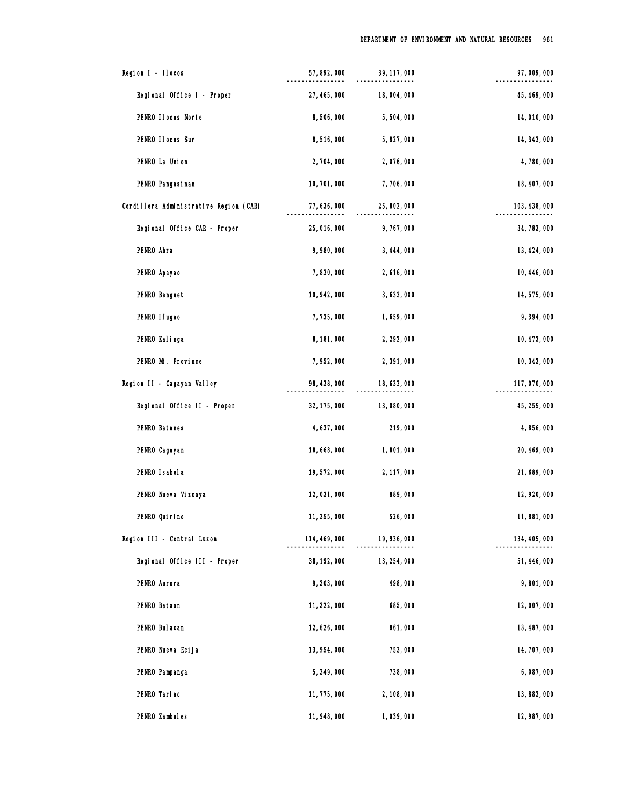| Region I - Ilocos                      | 57, 892, 000  | 39, 117, 000 | 97,009,000    |
|----------------------------------------|---------------|--------------|---------------|
| Regional Office I - Proper             | 27, 465, 000  | 18,004,000   | 45, 469, 000  |
| PENRO Ilocos Norte                     | 8,506,000     | 5,504,000    | 14,010,000    |
| PENRO II ocos Sur                      | 8,516,000     | 5,827,000    | 14, 343, 000  |
| PENRO La Union                         | 2,704,000     | 2,076,000    | 4,780,000     |
| PENRO Pangasi nan                      | 10, 701, 000  | 7,706,000    | 18, 407, 000  |
| Cordillera Administrative Region (CAR) | 77, 636, 000  | 25, 802, 000 | 103, 438, 000 |
| Regional Office CAR - Proper           | 25,016,000    | 9,767,000    | 34, 783, 000  |
| PENRO Abra                             | 9,980,000     | 3, 444, 000  | 13, 424, 000  |
| PENRO Apayao                           | 7,830,000     | 2,616,000    | 10, 446, 000  |
| PENRO Benguet                          | 10, 942, 000  | 3,633,000    | 14, 575, 000  |
| PENRO I fugao                          | 7,735,000     | 1,659,000    | 9,394,000     |
| PENRO Kalinga                          | 8, 181, 000   | 2, 292, 000  | 10, 473, 000  |
| PENRO Mt. Province                     | 7,952,000     | 2,391,000    | 10, 343, 000  |
| Region II - Cagayan Valley             | 98, 438, 000  | 18, 632, 000 | 117,070,000   |
| Regional Office II - Proper            | 32, 175, 000  | 13,080,000   | 45, 255, 000  |
| PENRO Batanes                          | 4,637,000     | 219,000      | 4,856,000     |
| PENRO Cagayan                          | 18,668,000    | 1,801,000    | 20, 469, 000  |
| PENRO Isabela                          | 19,572,000    | 2, 117, 000  | 21,689,000    |
| PENRO Nueva Vizcaya                    | 12,031,000    | 889,000      | 12, 920, 000  |
| PENRO Qui ri no                        | 11, 355, 000  | 526,000      | 11,881,000    |
| Region III - Central Luzon             | 114, 469, 000 | 19, 936, 000 | 134, 405, 000 |
| Regional Office III - Proper           | 38, 192, 000  | 13, 254, 000 | 51, 446, 000  |
| PENRO Aurora                           | 9,303,000     | 498,000      | 9,801,000     |
| PENRO Bataan                           | 11, 322, 000  | 685,000      | 12,007,000    |
| PENRO Bul acan                         | 12, 626, 000  | 861,000      | 13, 487, 000  |
| PENRO Nueva Ecija                      | 13, 954, 000  | 753,000      | 14, 707, 000  |
| PENRO Pampanga                         | 5, 349, 000   | 738,000      | 6,087,000     |
| PENRO Tarlac                           | 11, 775, 000  | 2, 108, 000  | 13, 883, 000  |
| PENRO Zambales                         | 11, 948, 000  | 1,039,000    | 12, 987, 000  |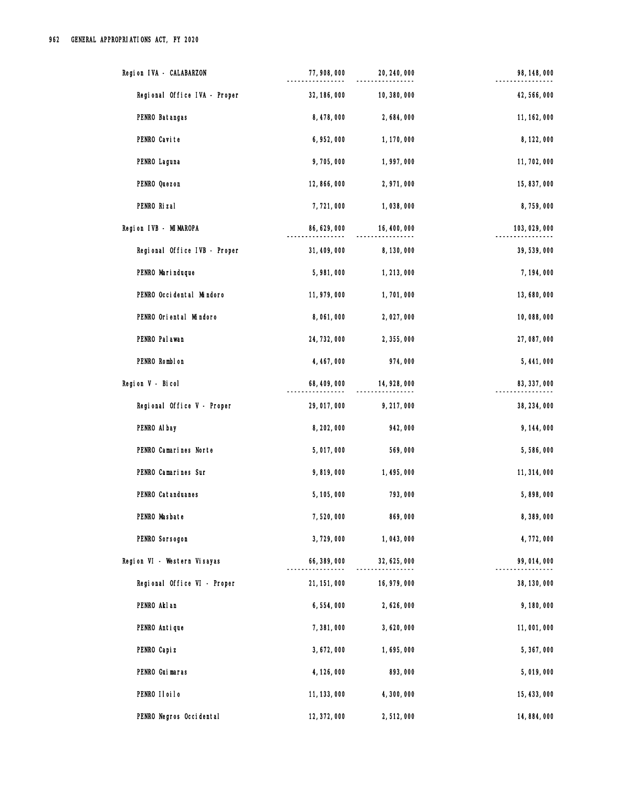| Region IVA - CALABARZON      | 77,908,000   | 20, 240, 000 | 98, 148, 000  |
|------------------------------|--------------|--------------|---------------|
| Regional Office IVA - Proper | 32, 186, 000 | 10, 380, 000 | 42, 566, 000  |
| PENRO Batangas               | 8,478,000    | 2,684,000    | 11, 162, 000  |
| PENRO Cavite                 | 6, 952, 000  | 1, 170, 000  | 8, 122, 000   |
| PENRO Laguna                 | 9,705,000    | 1,997,000    | 11, 702, 000  |
| PENRO Quezon                 | 12, 866, 000 | 2,971,000    | 15, 837, 000  |
| PENRO Rizal                  | 7,721,000    | 1,038,000    | 8,759,000     |
| Region IVB - MIMAROPA        | 86, 629, 000 | 16, 400, 000 | 103, 029, 000 |
| Regional Office IVB - Proper | 31, 409, 000 | 8,130,000    | 39, 539, 000  |
| PENRO Marinduque             | 5,981,000    | 1, 213, 000  | 7, 194, 000   |
| PENRO Occidental Mindoro     | 11, 979, 000 | 1,701,000    | 13,680,000    |
| PENRO Oriental Mindoro       | 8,061,000    | 2,027,000    | 10,088,000    |
| PENRO Pal awan               | 24, 732, 000 | 2,355,000    | 27,087,000    |
| PENRO Romblon                | 4, 467, 000  | 974,000      | 5, 441, 000   |
| Region V - Bicol             | 68, 409, 000 | 14, 928, 000 | 83, 337, 000  |
| Regional Office V - Proper   | 29,017,000   | 9, 217, 000  | 38, 234, 000  |
| PENRO Al bay                 | 8, 202, 000  | 942,000      | 9, 144, 000   |
| PENRO Camarines Norte        | 5,017,000    | 569,000      | 5,586,000     |
| PENRO Camarines Sur          | 9,819,000    | 1,495,000    | 11, 314, 000  |
| PENRO Catanduanes            | 5, 105, 000  | 793,000      | 5,898,000     |
| PENRO Masbate                | 7,520,000    | 869,000      | 8,389,000     |
| PENRO Sorsogon               | 3,729,000    | 1,043,000    | 4,772,000     |
| Region VI - Western Visayas  | 66, 389, 000 | 32, 625, 000 | 99, 014, 000  |
| Regional Office VI - Proper  | 21, 151, 000 | 16, 979, 000 | 38, 130, 000  |
| PENRO Akl an                 | 6,554,000    | 2,626,000    | 9,180,000     |
| PENRO Antique                | 7,381,000    | 3,620,000    | 11,001,000    |
| PENRO Capi z                 | 3,672,000    | 1,695,000    | 5, 367, 000   |
| PENRO Guimaras               | 4, 126, 000  | 893,000      | 5,019,000     |
| PENRO IIoiIo                 | 11, 133, 000 | 4,300,000    | 15, 433, 000  |
| PENRO Negros Occidental      | 12, 372, 000 | 2,512,000    | 14,884,000    |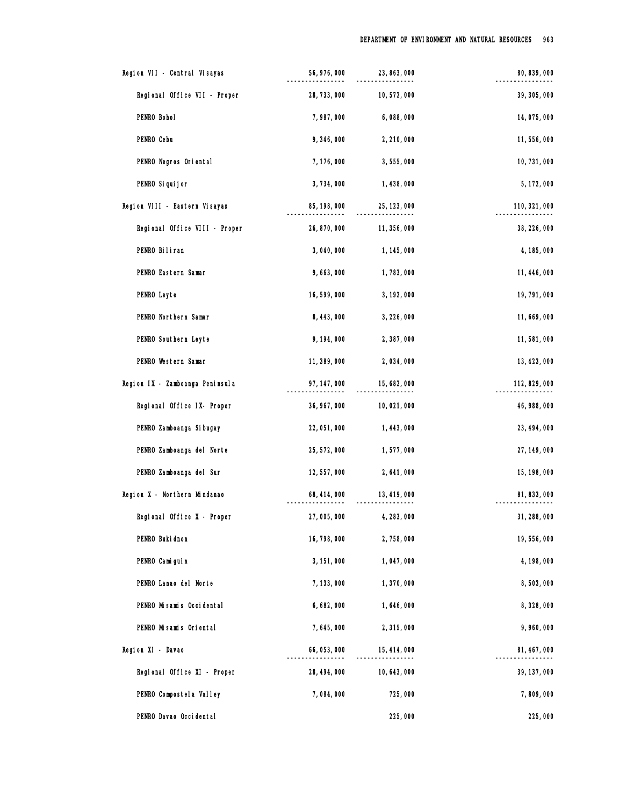| Region VII - Central Visayas    | 56, 976, 000 | 23, 863, 000 | 80, 839, 000  |
|---------------------------------|--------------|--------------|---------------|
| Regional Office VII - Proper    | 28, 733, 000 | 10,572,000   | 39, 305, 000  |
| PENRO Bohol                     | 7,987,000    | 6,088,000    | 14,075,000    |
| PENRO Cebu                      | 9,346,000    | 2,210,000    | 11,556,000    |
| PENRO Negros Oriental           | 7, 176, 000  | 3,555,000    | 10, 731, 000  |
| PENRO Si qui j or               | 3,734,000    | 1,438,000    | 5, 172, 000   |
| Region VIII - Eastern Visayas   | 85, 198, 000 | 25, 123, 000 | 110, 321, 000 |
| Regional Office VIII - Proper   | 26, 870, 000 | 11, 356, 000 | 38, 226, 000  |
| PENRO Biliran                   | 3,040,000    | 1, 145, 000  | 4, 185, 000   |
| PENRO Eastern Samar             | 9,663,000    | 1,783,000    | 11, 446, 000  |
| PENRO Leyte                     | 16,599,000   | 3, 192, 000  | 19, 791, 000  |
| PENRO Northern Samar            | 8, 443, 000  | 3, 226, 000  | 11,669,000    |
| PENRO Southern Leyte            | 9, 194, 000  | 2,387,000    | 11,581,000    |
| PENRO Western Samar             | 11, 389, 000 | 2,034,000    | 13, 423, 000  |
| Region IX - Zamboanga Peninsula | 97, 147, 000 | 15, 682, 000 | 112, 829, 000 |
| Regional Office IX- Proper      | 36, 967, 000 | 10,021,000   | 46, 988, 000  |
| PENRO Zamboanga Si bugay        | 22, 051, 000 | 1,443,000    | 23, 494, 000  |
| PENRO Zamboanga del Norte       | 25, 572, 000 | 1,577,000    | 27, 149, 000  |
| PENRO Zamboanga del Sur         | 12,557,000   | 2,641,000    | 15, 198, 000  |
| Region X - Northern Mindanao    | 68, 414, 000 | 13, 419, 000 | 81, 833, 000  |
| Regional Office X - Proper      | 27,005,000   | 4, 283, 000  | 31, 288, 000  |
| PENRO Buki dnon                 | 16, 798, 000 | 2,758,000    | 19,556,000    |
| PENRO Camiguin                  | 3, 151, 000  | 1,047,000    | 4, 198, 000   |
| PENRO Lanao del Norte           | 7, 133, 000  | 1,370,000    | 8,503,000     |
| PENRO Misamis Occidental        | 6,682,000    | 1,646,000    | 8,328,000     |
| PENRO Misamis Oriental          | 7,645,000    | 2,315,000    | 9,960,000     |
| Region XI - Davao               | 66, 053, 000 | 15, 414, 000 | 81, 467, 000  |
| Regional Office XI - Proper     | 28, 494, 000 | 10, 643, 000 | 39, 137, 000  |
| PENRO Compostel a Valley        | 7,084,000    | 725,000      | 7,809,000     |
| PENRO Davao Occidental          |              | 225,000      | 225,000       |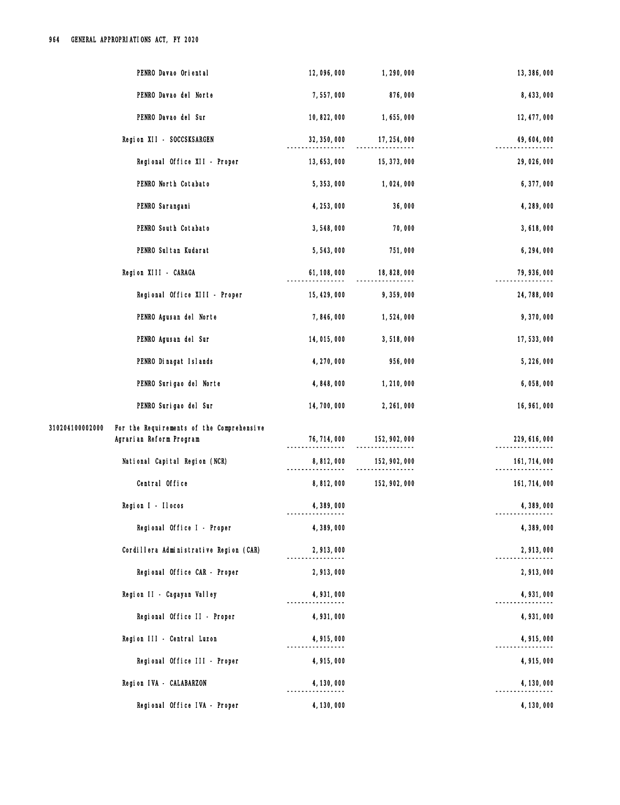| PENRO Davao Oriental                                                                    | 12,096,000   | 1,290,000     | 13, 386, 000  |
|-----------------------------------------------------------------------------------------|--------------|---------------|---------------|
| PENRO Davao del Norte                                                                   | 7,557,000    | 876,000       | 8, 433, 000   |
| PENRO Davao del Sur                                                                     | 10, 822, 000 | 1,655,000     | 12, 477, 000  |
| Region XII - SOCCSKSARGEN                                                               | 32, 350, 000 | 17, 254, 000  | 49, 604, 000  |
| Regional Office XII - Proper                                                            | 13, 653, 000 | 15, 373, 000  | 29,026,000    |
| PENRO North Cotabato                                                                    | 5, 353, 000  | 1,024,000     | 6,377,000     |
| PENRO Sarangani                                                                         | 4, 253, 000  | 36,000        | 4, 289, 000   |
| PENRO South Cotabato                                                                    | 3,548,000    | 70,000        | 3,618,000     |
| PENRO Sul tan Kudarat                                                                   | 5,543,000    | 751,000       | 6, 294, 000   |
| Region XIII - CARAGA                                                                    | 61, 108, 000 | 18, 828, 000  | 79, 936, 000  |
| Regional Office XIII - Proper                                                           | 15, 429, 000 | 9, 359, 000   | 24, 788, 000  |
| PENRO Agusan del Norte                                                                  | 7,846,000    | 1,524,000     | 9,370,000     |
| PENRO Agusan del Sur                                                                    | 14,015,000   | 3,518,000     | 17,533,000    |
| PENRO Dinagat Islands                                                                   | 4, 270, 000  | 956,000       | 5,226,000     |
| PENRO Surigao del Norte                                                                 | 4,848,000    | 1,210,000     | 6,058,000     |
| PENRO Surigao del Sur                                                                   | 14,700,000   | 2, 261, 000   | 16, 961, 000  |
| For the Requirements of the Comprehensive<br>310204100002000<br>Agrarian Reform Program | 76, 714, 000 | 152, 902, 000 | 229, 616, 000 |
| National Capital Region (NCR)                                                           | 8,812,000    | 152, 902, 000 | 161, 714, 000 |
| Central Office                                                                          | 8,812,000    | 152, 902, 000 | 161, 714, 000 |
| Region I - Ilocos                                                                       | 4,389,000    |               | 4,389,000     |
| Regional Office I - Proper                                                              | 4,389,000    |               | 4,389,000     |
| Cordillera Administrative Region (CAR)                                                  | 2,913,000    |               | 2,913,000     |
| Regional Office CAR - Proper                                                            | 2,913,000    |               | 2,913,000     |
| Region II - Cagayan Valley                                                              | 4, 931, 000  |               | 4, 931, 000   |
| Regional Office II - Proper                                                             | 4, 931, 000  |               | 4,931,000     |
| Region III - Central Luzon                                                              | 4,915,000    |               | 4,915,000     |
| Regional Office III - Proper                                                            | 4,915,000    |               | 4,915,000     |
| Region IVA - CALABARZON                                                                 | 4, 130, 000  |               | 4, 130, 000   |
| Regional Office IVA - Proper                                                            | 4, 130, 000  |               | 4, 130, 000   |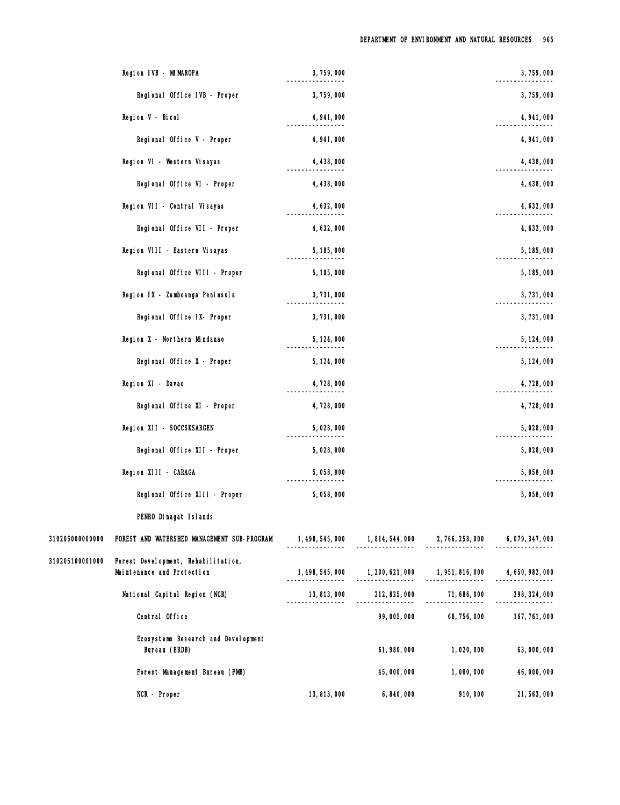|                 | Region IVB - MIMAROPA                                             | 3,759,000                         |                                                       |                                  | 3,759,000        |
|-----------------|-------------------------------------------------------------------|-----------------------------------|-------------------------------------------------------|----------------------------------|------------------|
|                 | Regional Office IVB - Proper                                      | 3,759,000                         |                                                       |                                  | 3,759,000        |
|                 | Region V - Bicol                                                  | 4, 941, 000                       |                                                       |                                  | 4, 941, 000      |
|                 | Regional Office V - Proper                                        | 4, 941, 000                       |                                                       |                                  | 4, 941, 000      |
|                 | Region VI - Western Visayas                                       | 4, 438, 000                       |                                                       |                                  | 4, 438, 000      |
|                 | Regional Office VI - Proper                                       | 4, 438, 000                       |                                                       |                                  | 4, 438, 000      |
|                 | Region VII - Central Visayas                                      | 4, 632, 000                       |                                                       |                                  | 4, 632, 000      |
|                 | Regional Office VII - Proper                                      | 4, 632, 000                       |                                                       |                                  | 4, 632, 000      |
|                 | Region VIII - Eastern Visayas                                     | 5, 185, 000                       |                                                       |                                  | 5, 185, 000      |
|                 | Regional Office VIII - Proper                                     | 5, 185, 000                       |                                                       |                                  | 5, 185, 000      |
|                 | Region IX - Zamboanga Peninsula                                   | 3,731,000                         |                                                       |                                  | 3,731,000        |
|                 | Regional Office IX- Proper                                        | 3,731,000                         |                                                       |                                  | 3,731,000        |
|                 | Region X - Northern Mindanao                                      | 5, 124, 000                       |                                                       |                                  | 5, 124, 000      |
|                 | Regional Office X - Proper                                        | 5, 124, 000                       |                                                       |                                  | 5, 124, 000      |
|                 | Region XI - Davao                                                 | 4,728,000                         |                                                       |                                  | 4,728,000        |
|                 | Regional Office XI - Proper                                       | 4,728,000                         |                                                       |                                  | 4,728,000        |
|                 | Region XII - SOCCSKSARGEN                                         | 5,028,000                         |                                                       |                                  | 5,028,000        |
|                 | Regional Office XII - Proper                                      | 5,028,000                         |                                                       |                                  | 5,028,000        |
|                 | Region XIII - CARAGA                                              | 5,058,000                         |                                                       |                                  | 5,058,000        |
|                 | Regional Office XIII - Proper                                     | 5,058,000                         |                                                       |                                  | 5,058,000        |
|                 | PENRO Dinagat Islands                                             |                                   |                                                       |                                  |                  |
| 310205000000000 | FOREST AND WATERSHED MANAGEMENT SUB-PROGRAM                       | 1, 498, 545, 000                  | 1, 814, 544, 000 2, 766, 258, 000 6, 079, 347, 000    |                                  |                  |
| 310205100001000 | Forest Development, Rehabilitation,<br>Maintenance and Protection | 1, 498, 545, 000                  | 1, 200, 621, 000 1, 951, 816, 000<br>---------------- | ----------------                 | 4, 650, 982, 000 |
|                 | National Capital Region (NCR)                                     | 13, 813, 000<br>----------------- | 212, 825, 000<br>----------------                     | 71, 686, 000<br>---------------- | 298, 324, 000    |
|                 | Central Office                                                    |                                   | 99,005,000                                            | 68, 756, 000                     | 167, 761, 000    |
|                 | Ecosystems Research and Development<br>Bureau (ERDB)              |                                   | 61,980,000                                            | 1,020,000                        | 63,000,000       |
|                 | Forest Management Bureau (FMB)                                    |                                   | 45,000,000                                            | 1,000,000                        | 46,000,000       |
|                 | NCR - Proper                                                      | 13, 813, 000                      | 6,840,000                                             | 910,000                          | 21, 563, 000     |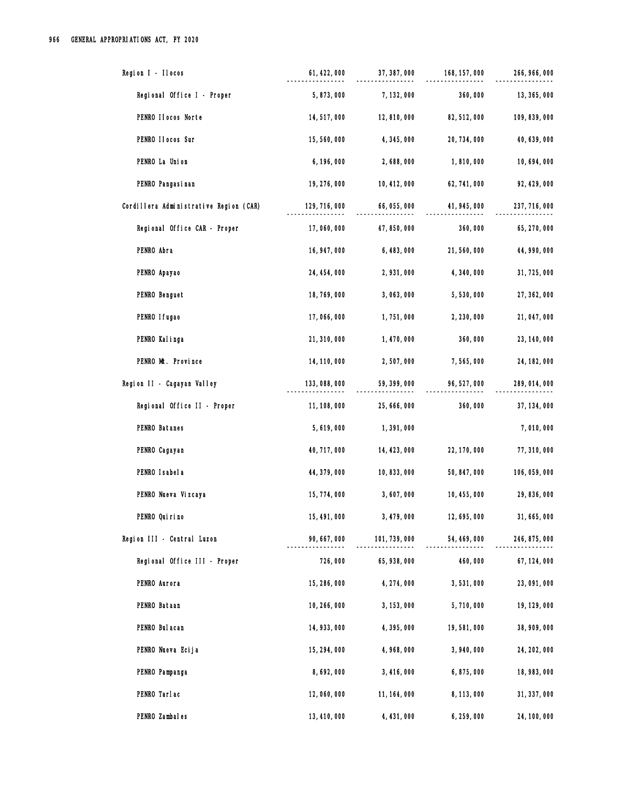| Region I - Ilocos                      | 61, 422, 000  | 37, 387, 000  | 168, 157, 000 | 266, 966, 000 |
|----------------------------------------|---------------|---------------|---------------|---------------|
| Regional Office I - Proper             | 5,873,000     | 7, 132, 000   | 360,000       | 13, 365, 000  |
| PENRO Ilocos Norte                     | 14, 517, 000  | 12,810,000    | 82, 512, 000  | 109, 839, 000 |
| PENRO II ocos Sur                      | 15,560,000    | 4,345,000     | 20, 734, 000  | 40, 639, 000  |
| PENRO La Union                         | 6, 196, 000   | 2,688,000     | 1,810,000     | 10, 694, 000  |
| PENRO Pangasi nan                      | 19, 276, 000  | 10, 412, 000  | 62, 741, 000  | 92, 429, 000  |
| Cordillera Administrative Region (CAR) | 129, 716, 000 | 66, 055, 000  | 41, 945, 000  | 237, 716, 000 |
| Regional Office CAR - Proper           | 17,060,000    | 47, 850, 000  | 360,000       | 65, 270, 000  |
| PENRO Abra                             | 16, 947, 000  | 6,483,000     | 21,560,000    | 44, 990, 000  |
| PENRO Apayao                           | 24, 454, 000  | 2,931,000     | 4,340,000     | 31,725,000    |
| PENRO Benguet                          | 18, 769, 000  | 3,063,000     | 5,530,000     | 27, 362, 000  |
| PENRO I fugao                          | 17,066,000    | 1,751,000     | 2, 230, 000   | 21, 047, 000  |
| PENRO Kalinga                          | 21, 310, 000  | 1,470,000     | 360,000       | 23, 140, 000  |
| PENRO Mt. Province                     | 14, 110, 000  | 2,507,000     | 7,565,000     | 24, 182, 000  |
| Region II - Cagayan Valley             | 133,088,000   | 59, 399, 000  | 96, 527, 000  | 289, 014, 000 |
| Regional Office II - Proper            | 11, 108, 000  | 25, 666, 000  | 360,000       | 37, 134, 000  |
| PENRO Batanes                          | 5, 619, 000   | 1,391,000     |               | 7,010,000     |
| PENRO Cagayan                          | 40, 717, 000  | 14, 423, 000  | 22, 170, 000  | 77, 310, 000  |
| PENRO I sabel a                        | 44, 379, 000  | 10, 833, 000  | 50, 847, 000  | 106, 059, 000 |
| PENRO Nueva Vizcaya                    | 15, 774, 000  | 3,607,000     | 10, 455, 000  | 29, 836, 000  |
| PENRO Qui ri no                        | 15, 491, 000  | 3, 479, 000   | 12,695,000    | 31, 665, 000  |
| Region III - Central Luzon             | 90, 667, 000  | 101, 739, 000 | 54, 469, 000  | 246, 875, 000 |
| Regional Office III - Proper           | 726,000       | 65, 938, 000  | 460,000       | 67, 124, 000  |
| PENRO Aurora                           | 15, 286, 000  | 4, 274, 000   | 3,531,000     | 23,091,000    |
| PENRO Bataan                           | 10, 266, 000  | 3, 153, 000   | 5,710,000     | 19, 129, 000  |
| PENRO Bul acan                         | 14, 933, 000  | 4,395,000     | 19,581,000    | 38, 909, 000  |
| PENRO Nueva Ecija                      | 15, 294, 000  | 4,968,000     | 3,940,000     | 24, 202, 000  |
| PENRO Pampanga                         | 8,692,000     | 3,416,000     | 6,875,000     | 18, 983, 000  |
| PENRO Tarlac                           | 12,060,000    | 11, 164, 000  | 8, 113, 000   | 31, 337, 000  |
| PENRO Zambales                         | 13, 410, 000  | 4, 431, 000   | 6, 259, 000   | 24, 100, 000  |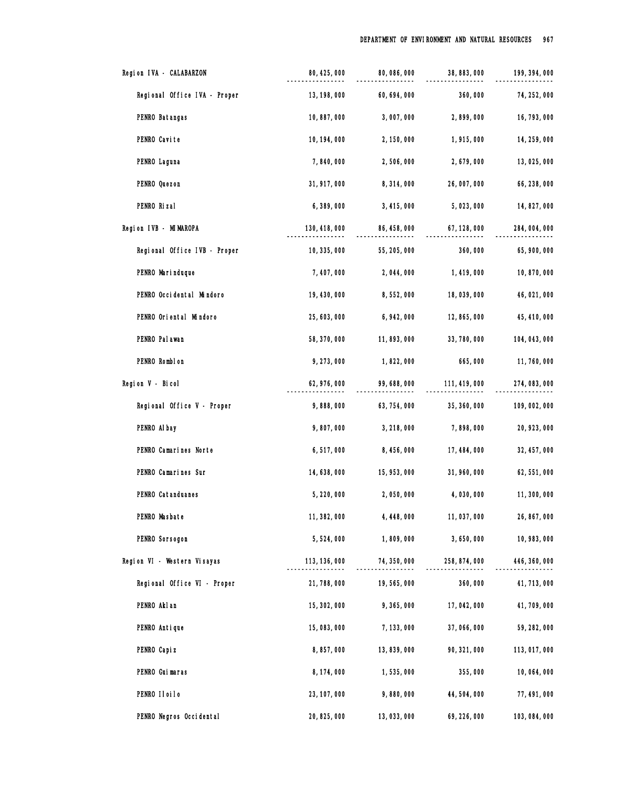| Region IVA - CALABARZON      | 80, 425, 000  | 80, 086, 000 | 38, 883, 000  | 199, 394, 000 |
|------------------------------|---------------|--------------|---------------|---------------|
| Regional Office IVA - Proper | 13, 198, 000  | 60, 694, 000 | 360,000       | 74, 252, 000  |
| PENRO Batangas               | 10,887,000    | 3,007,000    | 2,899,000     | 16, 793, 000  |
| PENRO Cavite                 | 10, 194, 000  | 2, 150, 000  | 1,915,000     | 14, 259, 000  |
| PENRO Laguna                 | 7,840,000     | 2,506,000    | 2, 679, 000   | 13,025,000    |
| PENRO Quezon                 | 31, 917, 000  | 8,314,000    | 26,007,000    | 66, 238, 000  |
| PENRO Rizal                  | 6,389,000     | 3, 415, 000  | 5,023,000     | 14, 827, 000  |
| Region IVB - MIMAROPA        | 130, 418, 000 | 86, 458, 000 | 67, 128, 000  | 284, 004, 000 |
| Regional Office IVB - Proper | 10, 335, 000  | 55, 205, 000 | 360,000       | 65, 900, 000  |
| PENRO Marinduque             | 7, 407, 000   | 2,044,000    | 1, 419, 000   | 10,870,000    |
| PENRO Occidental Mindoro     | 19, 430, 000  | 8,552,000    | 18,039,000    | 46, 021, 000  |
| PENRO Oriental Mindoro       | 25, 603, 000  | 6, 942, 000  | 12, 865, 000  | 45, 410, 000  |
| PENRO Pal awan               | 58, 370, 000  | 11,893,000   | 33, 780, 000  | 104, 043, 000 |
| PENRO Romblon                | 9,273,000     | 1,822,000    | 665,000       | 11,760,000    |
| Region V - Bicol             | 62, 976, 000  | 99, 688, 000 | 111, 419, 000 | 274, 083, 000 |
| Regional Office V - Proper   | 9,888,000     | 63, 754, 000 | 35, 360, 000  | 109, 002, 000 |
| PENRO Al bay                 | 9,807,000     | 3, 218, 000  | 7,898,000     | 20, 923, 000  |
| PENRO Camarines Norte        | 6,517,000     | 8, 456, 000  | 17, 484, 000  | 32, 457, 000  |
| PENRO Camarines Sur          | 14, 638, 000  | 15, 953, 000 | 31, 960, 000  | 62, 551, 000  |
| PENRO Catanduanes            | 5, 220, 000   | 2,050,000    | 4,030,000     | 11,300,000    |
| PENRO Masbate                | 11, 382, 000  | 4, 448, 000  | 11,037,000    | 26, 867, 000  |
| PENRO Sorsogon               | 5,524,000     | 1,809,000    | 3,650,000     | 10, 983, 000  |
| Region VI - Western Visayas  | 113, 136, 000 | 74, 350, 000 | 258, 874, 000 | 446, 360, 000 |
| Regional Office VI - Proper  | 21,788,000    | 19,565,000   | 360,000       | 41, 713, 000  |
| PENRO Akl an                 | 15, 302, 000  | 9,365,000    | 17, 042, 000  | 41,709,000    |
| PENRO Antique                | 15,083,000    | 7, 133, 000  | 37,066,000    | 59, 282, 000  |
| PENRO Capi z                 | 8,857,000     | 13, 839, 000 | 90, 321, 000  | 113,017,000   |
| PENRO Guimaras               | 8, 174, 000   | 1,535,000    | 355,000       | 10,064,000    |
| PENRO IIoiIo                 | 23, 107, 000  | 9,880,000    | 44,504,000    | 77, 491, 000  |
| PENRO Negros Occidental      | 20, 825, 000  | 13,033,000   | 69, 226, 000  | 103, 084, 000 |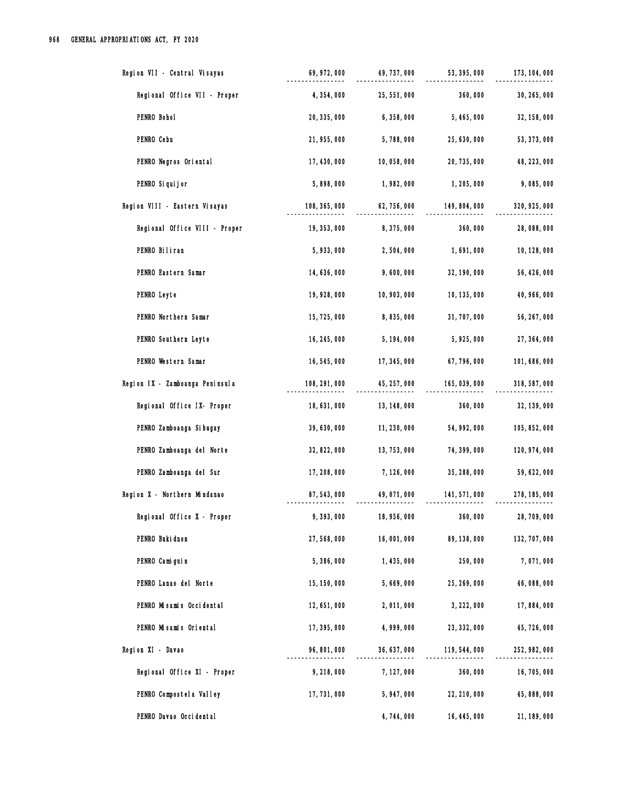| Region VII - Central Visayas    | 69, 972, 000  | 49, 737, 000 | 53, 395, 000  | 173, 104, 000 |
|---------------------------------|---------------|--------------|---------------|---------------|
| Regional Office VII - Proper    | 4, 354, 000   | 25, 551, 000 | 360,000       | 30, 265, 000  |
| PENRO Bohol                     | 20, 335, 000  | 6,358,000    | 5, 465, 000   | 32, 158, 000  |
| PENRO Cebu                      | 21, 955, 000  | 5,788,000    | 25, 630, 000  | 53, 373, 000  |
| PENRO Negros Oriental           | 17, 430, 000  | 10,058,000   | 20, 735, 000  | 48, 223, 000  |
| PENRO Si qui j or               | 5,898,000     | 1,982,000    | 1, 205, 000   | 9,085,000     |
| Region VIII - Eastern Visayas   | 108, 365, 000 | 62, 756, 000 | 149, 804, 000 | 320, 925, 000 |
| Regional Office VIII - Proper   | 19, 353, 000  | 8,375,000    | 360,000       | 28,088,000    |
| PENRO Biliran                   | 5,933,000     | 2,504,000    | 1,691,000     | 10, 128, 000  |
| PENRO Eastern Samar             | 14, 636, 000  | 9,600,000    | 32, 190, 000  | 56, 426, 000  |
| PENRO Leyte                     | 19, 928, 000  | 10, 903, 000 | 10, 135, 000  | 40, 966, 000  |
| PENRO Northern Samar            | 15, 725, 000  | 8,835,000    | 31, 707, 000  | 56, 267, 000  |
| PENRO Southern Leyte            | 16, 245, 000  | 5, 194, 000  | 5, 925, 000   | 27, 364, 000  |
| PENRO Western Samar             | 16,545,000    | 17, 345, 000 | 67,796,000    | 101, 686, 000 |
| Region IX - Zamboanga Peninsula | 108, 291, 000 | 45, 257, 000 | 165, 039, 000 | 318, 587, 000 |
| Regional Office IX- Proper      | 18,631,000    | 13, 148, 000 | 360,000       | 32, 139, 000  |
| PENRO Zamboanga Si bugay        | 39, 630, 000  | 11, 230, 000 | 54, 992, 000  | 105, 852, 000 |
| PENRO Zamboanga del Norte       | 32, 822, 000  | 13, 753, 000 | 74, 399, 000  | 120, 974, 000 |
| PENRO Zamboanga del Sur         | 17, 208, 000  | 7, 126, 000  | 35, 288, 000  | 59, 622, 000  |
| Region X - Northern Mindanao    | 87, 543, 000  | 49,071,000   | 141, 571, 000 | 278, 185, 000 |
| Regional Office X - Proper      | 9,393,000     | 18, 956, 000 | 360,000       | 28, 709, 000  |
| PENRO Buki dnon                 | 27,568,000    | 16,001,000   | 89, 138, 000  | 132, 707, 000 |
| PENRO Camiguin                  | 5,386,000     | 1, 435, 000  | 250,000       | 7,071,000     |
| PENRO Lanao del Norte           | 15, 150, 000  | 5,669,000    | 25, 269, 000  | 46,088,000    |
| PENRO Misamis Occidental        | 12, 651, 000  | 2,011,000    | 3, 222, 000   | 17,884,000    |
| PENRO Misamis Oriental          | 17, 395, 000  | 4, 999, 000  | 23, 332, 000  | 45, 726, 000  |
| Region XI - Davao               | 96, 801, 000  | 36, 637, 000 | 119, 544, 000 | 252, 982, 000 |
| Regional Office XI - Proper     | 9,218,000     | 7, 127, 000  | 360,000       | 16, 705, 000  |
| PENRO Compostel a Valley        | 17, 731, 000  | 5,947,000    | 22, 210, 000  | 45, 888, 000  |
| PENRO Davao Occidental          |               | 4,744,000    | 16, 445, 000  | 21, 189, 000  |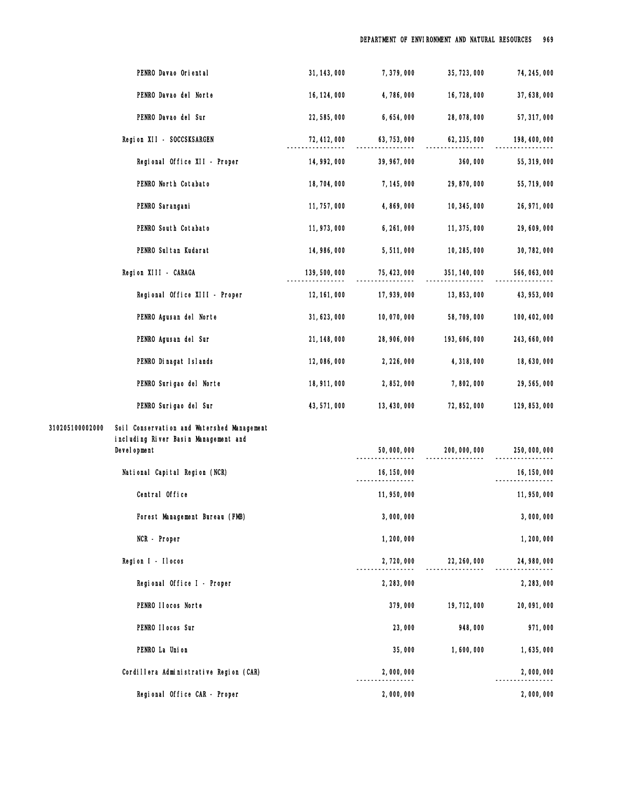| PENRO Davao Oriental                                          | 31, 143, 000  | 7,379,000    | 35, 723, 000  | 74, 245, 000  |
|---------------------------------------------------------------|---------------|--------------|---------------|---------------|
| PENRO Davao del Norte                                         | 16, 124, 000  | 4,786,000    | 16, 728, 000  | 37, 638, 000  |
| PENRO Davao del Sur                                           | 22, 585, 000  | 6,654,000    | 28,078,000    | 57, 317, 000  |
| Region XII - SOCCSKSARGEN                                     | 72, 412, 000  | 63, 753, 000 | 62, 235, 000  | 198, 400, 000 |
| Regional Office XII - Proper                                  | 14, 992, 000  | 39, 967, 000 | 360,000       | 55, 319, 000  |
| PENRO North Cotabato                                          | 18,704,000    | 7, 145, 000  | 29, 870, 000  | 55, 719, 000  |
| PENRO Sarangani                                               | 11, 757, 000  | 4,869,000    | 10, 345, 000  | 26, 971, 000  |
| PENRO South Cotabato                                          | 11, 973, 000  | 6, 261, 000  | 11, 375, 000  | 29, 609, 000  |
| PENRO Sul tan Kudarat                                         | 14, 986, 000  | 5,511,000    | 10, 285, 000  | 30, 782, 000  |
| Region XIII - CARAGA                                          | 139, 500, 000 | 75, 423, 000 | 351, 140, 000 | 566, 063, 000 |
| Regional Office XIII - Proper                                 | 12, 161, 000  | 17, 939, 000 | 13, 853, 000  | 43, 953, 000  |
| PENRO Agusan del Norte                                        | 31, 623, 000  | 10,070,000   | 58, 709, 000  | 100, 402, 000 |
| PENRO Agusan del Sur                                          | 21, 148, 000  | 28, 906, 000 | 193, 606, 000 | 243, 660, 000 |
| PENRO Dinagat Islands                                         | 12,086,000    | 2, 226, 000  | 4,318,000     | 18,630,000    |
| PENRO Surigao del Norte                                       | 18, 911, 000  | 2,852,000    | 7,802,000     | 29, 565, 000  |
| PENRO Surigao del Sur                                         | 43, 571, 000  | 13, 430, 000 | 72, 852, 000  | 129, 853, 000 |
| 310205100002000<br>Soil Conservation and Watershed Management |               |              |               |               |
| including River Basin Management and<br>Devel opment          |               | 50,000,000   | 200, 000, 000 | 250,000,000   |
| National Capital Region (NCR)                                 |               | 16, 150, 000 |               | 16, 150, 000  |
| Central Office                                                |               | 11, 950, 000 |               | 11, 950, 000  |
| Forest Management Bureau (FMB)                                |               | 3,000,000    |               | 3,000,000     |
| NCR - Proper                                                  |               | 1,200,000    |               | 1,200,000     |
| Region I - Ilocos                                             |               | 2,720,000    | 22, 260, 000  | 24, 980, 000  |
| Regional Office I - Proper                                    |               | 2, 283, 000  |               | 2, 283, 000   |
| PENRO IIocos Norte                                            |               | 379,000      | 19, 712, 000  | 20, 091, 000  |
| PENRO II ocos Sur                                             |               | 23,000       | 948,000       | 971,000       |
| PENRO La Union                                                |               | 35,000       | 1,600,000     | 1,635,000     |
| Cordillera Administrative Region (CAR)                        |               | 2,000,000    |               | 2,000,000     |
| Regional Office CAR - Proper                                  |               | 2,000,000    |               | 2,000,000     |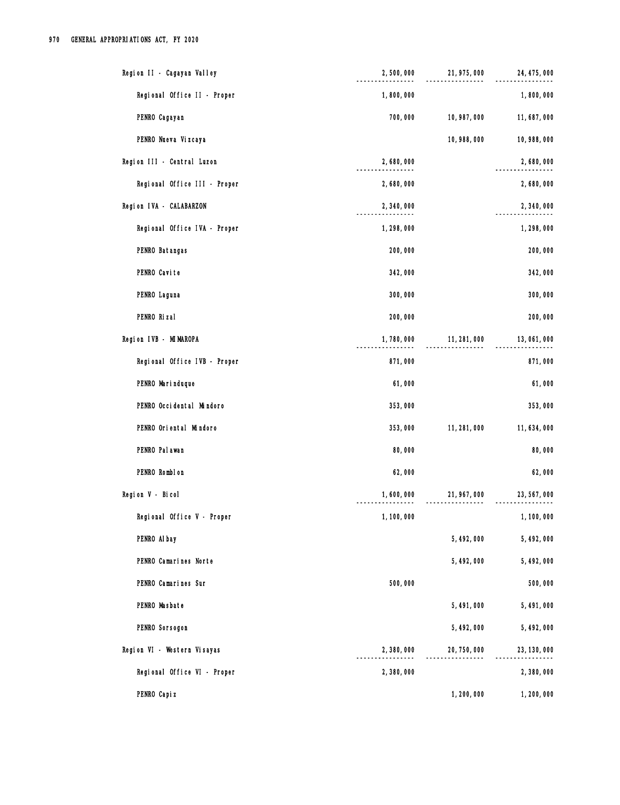| Region II - Cagayan Valley   | 2,500,000   | 21, 975, 000 | 24, 475, 000 |
|------------------------------|-------------|--------------|--------------|
| Regional Office II - Proper  | 1,800,000   |              | 1,800,000    |
| PENRO Cagayan                | 700,000     | 10, 987, 000 | 11,687,000   |
| PENRO Nueva Vizcaya          |             | 10,988,000   | 10, 988, 000 |
| Region III - Central Luzon   | 2,680,000   |              | 2,680,000    |
| Regional Office III - Proper | 2,680,000   |              | 2,680,000    |
| Region IVA - CALABARZON      | 2,340,000   |              | 2,340,000    |
| Regional Office IVA - Proper | 1,298,000   |              | 1,298,000    |
| PENRO Batangas               | 200,000     |              | 200,000      |
| PENRO Cavite                 | 342,000     |              | 342,000      |
| PENRO Laguna                 | 300,000     |              | 300,000      |
| PENRO Rizal                  | 200,000     |              | 200,000      |
| Region IVB - MIMAROPA        | 1,780,000   | 11, 281, 000 | 13,061,000   |
| Regional Office IVB - Proper | 871,000     |              | 871,000      |
| PENRO Marinduque             | 61,000      |              | 61,000       |
| PENRO Occidental Mindoro     | 353,000     |              | 353,000      |
| PENRO Oriental Mindoro       | 353,000     | 11, 281, 000 | 11, 634, 000 |
| PENRO Pal awan               | 80,000      |              | 80,000       |
| PENRO Romblon                | 62,000      |              | 62,000       |
| Region V - Bicol             | 1,600,000   | 21, 967, 000 | 23, 567, 000 |
| Regional Office V - Proper   | 1, 100, 000 |              | 1, 100, 000  |
| PENRO Al bay                 |             | 5, 492, 000  | 5, 492, 000  |
| PENRO Camarines Norte        |             | 5, 492, 000  | 5, 492, 000  |
| PENRO Camarines Sur          | 500,000     |              | 500,000      |
| PENRO Masbate                |             | 5,491,000    | 5,491,000    |
| PENRO Sorsogon               |             | 5, 492, 000  | 5,492,000    |
| Region VI - Western Visayas  | 2,380,000   | 20, 750, 000 | 23, 130, 000 |
| Regional Office VI - Proper  | 2,380,000   |              | 2,380,000    |
| PENRO Capi z                 |             | 1,200,000    | 1,200,000    |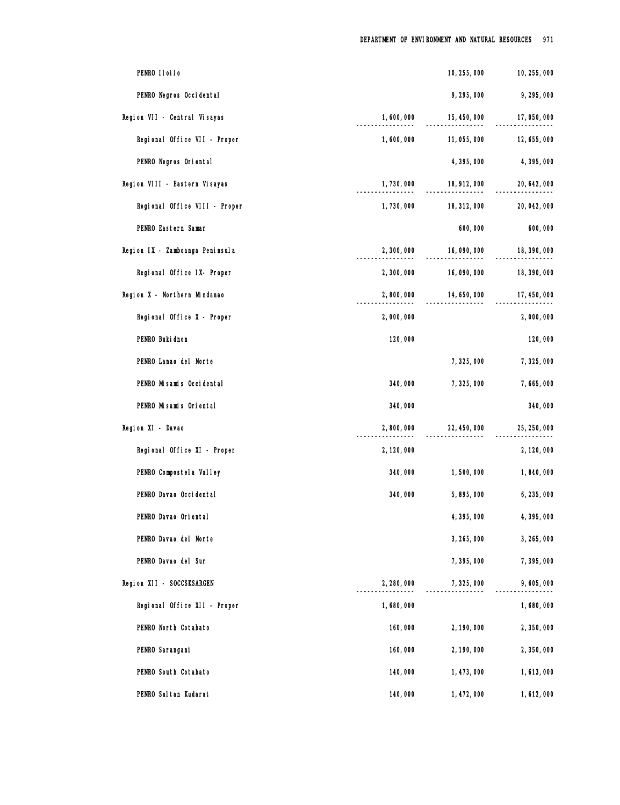| PENRO IIoiIo                    |             | 10, 255, 000 | 10, 255, 000 |
|---------------------------------|-------------|--------------|--------------|
| PENRO Negros Occidental         |             | 9,295,000    | 9,295,000    |
| Region VII - Central Visayas    | 1,600,000   | 15, 450, 000 | 17,050,000   |
| Regional Office VII - Proper    | 1,600,000   | 11, 055, 000 | 12, 655, 000 |
| PENRO Negros Oriental           |             | 4,395,000    | 4,395,000    |
| Region VIII - Eastern Visayas   | 1,730,000   | 18, 912, 000 | 20, 642, 000 |
| Regional Office VIII - Proper   | 1,730,000   | 18, 312, 000 | 20, 042, 000 |
| PENRO Eastern Samar             |             | 600,000      | 600,000      |
| Region IX - Zamboanga Peninsula | 2,300,000   | 16,090,000   | 18, 390, 000 |
| Regional Office IX- Proper      | 2,300,000   | 16,090,000   | 18, 390, 000 |
| Region X - Northern Mindanao    | 2,800,000   | 14, 650, 000 | 17, 450, 000 |
| Regional Office X - Proper      | 2,000,000   |              | 2,000,000    |
| PENRO Buki dnon                 | 120,000     |              | 120,000      |
| PENRO Lanao del Norte           |             | 7,325,000    | 7,325,000    |
| PENRO Misamis Occidental        | 340,000     | 7,325,000    | 7,665,000    |
| PENRO Misamis Oriental          | 340,000     |              | 340,000      |
| Region XI - Davao               | 2,800,000   | 22, 450, 000 | 25, 250, 000 |
| Regional Office XI - Proper     | 2, 120, 000 |              | 2, 120, 000  |
| PENRO Compostel a Valley        | 340,000     | 1,500,000    | 1,840,000    |
| PENRO Davao Occi dental         | 340,000     | 5,895,000    | 6, 235, 000  |
| PENRO Davao Oriental            |             | 4,395,000    | 4,395,000    |
| PENRO Davao del Norte           |             | 3, 265, 000  | 3, 265, 000  |
| PENRO Davao del Sur             |             | 7,395,000    | 7,395,000    |
| Region XII - SOCCSKSARGEN       | 2,280,000   | 7,325,000    | 9,605,000    |
| Regional Office XII - Proper    | 1,680,000   |              | 1,680,000    |
| PENRO North Cotabato            | 160,000     | 2, 190, 000  | 2,350,000    |
| PENRO Sarangani                 | 160,000     | 2, 190, 000  | 2,350,000    |
| PENRO South Cotabato            | 140,000     | 1, 473, 000  | 1,613,000    |
| PENRO Sul tan Kudarat           | 140,000     | 1, 472, 000  | 1,612,000    |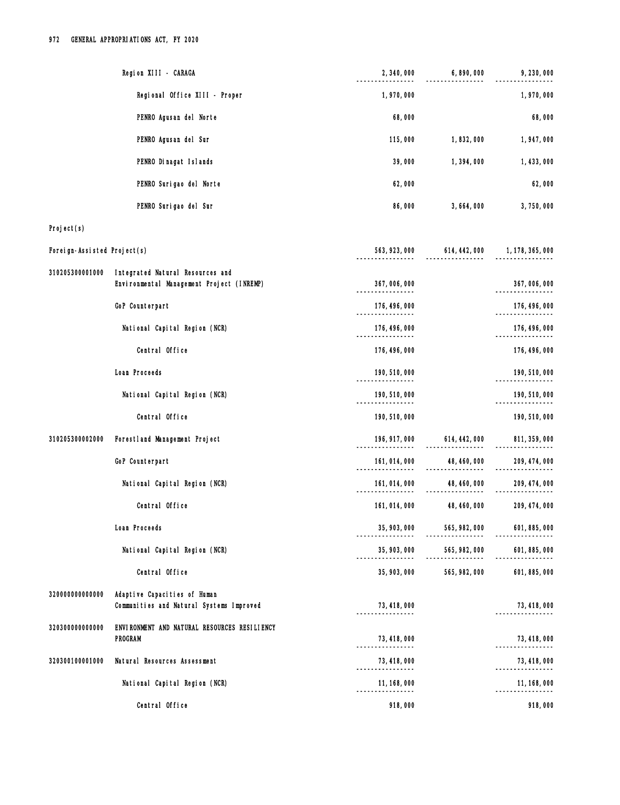| Region XIII - CARAGA                                                                             | 2, 340, 000                       | 6,890,000                                    | 9, 230, 000   |
|--------------------------------------------------------------------------------------------------|-----------------------------------|----------------------------------------------|---------------|
| Regional Office XIII - Proper                                                                    | 1,970,000                         |                                              | 1,970,000     |
| PENRO Agusan del Norte                                                                           | 68,000                            |                                              | 68,000        |
| PENRO Agusan del Sur                                                                             | 115,000                           | 1,832,000                                    | 1,947,000     |
| PENRO Dinagat Islands                                                                            | 39,000                            | 1,394,000                                    | 1,433,000     |
| PENRO Surigao del Norte                                                                          | 62,000                            |                                              | 62,000        |
| PENRO Surigao del Sur                                                                            | 86,000                            | 3, 664, 000                                  | 3,750,000     |
| Project(s)                                                                                       |                                   |                                              |               |
| Foreign-Assisted Project(s)                                                                      |                                   | 563, 923, 000 614, 442, 000 1, 178, 365, 000 |               |
| 310205300001000<br>Integrated Natural Resources and<br>Environmental Management Project (INREMP) | 367,006,000<br>-----------        |                                              | 367,006,000   |
| GoP Counterpart                                                                                  | 176, 496, 000                     |                                              | 176, 496, 000 |
| National Capital Region (NCR)                                                                    | 176, 496, 000<br>---------------- |                                              | 176, 496, 000 |
| Central Office                                                                                   | 176, 496, 000                     |                                              | 176, 496, 000 |
| Loan Proceeds                                                                                    | 190, 510, 000<br>--------------   |                                              | 190, 510, 000 |
| National Capital Region (NCR)                                                                    | 190, 510, 000                     |                                              | 190, 510, 000 |
| Central Office                                                                                   | 190, 510, 000                     |                                              | 190, 510, 000 |
| 310205300002000<br>Forestland Management Project                                                 |                                   | 196, 917, 000 614, 442, 000                  | 811, 359, 000 |
| GoP Counterpart                                                                                  |                                   |                                              | 209, 474, 000 |
| National Capital Region (NCR)                                                                    | 161, 014, 000<br>------------     | 48, 460, 000<br>__________________           | 209, 474, 000 |
| Central Office                                                                                   | 161, 014, 000                     | 48, 460, 000                                 | 209, 474, 000 |
| Loan Proceeds                                                                                    | 35, 903, 000                      | 565, 982, 000<br>---------------             | 601, 885, 000 |
| National Capital Region (NCR)                                                                    | 35, 903, 000                      | 565, 982, 000<br>_________________           | 601, 885, 000 |
| Central Office                                                                                   | 35, 903, 000                      | 565, 982, 000                                | 601, 885, 000 |
| 320000000000000<br>Adaptive Capacities of Human<br>Communities and Natural Systems Improved      | 73, 418, 000<br>----------------  |                                              | 73, 418, 000  |
| 320300000000000<br>ENVIRONMENT AND NATURAL RESOURCES RESILIENCY<br><b>PROGRAM</b>                | 73, 418, 000                      |                                              | 73, 418, 000  |
| Natural Resources Assessment<br>320300100001000                                                  | 73, 418, 000                      |                                              | 73, 418, 000  |
| National Capital Region (NCR)                                                                    | -----------------<br>11, 168, 000 |                                              | 11, 168, 000  |
| Central Office                                                                                   | 918,000                           |                                              | 918,000       |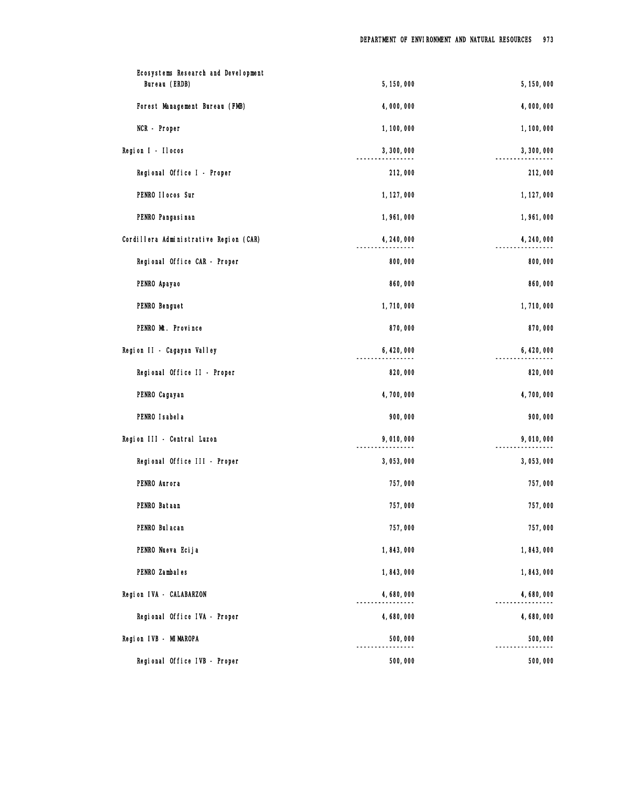| Ecosystems Research and Development<br>Bureau (ERDB) | 5,150,000   | 5, 150, 000 |
|------------------------------------------------------|-------------|-------------|
| Forest Management Bureau (FMB)                       | 4,000,000   | 4,000,000   |
| NCR - Proper                                         | 1, 100, 000 | 1,100,000   |
| Region I - Ilocos                                    | 3,300,000   | 3,300,000   |
| Regional Office I - Proper                           | 212,000     | 212,000     |
| PENRO II ocos Sur                                    | 1, 127, 000 | 1, 127, 000 |
| PENRO Pangasi nan                                    | 1,961,000   | 1,961,000   |
| Cordillera Administrative Region (CAR)               | 4, 240, 000 | 4, 240, 000 |
| Regional Office CAR - Proper                         | 800,000     | 800,000     |
| PENRO Apayao                                         | 860,000     | 860,000     |
| PENRO Benguet                                        | 1,710,000   | 1,710,000   |
| PENRO Mt. Province                                   | 870,000     | 870,000     |
| Region II - Cagayan Valley                           | 6, 420, 000 | 6, 420, 000 |
| Regional Office II - Proper                          | 820,000     | 820,000     |
| PENRO Cagayan                                        | 4,700,000   | 4,700,000   |
| PENRO I sabel a                                      | 900,000     | 900,000     |
| Region III - Central Luzon                           | 9,010,000   | 9,010,000   |
| Regional Office III - Proper                         | 3,053,000   | 3,053,000   |
| PENRO Aurora                                         | 757,000     | 757,000     |
| PENRO Bataan                                         | 757,000     | 757,000     |
| PENRO Bul acan                                       | 757,000     | 757,000     |
| PENRO Nueva Ecija                                    | 1,843,000   | 1,843,000   |
| PENRO Zambales                                       | 1,843,000   | 1,843,000   |
| Region IVA - CALABARZON                              | 4,680,000   | 4,680,000   |
| Regional Office IVA - Proper                         | 4,680,000   | 4,680,000   |
| Region IVB - MIMAROPA                                | 500,000     | 500,000     |
| Regional Office IVB - Proper                         | 500,000     | 500,000     |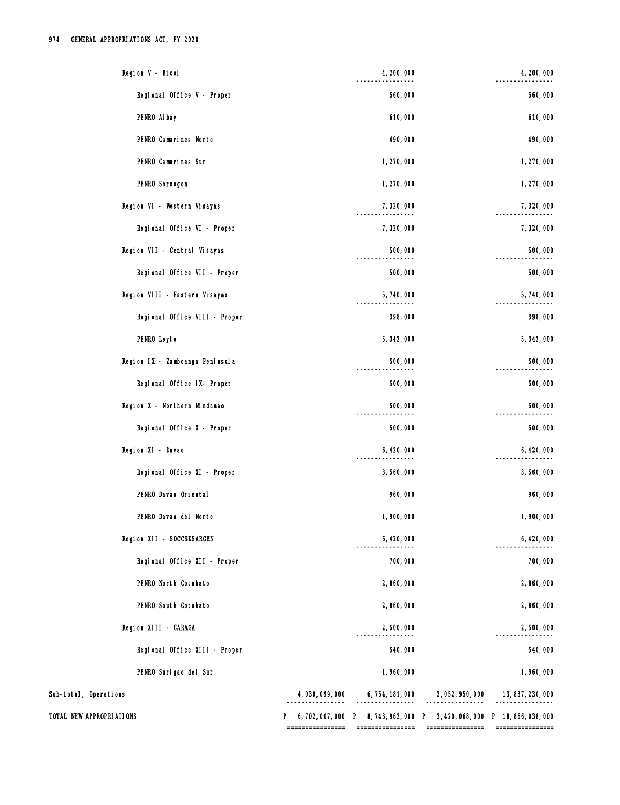| Regional Office V - Proper<br>560,000<br>PENRO Al bay<br>610,000<br>PENRO Camarines Norte<br>490,000<br>490,000<br>PENRO Camarines Sur<br>1,270,000<br>PENRO Sorsogon<br>1,270,000<br>Region VI - Western Visayas<br>7,320,000<br>Regional Office VI - Proper<br>7,320,000<br>7,320,000<br>Region VII - Central Visayas<br>500,000<br>500,000<br>Regional Office VII - Proper<br>500,000<br>500,000<br>Region VIII - Eastern Visayas<br>5,740,000<br>398,000<br>Regional Office VIII - Proper<br>PENRO Leyte<br>5, 342, 000<br>500,000<br>Region IX - Zamboanga Peninsula<br>500,000<br>Regional Office IX- Proper<br>500,000<br>500,000<br>Region X - Northern Mindanao<br>500,000<br>500,000<br>Regional Office X - Proper<br>500,000<br>6, 420, 000<br>Region XI - Davao<br>6, 420, 000<br>Regional Office XI - Proper<br>3,560,000<br>PENRO Davao Oriental<br>960,000<br>PENRO Davao del Norte<br>1,900,000<br>Region XII - SOCCSKSARGEN<br>6, 420, 000<br>Regional Office XII - Proper<br>700,000<br>PENRO North Cotabato<br>2,860,000<br>2,860,000<br>PENRO South Cotabato<br>2,860,000<br>Region XIII - CARAGA<br>2,500,000<br>Regional Office XIII - Proper<br>540,000<br>540,000<br>PENRO Surigao del Sur<br>1,960,000<br>Sub-total, Operations<br>6, 754, 181, 000 3, 052, 950, 000<br>13, 837, 230, 000<br>4, 030, 099, 000<br>TOTAL NEW APPROPRIATIONS<br>6, 702, 007, 000 P 8, 743, 963, 000 P 3, 420, 068, 000 P 18, 866, 038, 000<br>================<br>================<br>================<br>================ | Region V - Bicol | 4, 200, 000 | 4, 200, 000 |
|----------------------------------------------------------------------------------------------------------------------------------------------------------------------------------------------------------------------------------------------------------------------------------------------------------------------------------------------------------------------------------------------------------------------------------------------------------------------------------------------------------------------------------------------------------------------------------------------------------------------------------------------------------------------------------------------------------------------------------------------------------------------------------------------------------------------------------------------------------------------------------------------------------------------------------------------------------------------------------------------------------------------------------------------------------------------------------------------------------------------------------------------------------------------------------------------------------------------------------------------------------------------------------------------------------------------------------------------------------------------------------------------------------------------------------------------------------------------------------------------------------------------------------|------------------|-------------|-------------|
|                                                                                                                                                                                                                                                                                                                                                                                                                                                                                                                                                                                                                                                                                                                                                                                                                                                                                                                                                                                                                                                                                                                                                                                                                                                                                                                                                                                                                                                                                                                                  |                  |             | 560,000     |
|                                                                                                                                                                                                                                                                                                                                                                                                                                                                                                                                                                                                                                                                                                                                                                                                                                                                                                                                                                                                                                                                                                                                                                                                                                                                                                                                                                                                                                                                                                                                  |                  |             | 610,000     |
|                                                                                                                                                                                                                                                                                                                                                                                                                                                                                                                                                                                                                                                                                                                                                                                                                                                                                                                                                                                                                                                                                                                                                                                                                                                                                                                                                                                                                                                                                                                                  |                  |             |             |
|                                                                                                                                                                                                                                                                                                                                                                                                                                                                                                                                                                                                                                                                                                                                                                                                                                                                                                                                                                                                                                                                                                                                                                                                                                                                                                                                                                                                                                                                                                                                  |                  |             | 1,270,000   |
|                                                                                                                                                                                                                                                                                                                                                                                                                                                                                                                                                                                                                                                                                                                                                                                                                                                                                                                                                                                                                                                                                                                                                                                                                                                                                                                                                                                                                                                                                                                                  |                  |             | 1,270,000   |
|                                                                                                                                                                                                                                                                                                                                                                                                                                                                                                                                                                                                                                                                                                                                                                                                                                                                                                                                                                                                                                                                                                                                                                                                                                                                                                                                                                                                                                                                                                                                  |                  |             | 7,320,000   |
|                                                                                                                                                                                                                                                                                                                                                                                                                                                                                                                                                                                                                                                                                                                                                                                                                                                                                                                                                                                                                                                                                                                                                                                                                                                                                                                                                                                                                                                                                                                                  |                  |             |             |
|                                                                                                                                                                                                                                                                                                                                                                                                                                                                                                                                                                                                                                                                                                                                                                                                                                                                                                                                                                                                                                                                                                                                                                                                                                                                                                                                                                                                                                                                                                                                  |                  |             |             |
|                                                                                                                                                                                                                                                                                                                                                                                                                                                                                                                                                                                                                                                                                                                                                                                                                                                                                                                                                                                                                                                                                                                                                                                                                                                                                                                                                                                                                                                                                                                                  |                  |             |             |
|                                                                                                                                                                                                                                                                                                                                                                                                                                                                                                                                                                                                                                                                                                                                                                                                                                                                                                                                                                                                                                                                                                                                                                                                                                                                                                                                                                                                                                                                                                                                  |                  |             | 5,740,000   |
|                                                                                                                                                                                                                                                                                                                                                                                                                                                                                                                                                                                                                                                                                                                                                                                                                                                                                                                                                                                                                                                                                                                                                                                                                                                                                                                                                                                                                                                                                                                                  |                  |             | 398,000     |
|                                                                                                                                                                                                                                                                                                                                                                                                                                                                                                                                                                                                                                                                                                                                                                                                                                                                                                                                                                                                                                                                                                                                                                                                                                                                                                                                                                                                                                                                                                                                  |                  |             | 5, 342, 000 |
|                                                                                                                                                                                                                                                                                                                                                                                                                                                                                                                                                                                                                                                                                                                                                                                                                                                                                                                                                                                                                                                                                                                                                                                                                                                                                                                                                                                                                                                                                                                                  |                  |             |             |
|                                                                                                                                                                                                                                                                                                                                                                                                                                                                                                                                                                                                                                                                                                                                                                                                                                                                                                                                                                                                                                                                                                                                                                                                                                                                                                                                                                                                                                                                                                                                  |                  |             |             |
|                                                                                                                                                                                                                                                                                                                                                                                                                                                                                                                                                                                                                                                                                                                                                                                                                                                                                                                                                                                                                                                                                                                                                                                                                                                                                                                                                                                                                                                                                                                                  |                  |             | 500,000     |
|                                                                                                                                                                                                                                                                                                                                                                                                                                                                                                                                                                                                                                                                                                                                                                                                                                                                                                                                                                                                                                                                                                                                                                                                                                                                                                                                                                                                                                                                                                                                  |                  |             |             |
|                                                                                                                                                                                                                                                                                                                                                                                                                                                                                                                                                                                                                                                                                                                                                                                                                                                                                                                                                                                                                                                                                                                                                                                                                                                                                                                                                                                                                                                                                                                                  |                  |             |             |
|                                                                                                                                                                                                                                                                                                                                                                                                                                                                                                                                                                                                                                                                                                                                                                                                                                                                                                                                                                                                                                                                                                                                                                                                                                                                                                                                                                                                                                                                                                                                  |                  |             | 3,560,000   |
|                                                                                                                                                                                                                                                                                                                                                                                                                                                                                                                                                                                                                                                                                                                                                                                                                                                                                                                                                                                                                                                                                                                                                                                                                                                                                                                                                                                                                                                                                                                                  |                  |             | 960,000     |
|                                                                                                                                                                                                                                                                                                                                                                                                                                                                                                                                                                                                                                                                                                                                                                                                                                                                                                                                                                                                                                                                                                                                                                                                                                                                                                                                                                                                                                                                                                                                  |                  |             | 1,900,000   |
|                                                                                                                                                                                                                                                                                                                                                                                                                                                                                                                                                                                                                                                                                                                                                                                                                                                                                                                                                                                                                                                                                                                                                                                                                                                                                                                                                                                                                                                                                                                                  |                  |             | 6, 420, 000 |
|                                                                                                                                                                                                                                                                                                                                                                                                                                                                                                                                                                                                                                                                                                                                                                                                                                                                                                                                                                                                                                                                                                                                                                                                                                                                                                                                                                                                                                                                                                                                  |                  |             | 700,000     |
|                                                                                                                                                                                                                                                                                                                                                                                                                                                                                                                                                                                                                                                                                                                                                                                                                                                                                                                                                                                                                                                                                                                                                                                                                                                                                                                                                                                                                                                                                                                                  |                  |             |             |
|                                                                                                                                                                                                                                                                                                                                                                                                                                                                                                                                                                                                                                                                                                                                                                                                                                                                                                                                                                                                                                                                                                                                                                                                                                                                                                                                                                                                                                                                                                                                  |                  |             | 2,860,000   |
|                                                                                                                                                                                                                                                                                                                                                                                                                                                                                                                                                                                                                                                                                                                                                                                                                                                                                                                                                                                                                                                                                                                                                                                                                                                                                                                                                                                                                                                                                                                                  |                  |             | 2,500,000   |
|                                                                                                                                                                                                                                                                                                                                                                                                                                                                                                                                                                                                                                                                                                                                                                                                                                                                                                                                                                                                                                                                                                                                                                                                                                                                                                                                                                                                                                                                                                                                  |                  |             |             |
|                                                                                                                                                                                                                                                                                                                                                                                                                                                                                                                                                                                                                                                                                                                                                                                                                                                                                                                                                                                                                                                                                                                                                                                                                                                                                                                                                                                                                                                                                                                                  |                  |             | 1,960,000   |
|                                                                                                                                                                                                                                                                                                                                                                                                                                                                                                                                                                                                                                                                                                                                                                                                                                                                                                                                                                                                                                                                                                                                                                                                                                                                                                                                                                                                                                                                                                                                  |                  |             |             |
|                                                                                                                                                                                                                                                                                                                                                                                                                                                                                                                                                                                                                                                                                                                                                                                                                                                                                                                                                                                                                                                                                                                                                                                                                                                                                                                                                                                                                                                                                                                                  |                  |             |             |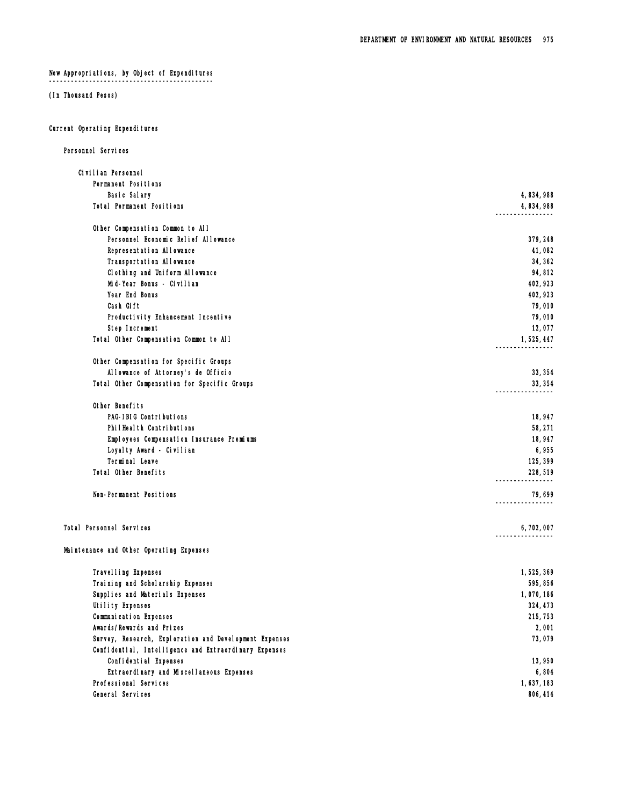# New Appropriations, by Object of Expenditures

¯¯¯¯¯¯¯¯¯¯¯¯¯¯¯¯¯¯¯¯¯¯¯¯¯¯¯¯¯¯¯¯¯¯¯¯¯¯¯¯¯¯¯¯¯

# (In Thousand Pesos)

## Current Operating Expenditures

| Personnel Services                                     |           |
|--------------------------------------------------------|-----------|
| Civilian Personnel                                     |           |
| Permanent Positions                                    |           |
| Basic Salary                                           | 4,834,988 |
| Total Permanent Positions                              | 4,834,988 |
| Other Compensation Common to All                       |           |
| Personnel Economic Relief Allowance                    | 379, 248  |
| Representation Allowance                               | 41,082    |
| Transportation Allowance                               | 34, 362   |
| Clothing and Uniform Allowance                         | 94,812    |
| Mid-Year Bonus - Civilian                              | 402, 923  |
| Year End Bonus                                         | 402, 923  |
| Cash Gift                                              | 79,010    |
| Productivity Enhancement Incentive                     | 79,010    |
| Step Increment                                         | 12,077    |
| Total Other Compensation Common to All                 | 1,525,447 |
| Other Compensation for Specific Groups                 |           |
| Allowance of Attorney's de Officio                     | 33, 354   |
| Total Other Compensation for Specific Groups           | 33, 354   |
|                                                        |           |
| Other Benefits                                         |           |
| PAG-IBIG Contributions                                 | 18,947    |
| PhilHealth Contributions                               | 58,271    |
| Employees Compensation Insurance Premiums              | 18,947    |
| Loyalty Award - Civilian                               | 6,955     |
| Terminal Leave                                         | 125, 399  |
| Total Other Benefits                                   | 228,519   |
| Non-Permanent Positions                                | 79,699    |
| Total Personnel Services                               | 6,702,007 |
| Maintenance and Other Operating Expenses               |           |
| Travel I ing Expenses                                  | 1,525,369 |
| Training and Scholarship Expenses                      | 595,856   |
| Supplies and Materials Expenses                        | 1,070,186 |
| Utility Expenses                                       | 324, 473  |
| Communication Expenses                                 | 215, 753  |
| Awards/Rewards and Prizes                              | 2,001     |
| Survey, Research, Exploration and Development Expenses | 73,079    |
| Confidential, Intelligence and Extraordinary Expenses  |           |
| Confidential Expenses                                  | 13,950    |
| Extraordinary and Miscellaneous Expenses               | 6,804     |
| Professional Services                                  | 1,637,183 |
| General Services                                       | 806, 414  |
|                                                        |           |